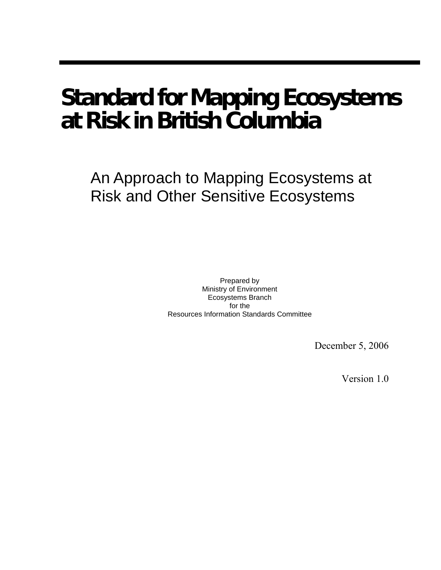# **Standard for Mapping Ecosystems at Risk in British Columbia**

An Approach to Mapping Ecosystems at Risk and Other Sensitive Ecosystems

> Prepared by Ministry of Environment Ecosystems Branch for the Resources Information Standards Committee

> > December 5, 2006

Version 1.0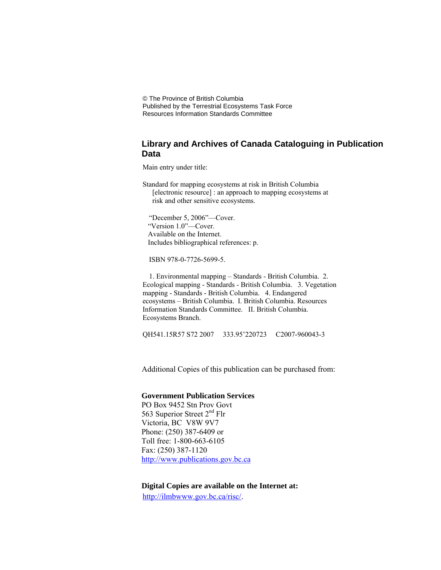© The Province of British Columbia Published by the Terrestrial Ecosystems Task Force Resources Information Standards Committee

#### **Library and Archives of Canada Cataloguing in Publication Data**

Main entry under title:

Standard for mapping ecosystems at risk in British Columbia [electronic resource] : an approach to mapping ecosystems at risk and other sensitive ecosystems.

"December 5, 2006"—Cover. "Version 1.0"—Cover. Available on the Internet. Includes bibliographical references: p.

ISBN 978-0-7726-5699-5.

1. Environmental mapping – Standards - British Columbia. 2. Ecological mapping - Standards - British Columbia. 3. Vegetation mapping - Standards - British Columbia. 4. Endangered ecosystems – British Columbia. I. British Columbia. Resources Information Standards Committee. II. British Columbia. Ecosystems Branch.

QH541.15R57 S72 2007 333.95'220723 C2007-960043-3

Additional Copies of this publication can be purchased from:

#### **Government Publication Services**

PO Box 9452 Stn Prov Govt 563 Superior Street 2<sup>nd</sup> Flr Victoria, BC V8W 9V7 Phone: (250) 387-6409 or Toll free: 1-800-663-6105 Fax: (250) 387-1120 [http://www.publications.gov.bc.ca](http://www.publications.gov.bc.ca/)

**Digital Copies are available on the Internet at:** 

<http://ilmbwww.gov.bc.ca/risc/>.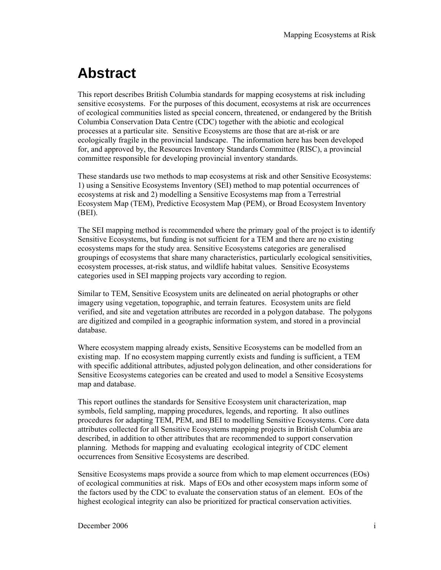## <span id="page-4-0"></span>**Abstract**

This report describes British Columbia standards for mapping ecosystems at risk including sensitive ecosystems. For the purposes of this document, ecosystems at risk are occurrences of ecological communities listed as special concern, threatened, or endangered by the British Columbia Conservation Data Centre (CDC) together with the abiotic and ecological processes at a particular site. Sensitive Ecosystems are those that are at-risk or are ecologically fragile in the provincial landscape. The information here has been developed for, and approved by, the Resources Inventory Standards Committee (RISC), a provincial committee responsible for developing provincial inventory standards.

These standards use two methods to map ecosystems at risk and other Sensitive Ecosystems: 1) using a Sensitive Ecosystems Inventory (SEI) method to map potential occurrences of ecosystems at risk and 2) modelling a Sensitive Ecosystems map from a Terrestrial Ecosystem Map (TEM), Predictive Ecosystem Map (PEM), or Broad Ecosystem Inventory (BEI).

The SEI mapping method is recommended where the primary goal of the project is to identify Sensitive Ecosystems, but funding is not sufficient for a TEM and there are no existing ecosystems maps for the study area. Sensitive Ecosystems categories are generalised groupings of ecosystems that share many characteristics, particularly ecological sensitivities, ecosystem processes, at-risk status, and wildlife habitat values. Sensitive Ecosystems categories used in SEI mapping projects vary according to region.

Similar to TEM, Sensitive Ecosystem units are delineated on aerial photographs or other imagery using vegetation, topographic, and terrain features. Ecosystem units are field verified, and site and vegetation attributes are recorded in a polygon database. The polygons are digitized and compiled in a geographic information system, and stored in a provincial database.

Where ecosystem mapping already exists, Sensitive Ecosystems can be modelled from an existing map. If no ecosystem mapping currently exists and funding is sufficient, a TEM with specific additional attributes, adjusted polygon delineation, and other considerations for Sensitive Ecosystems categories can be created and used to model a Sensitive Ecosystems map and database.

This report outlines the standards for Sensitive Ecosystem unit characterization, map symbols, field sampling, mapping procedures, legends, and reporting. It also outlines procedures for adapting TEM, PEM, and BEI to modelling Sensitive Ecosystems. Core data attributes collected for all Sensitive Ecosystems mapping projects in British Columbia are described, in addition to other attributes that are recommended to support conservation planning. Methods for mapping and evaluating ecological integrity of CDC element occurrences from Sensitive Ecosystems are described.

Sensitive Ecosystems maps provide a source from which to map element occurrences (EOs) of ecological communities at risk. Maps of EOs and other ecosystem maps inform some of the factors used by the CDC to evaluate the conservation status of an element. EOs of the highest ecological integrity can also be prioritized for practical conservation activities.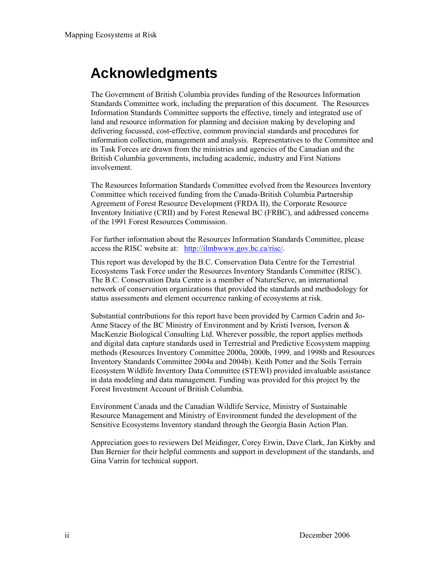## <span id="page-5-0"></span>**Acknowledgments**

The Government of British Columbia provides funding of the Resources Information Standards Committee work, including the preparation of this document. The Resources Information Standards Committee supports the effective, timely and integrated use of land and resource information for planning and decision making by developing and delivering focussed, cost-effective, common provincial standards and procedures for information collection, management and analysis. Representatives to the Committee and its Task Forces are drawn from the ministries and agencies of the Canadian and the British Columbia governments, including academic, industry and First Nations involvement.

The Resources Information Standards Committee evolved from the Resources Inventory Committee which received funding from the Canada-British Columbia Partnership Agreement of Forest Resource Development (FRDA II), the Corporate Resource Inventory Initiative (CRII) and by Forest Renewal BC (FRBC), and addressed concerns of the 1991 Forest Resources Commission.

For further information about the Resources Information Standards Committee, please access the RISC website at: [http://ilmbwww.gov.bc.ca/risc/.](http://ilmbwww.gov.bc.ca/risc/)

This report was developed by the B.C. Conservation Data Centre for the Terrestrial Ecosystems Task Force under the Resources Inventory Standards Committee (RISC). The B.C. Conservation Data Centre is a member of NatureServe, an international network of conservation organizations that provided the standards and methodology for status assessments and element occurrence ranking of ecosystems at risk.

Substantial contributions for this report have been provided by Carmen Cadrin and Jo-Anne Stacey of the BC Ministry of Environment and by Kristi Iverson, Iverson & MacKenzie Biological Consulting Ltd. Wherever possible, the report applies methods and digital data capture standards used in Terrestrial and Predictive Ecosystem mapping methods (Resources Inventory Committee 2000a, 2000b, 1999, and 1998b and Resources Inventory Standards Committee 2004a and 2004b). Keith Potter and the Soils Terrain Ecosystem Wildlife Inventory Data Committee (STEWI) provided invaluable assistance in data modeling and data management. Funding was provided for this project by the Forest Investment Account of British Columbia.

Environment Canada and the Canadian Wildlife Service, Ministry of Sustainable Resource Management and Ministry of Environment funded the development of the Sensitive Ecosystems Inventory standard through the Georgia Basin Action Plan.

Appreciation goes to reviewers Del Meidinger, Corey Erwin, Dave Clark, Jan Kirkby and Dan Bernier for their helpful comments and support in development of the standards, and Gina Varrin for technical support.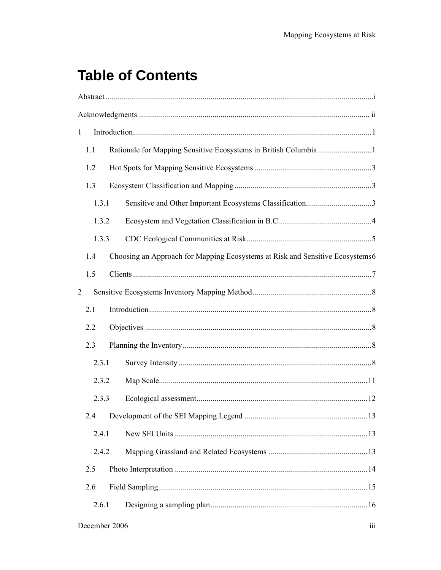## **Table of Contents**

| $\mathbf{1}$ |                                                                               |  |
|--------------|-------------------------------------------------------------------------------|--|
| 1.1          |                                                                               |  |
| 1.2          |                                                                               |  |
| 1.3          |                                                                               |  |
| 1.3.1        | Sensitive and Other Important Ecosystems Classification3                      |  |
| 1.3.2        |                                                                               |  |
| 1.3.3        |                                                                               |  |
| 1.4          | Choosing an Approach for Mapping Ecosystems at Risk and Sensitive Ecosystems6 |  |
| 1.5          |                                                                               |  |
| 2            |                                                                               |  |
| 2.1          |                                                                               |  |
| 2.2          |                                                                               |  |
| 2.3          |                                                                               |  |
| 2.3.1        |                                                                               |  |
| 2.3.2        |                                                                               |  |
| 2.3.3        |                                                                               |  |
|              |                                                                               |  |
| 2.4.1        |                                                                               |  |
| 2.4.2        |                                                                               |  |
| 2.5          |                                                                               |  |
| 2.6          |                                                                               |  |
| 2.6.1        |                                                                               |  |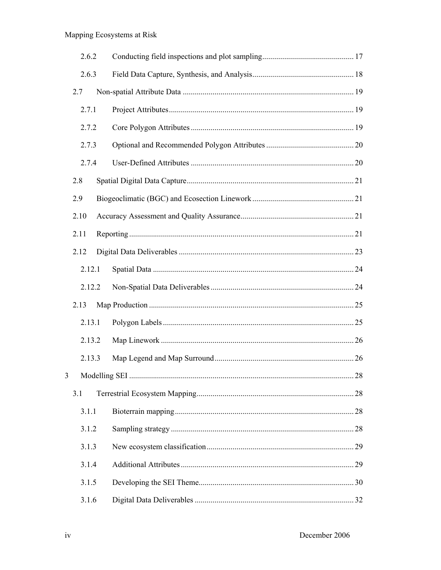| 2.6.2 |        |  |  |
|-------|--------|--|--|
|       | 2.6.3  |  |  |
|       | 2.7    |  |  |
|       | 2.7.1  |  |  |
|       | 2.7.2  |  |  |
|       | 2.7.3  |  |  |
|       | 2.7.4  |  |  |
|       | 2.8    |  |  |
|       | 2.9    |  |  |
|       | 2.10   |  |  |
|       | 2.11   |  |  |
|       | 2.12   |  |  |
|       | 2.12.1 |  |  |
|       | 2.12.2 |  |  |
|       | 2.13   |  |  |
|       | 2.13.1 |  |  |
|       | 2.13.2 |  |  |
|       | 2.13.3 |  |  |
|       |        |  |  |
|       | 3.1    |  |  |
|       | 3.1.1  |  |  |
|       | 3.1.2  |  |  |
|       | 3.1.3  |  |  |
|       | 3.1.4  |  |  |
|       | 3.1.5  |  |  |
|       | 3.1.6  |  |  |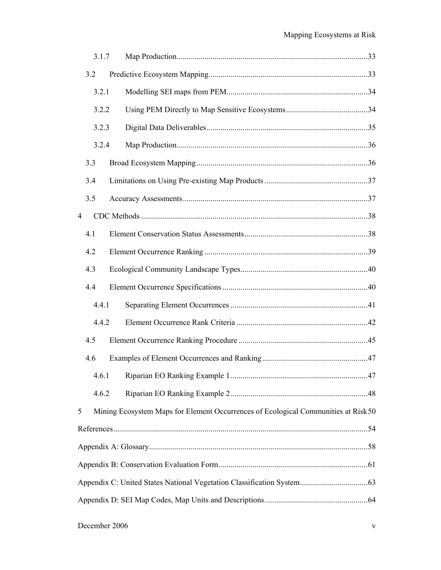|                | 3.1.7 |                                                                                    |  |
|----------------|-------|------------------------------------------------------------------------------------|--|
|                | 3.2   |                                                                                    |  |
|                | 3.2.1 |                                                                                    |  |
|                | 3.2.2 |                                                                                    |  |
|                | 3.2.3 |                                                                                    |  |
|                | 3.2.4 |                                                                                    |  |
|                | 3.3   |                                                                                    |  |
|                | 3.4   |                                                                                    |  |
|                | 3.5   |                                                                                    |  |
| $\overline{4}$ |       |                                                                                    |  |
|                | 4.1   |                                                                                    |  |
|                | 4.2   |                                                                                    |  |
|                | 4.3   |                                                                                    |  |
|                | 4.4   |                                                                                    |  |
|                | 4.4.1 |                                                                                    |  |
|                | 4.4.2 |                                                                                    |  |
|                | 4.5   |                                                                                    |  |
|                | 4.6   |                                                                                    |  |
|                |       |                                                                                    |  |
|                | 4.6.2 |                                                                                    |  |
| 5              |       | Mining Ecosystem Maps for Element Occurrences of Ecological Communities at Risk 50 |  |
|                |       |                                                                                    |  |
|                |       |                                                                                    |  |
|                |       |                                                                                    |  |
|                |       |                                                                                    |  |
|                |       |                                                                                    |  |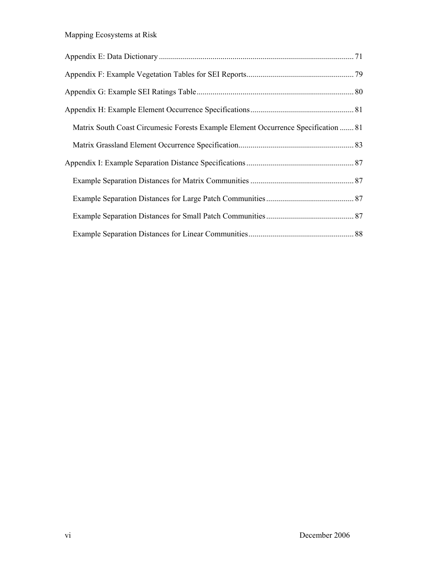| Matrix South Coast Circumesic Forests Example Element Occurrence Specification  81 |  |
|------------------------------------------------------------------------------------|--|
|                                                                                    |  |
|                                                                                    |  |
|                                                                                    |  |
|                                                                                    |  |
|                                                                                    |  |
|                                                                                    |  |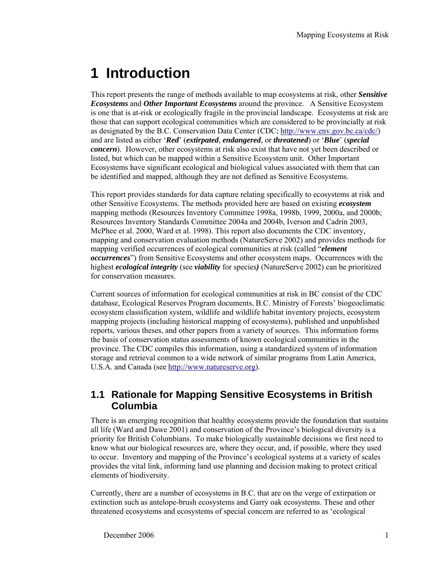## <span id="page-10-0"></span>**1 Introduction**

This report presents the range of methods available to map ecosystems at risk, other *Sensitive Ecosystems* and *Other Important Ecosystems* around the province. A Sensitive Ecosystem is one that is at-risk or ecologically fragile in the provincial landscape. Ecosystems at risk are those that can support ecological communities which are considered to be provincially at risk as designated by the B.C. Conservation Data Center (CDC; [http://www.env.gov.bc.ca/cdc/\)](http://www.env.gov.bc.ca/cdc/) and are listed as either '*Red*' (*extirpated*, *endangered*, or *threatened*) or '*Blue*' (*special concern*). However, other ecosystems at risk also exist that have not yet been described or listed, but which can be mapped within a Sensitive Ecosystem unit. Other Important Ecosystems have significant ecological and biological values associated with them that can be identified and mapped, although they are not defined as Sensitive Ecosystems.

This report provides standards for data capture relating specifically to ecosystems at risk and other Sensitive Ecosystems. The methods provided here are based on existing *ecosystem* mapping methods (Resources Inventory Committee 1998a, 1998b, 1999, 2000a, and 2000b; Resources Inventory Standards Committee 2004a and 2004b, Iverson and Cadrin 2003, McPhee et al. 2000, Ward et al. 1998). This report also documents the CDC inventory, mapping and conservation evaluation methods (NatureServe 2002) and provides methods for mapping verified occurrences of ecological communities at risk (called "*element occurrences*") from Sensitive Ecosystems and other ecosystem maps. Occurrences with the highest *ecological integrity* (see *viability* for species*)* (NatureServe 2002) can be prioritized for conservation measures.

Current sources of information for ecological communities at risk in BC consist of the CDC database, Ecological Reserves Program documents, B.C. Ministry of Forests' biogeoclimatic ecosystem classification system, wildlife and wildlife habitat inventory projects, ecosystem mapping projects (including historical mapping of ecosystems), published and unpublished reports, various theses, and other papers from a variety of sources. This information forms the basis of conservation status assessments of known ecological communities in the province. The CDC compiles this information, using a standardized system of information storage and retrieval common to a wide network of similar programs from Latin America, U.S.A. and Canada (see [http://www.natureserve.org\)](http://www.natureserve.org/).

## **1.1 Rationale for Mapping Sensitive Ecosystems in British Columbia**

There is an emerging recognition that healthy ecosystems provide the foundation that sustains all life (Ward and Dawe 2001) and conservation of the Province's biological diversity is a priority for British Columbians. To make biologically sustainable decisions we first need to know what our biological resources are, where they occur, and, if possible, where they used to occur. Inventory and mapping of the Province's ecological systems at a variety of scales provides the vital link, informing land use planning and decision making to protect critical elements of biodiversity.

Currently, there are a number of ecosystems in B.C. that are on the verge of extirpation or extinction such as antelope-brush ecosystems and Garry oak ecosystems. These and other threatened ecosystems and ecosystems of special concern are referred to as 'ecological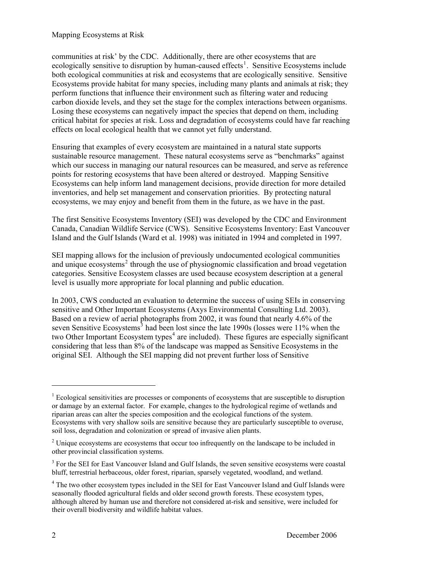communities at risk' by the CDC. Additionally, there are other ecosystems that are ecologically sensitive to disruption by human-caused effects<sup>[1](#page-11-0)</sup>. Sensitive Ecosystems include both ecological communities at risk and ecosystems that are ecologically sensitive. Sensitive Ecosystems provide habitat for many species, including many plants and animals at risk; they perform functions that influence their environment such as filtering water and reducing carbon dioxide levels, and they set the stage for the complex interactions between organisms. Losing these ecosystems can negatively impact the species that depend on them, including critical habitat for species at risk. Loss and degradation of ecosystems could have far reaching effects on local ecological health that we cannot yet fully understand.

Ensuring that examples of every ecosystem are maintained in a natural state supports sustainable resource management. These natural ecosystems serve as "benchmarks" against which our success in managing our natural resources can be measured, and serve as reference points for restoring ecosystems that have been altered or destroyed. Mapping Sensitive Ecosystems can help inform land management decisions, provide direction for more detailed inventories, and help set management and conservation priorities. By protecting natural ecosystems, we may enjoy and benefit from them in the future, as we have in the past.

The first Sensitive Ecosystems Inventory (SEI) was developed by the CDC and Environment Canada, Canadian Wildlife Service (CWS). Sensitive Ecosystems Inventory: East Vancouver Island and the Gulf Islands (Ward et al. 1998) was initiated in 1994 and completed in 1997.

SEI mapping allows for the inclusion of previously undocumented ecological communities and unique ecosystems<sup>[2](#page-11-1)</sup> through the use of physiognomic classification and broad vegetation categories. Sensitive Ecosystem classes are used because ecosystem description at a general level is usually more appropriate for local planning and public education.

In 2003, CWS conducted an evaluation to determine the success of using SEIs in conserving sensitive and Other Important Ecosystems (Axys Environmental Consulting Ltd. 2003). Based on a review of aerial photographs from 2002, it was found that nearly 4.6% of the seven Sensitive Ecosystems<sup>[3](#page-11-2)</sup> had been lost since the late 1990s (losses were 11% when the two Other Important Ecosystem types<sup> $4$ </sup> are included). These figures are especially significant considering that less than 8% of the landscape was mapped as Sensitive Ecosystems in the original SEI. Although the SEI mapping did not prevent further loss of Sensitive

1

<span id="page-11-0"></span> $1$  Ecological sensitivities are processes or components of ecosystems that are susceptible to disruption or damage by an external factor. For example, changes to the hydrological regime of wetlands and riparian areas can alter the species composition and the ecological functions of the system. Ecosystems with very shallow soils are sensitive because they are particularly susceptible to overuse, soil loss, degradation and colonization or spread of invasive alien plants.

<span id="page-11-1"></span> $2^2$  Unique ecosystems are ecosystems that occur too infrequently on the landscape to be included in other provincial classification systems.

<span id="page-11-2"></span><sup>&</sup>lt;sup>3</sup> For the SEI for East Vancouver Island and Gulf Islands, the seven sensitive ecosystems were coastal bluff, terrestrial herbaceous, older forest, riparian, sparsely vegetated, woodland, and wetland.

<span id="page-11-3"></span><sup>&</sup>lt;sup>4</sup> The two other ecosystem types included in the SEI for East Vancouver Island and Gulf Islands were seasonally flooded agricultural fields and older second growth forests. These ecosystem types, although altered by human use and therefore not considered at-risk and sensitive, were included for their overall biodiversity and wildlife habitat values.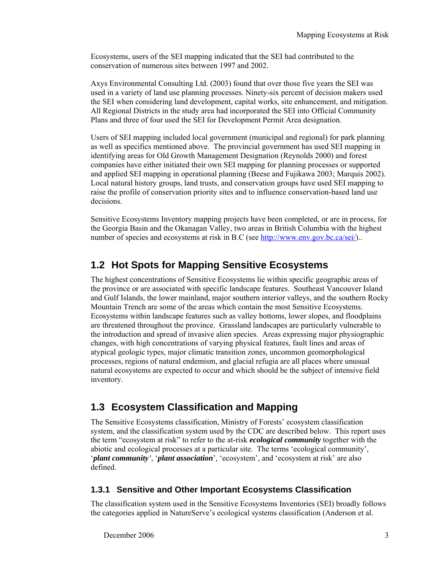<span id="page-12-0"></span>Ecosystems, users of the SEI mapping indicated that the SEI had contributed to the conservation of numerous sites between 1997 and 2002.

Axys Environmental Consulting Ltd. (2003) found that over those five years the SEI was used in a variety of land use planning processes. Ninety-six percent of decision makers used the SEI when considering land development, capital works, site enhancement, and mitigation. All Regional Districts in the study area had incorporated the SEI into Official Community Plans and three of four used the SEI for Development Permit Area designation.

Users of SEI mapping included local government (municipal and regional) for park planning as well as specifics mentioned above. The provincial government has used SEI mapping in identifying areas for Old Growth Management Designation (Reynolds 2000) and forest companies have either initiated their own SEI mapping for planning processes or supported and applied SEI mapping in operational planning (Beese and Fujikawa 2003; Marquis 2002). Local natural history groups, land trusts, and conservation groups have used SEI mapping to raise the profile of conservation priority sites and to influence conservation-based land use decisions.

Sensitive Ecosystems Inventory mapping projects have been completed, or are in process, for the Georgia Basin and the Okanagan Valley, two areas in British Columbia with the highest number of species and ecosystems at risk in B.C (see<http://www.env.gov.bc.ca/sei/>)...

## **1.2 Hot Spots for Mapping Sensitive Ecosystems**

The highest concentrations of Sensitive Ecosystems lie within specific geographic areas of the province or are associated with specific landscape features. Southeast Vancouver Island and Gulf Islands, the lower mainland, major southern interior valleys, and the southern Rocky Mountain Trench are some of the areas which contain the most Sensitive Ecosystems. Ecosystems within landscape features such as valley bottoms, lower slopes, and floodplains are threatened throughout the province. Grassland landscapes are particularly vulnerable to the introduction and spread of invasive alien species. Areas expressing major physiographic changes, with high concentrations of varying physical features, fault lines and areas of atypical geologic types, major climatic transition zones, uncommon geomorphological processes, regions of natural endemism, and glacial refugia are all places where unusual natural ecosystems are expected to occur and which should be the subject of intensive field inventory.

## **1.3 Ecosystem Classification and Mapping**

The Sensitive Ecosystems classification, Ministry of Forests' ecosystem classification system, and the classification system used by the CDC are described below. This report uses the term "ecosystem at risk" to refer to the at-risk *ecological community* together with the abiotic and ecological processes at a particular site. The terms 'ecological community', '*plant community'*, '*plant association*', 'ecosystem', and 'ecosystem at risk' are also defined.

#### **1.3.1 Sensitive and Other Important Ecosystems Classification**

The classification system used in the Sensitive Ecosystems Inventories (SEI) broadly follows the categories applied in NatureServe's ecological systems classification (Anderson et al.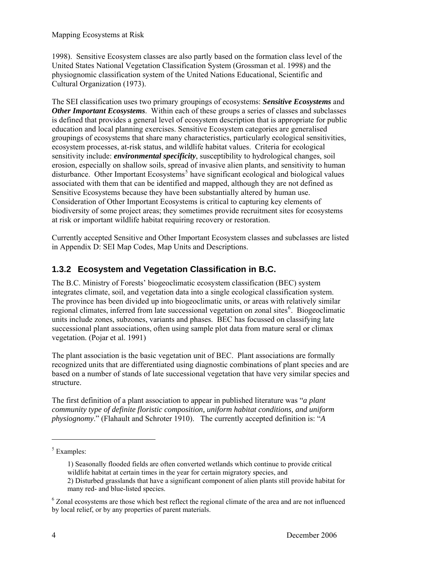<span id="page-13-0"></span>1998). Sensitive Ecosystem classes are also partly based on the formation class level of the United States National Vegetation Classification System (Grossman et al. 1998) and the physiognomic classification system of the United Nations Educational, Scientific and Cultural Organization (1973).

The SEI classification uses two primary groupings of ecosystems: *Sensitive Ecosystems* and *Other Important Ecosystems*. Within each of these groups a series of classes and subclasses is defined that provides a general level of ecosystem description that is appropriate for public education and local planning exercises. Sensitive Ecosystem categories are generalised groupings of ecosystems that share many characteristics, particularly ecological sensitivities, ecosystem processes, at-risk status, and wildlife habitat values. Criteria for ecological sensitivity include: *environmental specificity*, susceptibility to hydrological changes, soil erosion, especially on shallow soils, spread of invasive alien plants, and sensitivity to human disturbance. Other Important Ecosystems<sup>[5](#page-13-0)</sup> have significant ecological and biological values associated with them that can be identified and mapped, although they are not defined as Sensitive Ecosystems because they have been substantially altered by human use. Consideration of Other Important Ecosystems is critical to capturing key elements of biodiversity of some project areas; they sometimes provide recruitment sites for ecosystems at risk or important wildlife habitat requiring recovery or restoration.

Currently accepted Sensitive and Other Important Ecosystem classes and subclasses are listed in [Appendix D: SEI Map Codes, Map Units and Descriptions](#page-73-1).

#### **1.3.2 Ecosystem and Vegetation Classification in B.C.**

The B.C. Ministry of Forests' biogeoclimatic ecosystem classification (BEC) system integrates climate, soil, and vegetation data into a single ecological classification system. The province has been divided up into biogeoclimatic units, or areas with relatively similar regional climates, inferred from late successional vegetation on zonal sites<sup>[6](#page-13-0)</sup>. Biogeoclimatic units include zones, subzones, variants and phases. BEC has focussed on classifying late successional plant associations, often using sample plot data from mature seral or climax vegetation. (Pojar et al. 1991)

The plant association is the basic vegetation unit of BEC. Plant associations are formally recognized units that are differentiated using diagnostic combinations of plant species and are based on a number of stands of late successional vegetation that have very similar species and structure.

The first definition of a plant association to appear in published literature was "*a plant community type of definite floristic composition, uniform habitat conditions, and uniform physiognomy*." (Flahault and Schroter 1910). The currently accepted definition is: "*A* 

l

<sup>5</sup> Examples:

<sup>1)</sup> Seasonally flooded fields are often converted wetlands which continue to provide critical wildlife habitat at certain times in the year for certain migratory species, and

<sup>2)</sup> Disturbed grasslands that have a significant component of alien plants still provide habitat for many red- and blue-listed species.

<sup>&</sup>lt;sup>6</sup> Zonal ecosystems are those which best reflect the regional climate of the area and are not influenced by local relief, or by any properties of parent materials.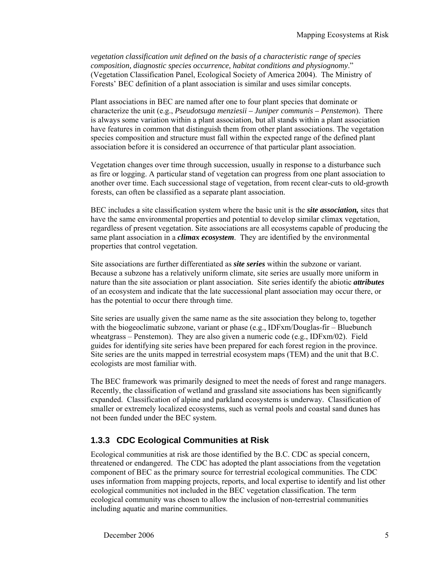<span id="page-14-0"></span>*vegetation classification unit defined on the basis of a characteristic range of species composition, diagnostic species occurrence, habitat conditions and physiognomy*." (Vegetation Classification Panel, Ecological Society of America 2004). The Ministry of Forests' BEC definition of a plant association is similar and uses similar concepts.

Plant associations in BEC are named after one to four plant species that dominate or characterize the unit (e.g., *Pseudotsuga menziesii – Juniper communis – Penstemon*). There is always some variation within a plant association, but all stands within a plant association have features in common that distinguish them from other plant associations. The vegetation species composition and structure must fall within the expected range of the defined plant association before it is considered an occurrence of that particular plant association.

Vegetation changes over time through succession, usually in response to a disturbance such as fire or logging. A particular stand of vegetation can progress from one plant association to another over time. Each successional stage of vegetation, from recent clear-cuts to old-growth forests, can often be classified as a separate plant association.

BEC includes a site classification system where the basic unit is the *site association,* sites that have the same environmental properties and potential to develop similar climax vegetation, regardless of present vegetation. Site associations are all ecosystems capable of producing the same plant association in a *climax ecosystem*. They are identified by the environmental properties that control vegetation.

Site associations are further differentiated as *site series* within the subzone or variant. Because a subzone has a relatively uniform climate, site series are usually more uniform in nature than the site association or plant association. Site series identify the abiotic *attributes* of an ecosystem and indicate that the late successional plant association may occur there, or has the potential to occur there through time.

Site series are usually given the same name as the site association they belong to, together with the biogeoclimatic subzone, variant or phase (e.g., IDFxm/Douglas-fir – Bluebunch wheatgrass – Penstemon). They are also given a numeric code (e.g., IDFxm/02). Field guides for identifying site series have been prepared for each forest region in the province. Site series are the units mapped in terrestrial ecosystem maps (TEM) and the unit that B.C. ecologists are most familiar with.

The BEC framework was primarily designed to meet the needs of forest and range managers. Recently, the classification of wetland and grassland site associations has been significantly expanded. Classification of alpine and parkland ecosystems is underway. Classification of smaller or extremely localized ecosystems, such as vernal pools and coastal sand dunes has not been funded under the BEC system.

#### **1.3.3 CDC Ecological Communities at Risk**

Ecological communities at risk are those identified by the B.C. CDC as special concern, threatened or endangered. The CDC has adopted the plant associations from the vegetation component of BEC as the primary source for terrestrial ecological communities. The CDC uses information from mapping projects, reports, and local expertise to identify and list other ecological communities not included in the BEC vegetation classification. The term ecological community was chosen to allow the inclusion of non-terrestrial communities including aquatic and marine communities.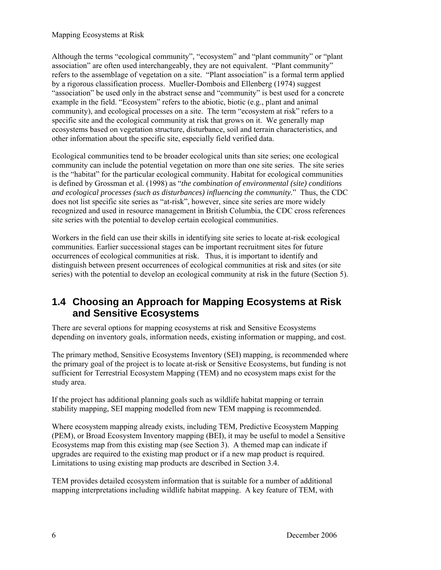<span id="page-15-0"></span>Although the terms "ecological community", "ecosystem" and "plant community" or "plant association" are often used interchangeably, they are not equivalent. "Plant community" refers to the assemblage of vegetation on a site. "Plant association" is a formal term applied by a rigorous classification process. Mueller-Dombois and Ellenberg (1974) suggest "association" be used only in the abstract sense and "community" is best used for a concrete example in the field. "Ecosystem" refers to the abiotic, biotic (e.g., plant and animal community), and ecological processes on a site. The term "ecosystem at risk" refers to a specific site and the ecological community at risk that grows on it. We generally map ecosystems based on vegetation structure, disturbance, soil and terrain characteristics, and other information about the specific site, especially field verified data.

Ecological communities tend to be broader ecological units than site series; one ecological community can include the potential vegetation on more than one site series. The site series is the "habitat" for the particular ecological community. Habitat for ecological communities is defined by Grossman et al. (1998) as "*the combination of environmental (site) conditions and ecological processes (such as disturbances) influencing the community.*" Thus, the CDC does not list specific site series as "at-risk", however, since site series are more widely recognized and used in resource management in British Columbia, the CDC cross references site series with the potential to develop certain ecological communities.

Workers in the field can use their skills in identifying site series to locate at-risk ecological communities. Earlier successional stages can be important recruitment sites for future occurrences of ecological communities at risk. Thus, it is important to identify and distinguish between present occurrences of ecological communities at risk and sites (or site series) with the potential to develop an ecological community at risk in the future (Section [5](#page-59-1)).

## **1.4 Choosing an Approach for Mapping Ecosystems at Risk and Sensitive Ecosystems**

There are several options for mapping ecosystems at risk and Sensitive Ecosystems depending on inventory goals, information needs, existing information or mapping, and cost.

The primary method, Sensitive Ecosystems Inventory (SEI) mapping, is recommended where the primary goal of the project is to locate at-risk or Sensitive Ecosystems, but funding is not sufficient for Terrestrial Ecosystem Mapping (TEM) and no ecosystem maps exist for the study area.

If the project has additional planning goals such as wildlife habitat mapping or terrain stability mapping, SEI mapping modelled from new TEM mapping is recommended.

Where ecosystem mapping already exists, including TEM, Predictive Ecosystem Mapping (PEM), or Broad Ecosystem Inventory mapping (BEI), it may be useful to model a Sensitive Ecosystems map from this existing map (see Section [3](#page-37-1)). A themed map can indicate if upgrades are required to the existing map product or if a new map product is required. Limitations to using existing map products are described in Section [3.4](#page-46-1).

TEM provides detailed ecosystem information that is suitable for a number of additional mapping interpretations including wildlife habitat mapping. A key feature of TEM, with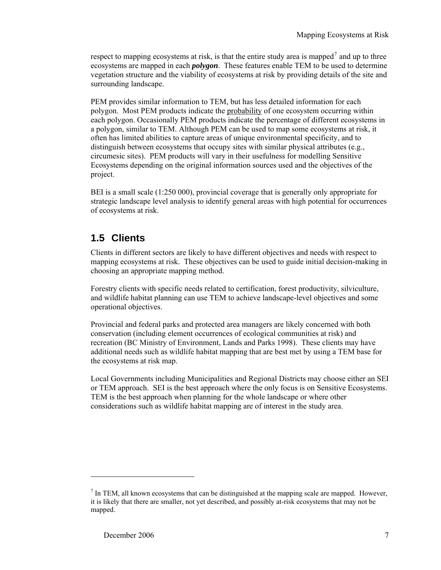<span id="page-16-0"></span>respect to mapping ecosystems at risk, is that the entire study area is mapped<sup>[7](#page-16-0)</sup> and up to three ecosystems are mapped in each *polygon*. These features enable TEM to be used to determine vegetation structure and the viability of ecosystems at risk by providing details of the site and surrounding landscape.

PEM provides similar information to TEM, but has less detailed information for each polygon. Most PEM products indicate the probability of one ecosystem occurring within each polygon. Occasionally PEM products indicate the percentage of different ecosystems in a polygon, similar to TEM. Although PEM can be used to map some ecosystems at risk, it often has limited abilities to capture areas of unique environmental specificity, and to distinguish between ecosystems that occupy sites with similar physical attributes (e.g., circumesic sites). PEM products will vary in their usefulness for modelling Sensitive Ecosystems depending on the original information sources used and the objectives of the project.

BEI is a small scale (1:250 000), provincial coverage that is generally only appropriate for strategic landscape level analysis to identify general areas with high potential for occurrences of ecosystems at risk.

## <span id="page-16-1"></span>**1.5 Clients**

Clients in different sectors are likely to have different objectives and needs with respect to mapping ecosystems at risk. These objectives can be used to guide initial decision-making in choosing an appropriate mapping method.

Forestry clients with specific needs related to certification, forest productivity, silviculture, and wildlife habitat planning can use TEM to achieve landscape-level objectives and some operational objectives.

Provincial and federal parks and protected area managers are likely concerned with both conservation (including element occurrences of ecological communities at risk) and recreation (BC Ministry of Environment, Lands and Parks 1998). These clients may have additional needs such as wildlife habitat mapping that are best met by using a TEM base for the ecosystems at risk map.

Local Governments including Municipalities and Regional Districts may choose either an SEI or TEM approach. SEI is the best approach where the only focus is on Sensitive Ecosystems. TEM is the best approach when planning for the whole landscape or where other considerations such as wildlife habitat mapping are of interest in the study area.

l

 $<sup>7</sup>$  In TEM, all known ecosystems that can be distinguished at the mapping scale are mapped. However,</sup> it is likely that there are smaller, not yet described, and possibly at-risk ecosystems that may not be mapped.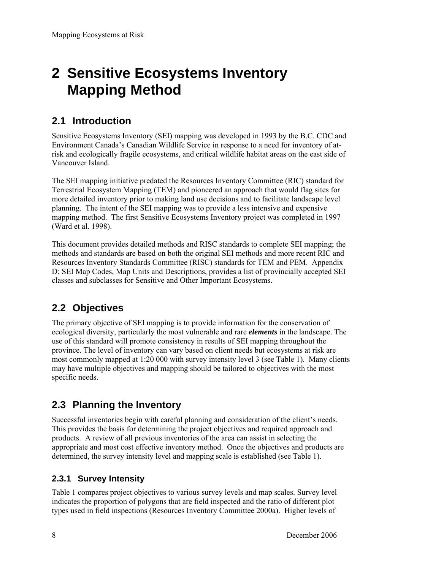## <span id="page-17-0"></span>**2 Sensitive Ecosystems Inventory Mapping Method**

## **2.1 Introduction**

Sensitive Ecosystems Inventory (SEI) mapping was developed in 1993 by the B.C. CDC and Environment Canada's Canadian Wildlife Service in response to a need for inventory of atrisk and ecologically fragile ecosystems, and critical wildlife habitat areas on the east side of Vancouver Island.

The SEI mapping initiative predated the Resources Inventory Committee (RIC) standard for Terrestrial Ecosystem Mapping (TEM) and pioneered an approach that would flag sites for more detailed inventory prior to making land use decisions and to facilitate landscape level planning. The intent of the SEI mapping was to provide a less intensive and expensive mapping method. The first Sensitive Ecosystems Inventory project was completed in 1997 (Ward et al. 1998).

This document provides detailed methods and RISC standards to complete SEI mapping; the methods and standards are based on both the original SEI methods and more recent RIC and Resources Inventory Standards Committee (RISC) standards for TEM and PEM. [Appendix](#page-73-1)  [D: SEI Map Codes, Map Units and Descriptions,](#page-73-1) provides a list of provincially accepted SEI classes and subclasses for Sensitive and Other Important Ecosystems.

## **2.2 Objectives**

The primary objective of SEI mapping is to provide information for the conservation of ecological diversity, particularly the most vulnerable and rare *elements* in the landscape. The use of this standard will promote consistency in results of SEI mapping throughout the province. The level of inventory can vary based on client needs but ecosystems at risk are most commonly mapped at 1:20 000 with survey intensity level 3 (see [Table 1\)](#page-19-0). Many clients may have multiple objectives and mapping should be tailored to objectives with the most specific needs.

## **2.3 Planning the Inventory**

Successful inventories begin with careful planning and consideration of the client's needs. This provides the basis for determining the project objectives and required approach and products. A review of all previous inventories of the area can assist in selecting the appropriate and most cost effective inventory method. Once the objectives and products are determined, the survey intensity level and mapping scale is established (see [Table 1](#page-19-0)).

#### **2.3.1 Survey Intensity**

[Table 1](#page-19-0) compares project objectives to various survey levels and map scales. Survey level indicates the proportion of polygons that are field inspected and the ratio of different plot types used in field inspections (Resources Inventory Committee 2000a). Higher levels of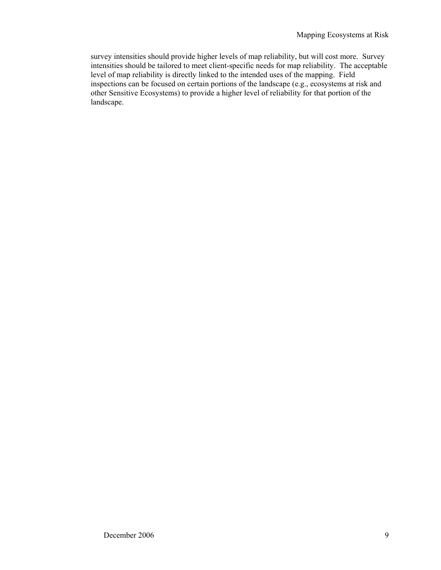survey intensities should provide higher levels of map reliability, but will cost more. Survey intensities should be tailored to meet client-specific needs for map reliability. The acceptable level of map reliability is directly linked to the intended uses of the mapping. Field inspections can be focused on certain portions of the landscape (e.g., ecosystems at risk and other Sensitive Ecosystems) to provide a higher level of reliability for that portion of the landscape.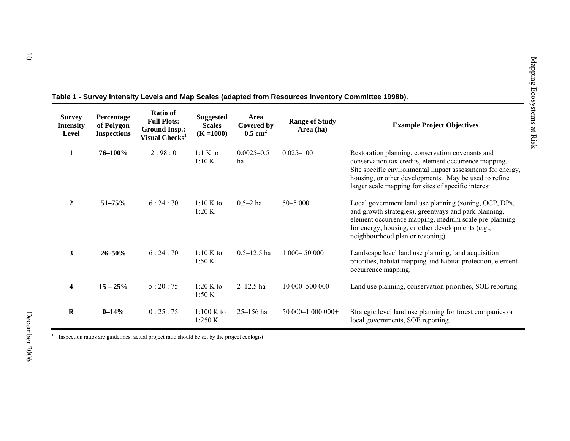| <b>Survey</b><br><b>Intensity</b><br>Level | Percentage<br>of Polygon<br><b>Inspections</b> | Ratio of<br><b>Full Plots:</b><br><b>Ground Insp.:</b><br>Visual Checks <sup>1</sup> | <b>Suggested</b><br><b>Scales</b><br>$(K = 1000)$ | Area<br><b>Covered by</b><br>$0.5 \text{ cm}^2$ | <b>Range of Study</b><br>Area (ha) | <b>Example Project Objectives</b>                                                                                                                                                                                                                                                        |
|--------------------------------------------|------------------------------------------------|--------------------------------------------------------------------------------------|---------------------------------------------------|-------------------------------------------------|------------------------------------|------------------------------------------------------------------------------------------------------------------------------------------------------------------------------------------------------------------------------------------------------------------------------------------|
| 1                                          | 76-100%                                        | 2:98:0                                                                               | 1:1 K to<br>1:10 K                                | $0.0025 - 0.5$<br>ha                            | $0.025 - 100$                      | Restoration planning, conservation covenants and<br>conservation tax credits, element occurrence mapping.<br>Site specific environmental impact assessments for energy,<br>housing, or other developments. May be used to refine<br>larger scale mapping for sites of specific interest. |
| $\overline{2}$                             | $51 - 75%$                                     | 6:24:70                                                                              | 1:10 K to<br>1:20 K                               | $0.5 - 2$ ha                                    | 50-5 000                           | Local government land use planning (zoning, OCP, DPs,<br>and growth strategies), greenways and park planning,<br>element occurrence mapping, medium scale pre-planning<br>for energy, housing, or other developments (e.g.,<br>neighbourhood plan or rezoning).                          |
| 3                                          | $26 - 50%$                                     | 6:24:70                                                                              | 1:10 K to<br>1:50 K                               | $0.5 - 12.5$ ha                                 | $1000 - 50000$                     | Landscape level land use planning, land acquisition<br>priorities, habitat mapping and habitat protection, element<br>occurrence mapping.                                                                                                                                                |
| $\boldsymbol{4}$                           | $15 - 25%$                                     | 5:20:75                                                                              | 1:20 K to<br>1:50 K                               | $2 - 12.5$ ha                                   | 10 000-500 000                     | Land use planning, conservation priorities, SOE reporting.                                                                                                                                                                                                                               |
| $\mathbf R$                                | $0 - 14%$                                      | 0:25:75                                                                              | $1:100$ K to<br>1:250 K                           | $25 - 156$ ha                                   | 50 000-1 000 000+                  | Strategic level land use planning for forest companies or<br>local governments, SOE reporting.                                                                                                                                                                                           |

<span id="page-19-0"></span>

|  |  |  |  |  |  | Table 1 - Survey Intensity Levels and Map Scales (adapted from Resources Inventory Committee 1998b). |  |
|--|--|--|--|--|--|------------------------------------------------------------------------------------------------------|--|
|--|--|--|--|--|--|------------------------------------------------------------------------------------------------------|--|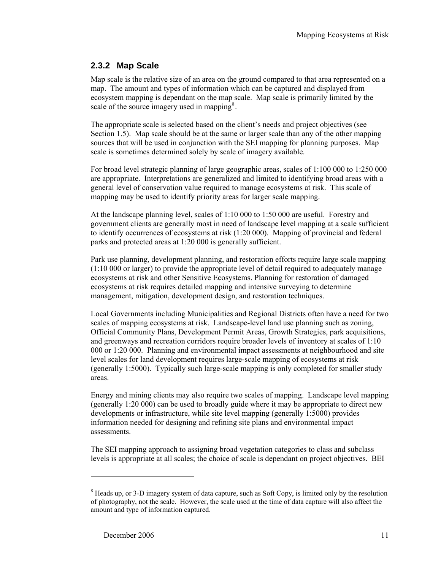#### <span id="page-20-0"></span>**2.3.2 Map Scale**

Map scale is the relative size of an area on the ground compared to that area represented on a map. The amount and types of information which can be captured and displayed from ecosystem mapping is dependant on the map scale. Map scale is primarily limited by the scale of the source imagery used in mapping<sup>[8](#page-20-0)</sup>.

The appropriate scale is selected based on the client's needs and project objectives (see Section [1.5\)](#page-16-1). Map scale should be at the same or larger scale than any of the other mapping sources that will be used in conjunction with the SEI mapping for planning purposes. Map scale is sometimes determined solely by scale of imagery available.

For broad level strategic planning of large geographic areas, scales of 1:100 000 to 1:250 000 are appropriate. Interpretations are generalized and limited to identifying broad areas with a general level of conservation value required to manage ecosystems at risk. This scale of mapping may be used to identify priority areas for larger scale mapping.

At the landscape planning level, scales of 1:10 000 to 1:50 000 are useful. Forestry and government clients are generally most in need of landscape level mapping at a scale sufficient to identify occurrences of ecosystems at risk (1:20 000). Mapping of provincial and federal parks and protected areas at 1:20 000 is generally sufficient.

Park use planning, development planning, and restoration efforts require large scale mapping (1:10 000 or larger) to provide the appropriate level of detail required to adequately manage ecosystems at risk and other Sensitive Ecosystems. Planning for restoration of damaged ecosystems at risk requires detailed mapping and intensive surveying to determine management, mitigation, development design, and restoration techniques.

Local Governments including Municipalities and Regional Districts often have a need for two scales of mapping ecosystems at risk. Landscape-level land use planning such as zoning, Official Community Plans, Development Permit Areas, Growth Strategies, park acquisitions, and greenways and recreation corridors require broader levels of inventory at scales of 1:10 000 or 1:20 000. Planning and environmental impact assessments at neighbourhood and site level scales for land development requires large-scale mapping of ecosystems at risk (generally 1:5000). Typically such large-scale mapping is only completed for smaller study areas.

Energy and mining clients may also require two scales of mapping. Landscape level mapping (generally 1:20 000) can be used to broadly guide where it may be appropriate to direct new developments or infrastructure, while site level mapping (generally 1:5000) provides information needed for designing and refining site plans and environmental impact assessments.

The SEI mapping approach to assigning broad vegetation categories to class and subclass levels is appropriate at all scales; the choice of scale is dependant on project objectives. BEI

1

 $8$  Heads up, or 3-D imagery system of data capture, such as Soft Copy, is limited only by the resolution of photography, not the scale. However, the scale used at the time of data capture will also affect the amount and type of information captured.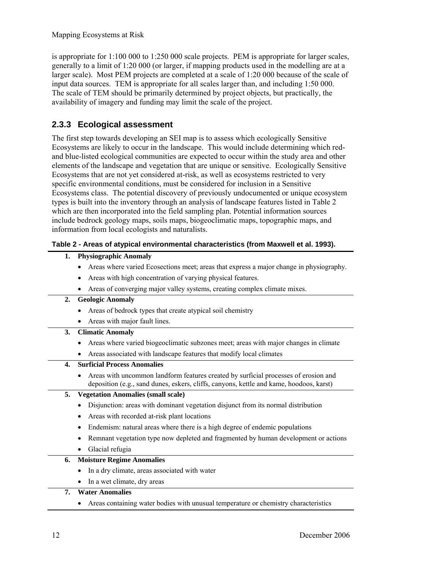<span id="page-21-0"></span>is appropriate for 1:100 000 to 1:250 000 scale projects. PEM is appropriate for larger scales, generally to a limit of 1:20 000 (or larger, if mapping products used in the modelling are at a larger scale). Most PEM projects are completed at a scale of 1:20 000 because of the scale of input data sources. TEM is appropriate for all scales larger than, and including 1:50 000. The scale of TEM should be primarily determined by project objects, but practically, the availability of imagery and funding may limit the scale of the project.

#### <span id="page-21-2"></span>**2.3.3 Ecological assessment**

The first step towards developing an SEI map is to assess which ecologically Sensitive Ecosystems are likely to occur in the landscape. This would include determining which redand blue-listed ecological communities are expected to occur within the study area and other elements of the landscape and vegetation that are unique or sensitive. Ecologically Sensitive Ecosystems that are not yet considered at-risk, as well as ecosystems restricted to very specific environmental conditions, must be considered for inclusion in a Sensitive Ecosystems class. The potential discovery of previously undocumented or unique ecosystem types is built into the inventory through an analysis of landscape features listed in [Table 2](#page-21-1) which are then incorporated into the field sampling plan. Potential information sources include bedrock geology maps, soils maps, biogeoclimatic maps, topographic maps, and information from local ecologists and naturalists.

#### <span id="page-21-1"></span>**Table 2 - Areas of atypical environmental characteristics (from Maxwell et al. 1993).**

#### **1. Physiographic Anomaly**

- Areas where varied Ecosections meet; areas that express a major change in physiography.
- Areas with high concentration of varying physical features.
- Areas of converging major valley systems, creating complex climate mixes.
- **2. Geologic Anomaly** 
	- Areas of bedrock types that create atypical soil chemistry
	- Areas with major fault lines.
- **3. Climatic Anomaly** 
	- Areas where varied biogeoclimatic subzones meet; areas with major changes in climate
	- Areas associated with landscape features that modify local climates

#### **4. Surficial Process Anomalies**

• Areas with uncommon landform features created by surficial processes of erosion and deposition (e.g., sand dunes, eskers, cliffs, canyons, kettle and kame, hoodoos, karst)

#### **5. Vegetation Anomalies (small scale)**

- Disjunction: areas with dominant vegetation disjunct from its normal distribution
- Areas with recorded at-risk plant locations
- Endemism: natural areas where there is a high degree of endemic populations
- Remnant vegetation type now depleted and fragmented by human development or actions
- Glacial refugia

#### **6. Moisture Regime Anomalies**

- In a dry climate, areas associated with water
- In a wet climate, dry areas
- **7. Water Anomalies** 
	- Areas containing water bodies with unusual temperature or chemistry characteristics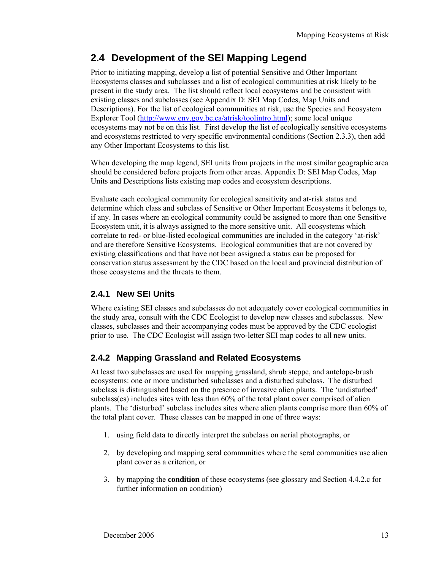## <span id="page-22-0"></span>**2.4 Development of the SEI Mapping Legend**

Prior to initiating mapping, develop a list of potential Sensitive and Other Important Ecosystems classes and subclasses and a list of ecological communities at risk likely to be present in the study area. The list should reflect local ecosystems and be consistent with existing classes and subclasses (see [Appendix D: SEI Map Codes, Map Units and](#page-73-1)  [Descriptions\)](#page-73-1). For the list of ecological communities at risk, use the Species and Ecosystem Explorer Tool [\(http://www.env.gov.bc.ca/atrisk/toolintro.html](http://www.env.gov.bc.ca/atrisk/toolintro.html)); some local unique ecosystems may not be on this list. First develop the list of ecologically sensitive ecosystems and ecosystems restricted to very specific environmental conditions (Section [2.3.3\)](#page-21-2), then add any Other Important Ecosystems to this list.

When developing the map legend, SEI units from projects in the most similar geographic area should be considered before projects from other areas. [Appendix D: SEI Map Codes, Map](#page-73-1)  [Units and Descriptions](#page-73-1) lists existing map codes and ecosystem descriptions.

Evaluate each ecological community for ecological sensitivity and at-risk status and determine which class and subclass of Sensitive or Other Important Ecosystems it belongs to, if any. In cases where an ecological community could be assigned to more than one Sensitive Ecosystem unit, it is always assigned to the more sensitive unit. All ecosystems which correlate to red- or blue-listed ecological communities are included in the category 'at-risk' and are therefore Sensitive Ecosystems. Ecological communities that are not covered by existing classifications and that have not been assigned a status can be proposed for conservation status assessment by the CDC based on the local and provincial distribution of those ecosystems and the threats to them.

#### **2.4.1 New SEI Units**

Where existing SEI classes and subclasses do not adequately cover ecological communities in the study area, consult with the CDC Ecologist to develop new classes and subclasses. New classes, subclasses and their accompanying codes must be approved by the CDC ecologist prior to use. The CDC Ecologist will assign two-letter SEI map codes to all new units.

#### **2.4.2 Mapping Grassland and Related Ecosystems**

At least two subclasses are used for mapping grassland, shrub steppe, and antelope-brush ecosystems: one or more undisturbed subclasses and a disturbed subclass. The disturbed subclass is distinguished based on the presence of invasive alien plants. The 'undisturbed' subclass(es) includes sites with less than 60% of the total plant cover comprised of alien plants. The 'disturbed' subclass includes sites where alien plants comprise more than 60% of the total plant cover. These classes can be mapped in one of three ways:

- 1. using field data to directly interpret the subclass on aerial photographs, or
- 2. by developing and mapping seral communities where the seral communities use alien plant cover as a criterion, or
- 3. by mapping the **condition** of these ecosystems (see glossary and Section [4.4.2.c](#page-52-0) for further information on condition)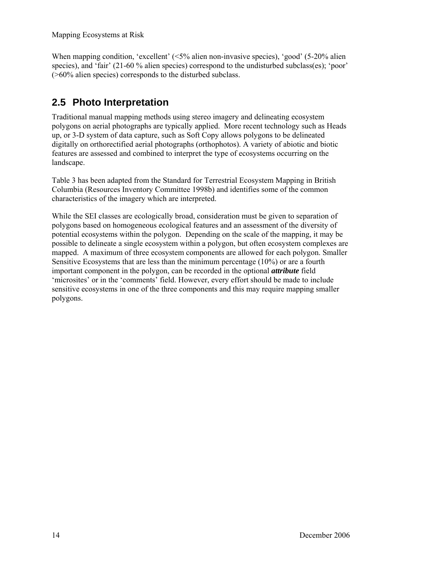<span id="page-23-0"></span>When mapping condition, 'excellent' (<5% alien non-invasive species), 'good' (5-20% alien species), and 'fair' (21-60 % alien species) correspond to the undisturbed subclass(es); 'poor' (>60% alien species) corresponds to the disturbed subclass.

## **2.5 Photo Interpretation**

Traditional manual mapping methods using stereo imagery and delineating ecosystem polygons on aerial photographs are typically applied. More recent technology such as Heads up, or 3-D system of data capture, such as Soft Copy allows polygons to be delineated digitally on orthorectified aerial photographs (orthophotos). A variety of abiotic and biotic features are assessed and combined to interpret the type of ecosystems occurring on the landscape.

[Table 3](#page-24-1) has been adapted from the Standard for Terrestrial Ecosystem Mapping in British Columbia (Resources Inventory Committee 1998b) and identifies some of the common characteristics of the imagery which are interpreted.

While the SEI classes are ecologically broad, consideration must be given to separation of polygons based on homogeneous ecological features and an assessment of the diversity of potential ecosystems within the polygon. Depending on the scale of the mapping, it may be possible to delineate a single ecosystem within a polygon, but often ecosystem complexes are mapped. A maximum of three ecosystem components are allowed for each polygon. Smaller Sensitive Ecosystems that are less than the minimum percentage (10%) or are a fourth important component in the polygon, can be recorded in the optional *attribute* field 'microsites' or in the 'comments' field. However, every effort should be made to include sensitive ecosystems in one of the three components and this may require mapping smaller polygons.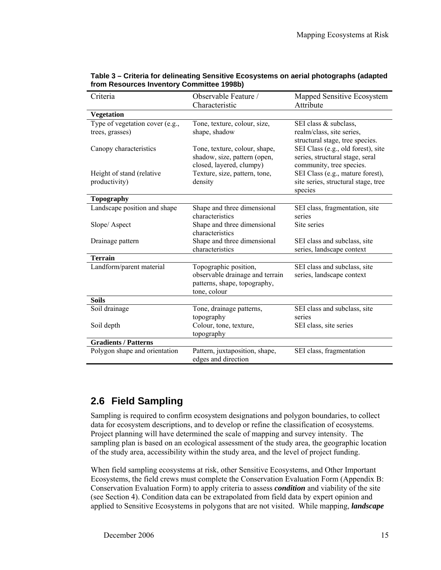<span id="page-24-1"></span>

| Criteria                                           | Observable Feature /                                                                                     | Mapped Sensitive Ecosystem                                                                        |
|----------------------------------------------------|----------------------------------------------------------------------------------------------------------|---------------------------------------------------------------------------------------------------|
|                                                    | Characteristic                                                                                           | Attribute                                                                                         |
| <b>Vegetation</b>                                  |                                                                                                          |                                                                                                   |
| Type of vegetation cover (e.g.,<br>trees, grasses) | Tone, texture, colour, size,<br>shape, shadow                                                            | SEI class & subclass,<br>realm/class, site series,<br>structural stage, tree species.             |
| Canopy characteristics                             | Tone, texture, colour, shape,<br>shadow, size, pattern (open,<br>closed, layered, clumpy)                | SEI Class (e.g., old forest), site<br>series, structural stage, seral<br>community, tree species. |
| Height of stand (relative<br>productivity)         | Texture, size, pattern, tone,<br>density                                                                 | SEI Class (e.g., mature forest),<br>site series, structural stage, tree<br>species                |
| <b>Topography</b>                                  |                                                                                                          |                                                                                                   |
| Landscape position and shape                       | Shape and three dimensional<br>characteristics                                                           | SEI class, fragmentation, site<br>series                                                          |
| Slope/Aspect                                       | Shape and three dimensional<br>characteristics                                                           | Site series                                                                                       |
| Drainage pattern                                   | Shape and three dimensional<br>characteristics                                                           | SEI class and subclass, site<br>series, landscape context                                         |
| <b>Terrain</b>                                     |                                                                                                          |                                                                                                   |
| Landform/parent material                           | Topographic position,<br>observable drainage and terrain<br>patterns, shape, topography,<br>tone, colour | SEI class and subclass, site<br>series, landscape context                                         |
| <b>Soils</b>                                       |                                                                                                          |                                                                                                   |
| Soil drainage                                      | Tone, drainage patterns,<br>topography                                                                   | SEI class and subclass, site<br>series                                                            |
| Soil depth                                         | Colour, tone, texture,<br>topography                                                                     | SEI class, site series                                                                            |
| <b>Gradients / Patterns</b>                        |                                                                                                          |                                                                                                   |
| Polygon shape and orientation                      | Pattern, juxtaposition, shape,<br>edges and direction                                                    | SEI class, fragmentation                                                                          |

#### <span id="page-24-0"></span>**Table 3 – Criteria for delineating Sensitive Ecosystems on aerial photographs (adapted from Resources Inventory Committee 1998b)**

## **2.6 Field Sampling**

Sampling is required to confirm ecosystem designations and polygon boundaries, to collect data for ecosystem descriptions, and to develop or refine the classification of ecosystems. Project planning will have determined the scale of mapping and survey intensity. The sampling plan is based on an ecological assessment of the study area, the geographic location of the study area, accessibility within the study area, and the level of project funding.

When field sampling ecosystems at risk, other Sensitive Ecosystems, and Other Important Ecosystems, the field crews must complete the Conservation Evaluation Form [\(Appendix B:](#page-70-0)  [Conservation Evaluation Form\)](#page-70-0) to apply criteria to assess *condition* and viability of the site (see Section [4\)](#page-47-1). Condition data can be extrapolated from field data by expert opinion and applied to Sensitive Ecosystems in polygons that are not visited. While mapping, *landscape*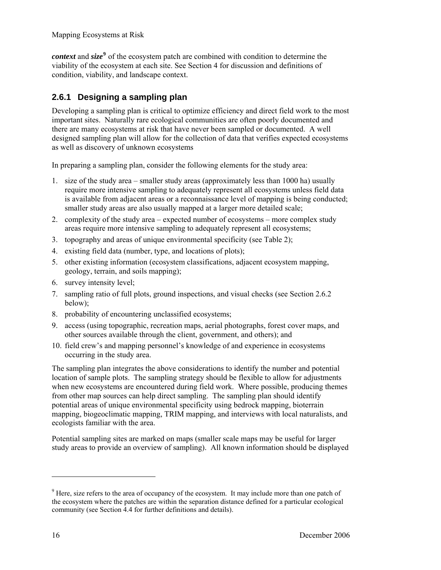<span id="page-25-0"></span>*context* and *size***[9](#page-25-0)** of the ecosystem patch are combined with condition to determine the viability of the ecosystem at each site. See Section [4](#page-47-1) for discussion and definitions of condition, viability, and landscape context.

#### **2.6.1 Designing a sampling plan**

Developing a sampling plan is critical to optimize efficiency and direct field work to the most important sites. Naturally rare ecological communities are often poorly documented and there are many ecosystems at risk that have never been sampled or documented. A well designed sampling plan will allow for the collection of data that verifies expected ecosystems as well as discovery of unknown ecosystems

In preparing a sampling plan, consider the following elements for the study area:

- 1. size of the study area smaller study areas (approximately less than 1000 ha) usually require more intensive sampling to adequately represent all ecosystems unless field data is available from adjacent areas or a reconnaissance level of mapping is being conducted; smaller study areas are also usually mapped at a larger more detailed scale;
- 2. complexity of the study area expected number of ecosystems more complex study areas require more intensive sampling to adequately represent all ecosystems;
- 3. topography and areas of unique environmental specificity (see [Table 2](#page-21-1));
- 4. existing field data (number, type, and locations of plots);
- 5. other existing information (ecosystem classifications, adjacent ecosystem mapping, geology, terrain, and soils mapping);
- 6. survey intensity level;
- 7. sampling ratio of full plots, ground inspections, and visual checks (see Section [2.6.2](#page-26-1) below);
- 8. probability of encountering unclassified ecosystems;
- 9. access (using topographic, recreation maps, aerial photographs, forest cover maps, and other sources available through the client, government, and others); and
- 10. field crew's and mapping personnel's knowledge of and experience in ecosystems occurring in the study area.

The sampling plan integrates the above considerations to identify the number and potential location of sample plots. The sampling strategy should be flexible to allow for adjustments when new ecosystems are encountered during field work. Where possible, producing themes from other map sources can help direct sampling. The sampling plan should identify potential areas of unique environmental specificity using bedrock mapping, bioterrain mapping, biogeoclimatic mapping, TRIM mapping, and interviews with local naturalists, and ecologists familiar with the area.

Potential sampling sites are marked on maps (smaller scale maps may be useful for larger study areas to provide an overview of sampling). All known information should be displayed

1

 $9$  Here, size refers to the area of occupancy of the ecosystem. It may include more than one patch of the ecosystem where the patches are within the separation distance defined for a particular ecological community (see Section 4.4 for further definitions and details).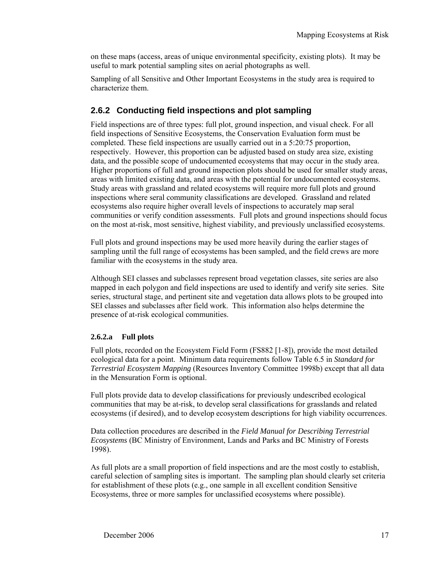<span id="page-26-0"></span>on these maps (access, areas of unique environmental specificity, existing plots). It may be useful to mark potential sampling sites on aerial photographs as well.

Sampling of all Sensitive and Other Important Ecosystems in the study area is required to characterize them.

#### <span id="page-26-1"></span>**2.6.2 Conducting field inspections and plot sampling**

Field inspections are of three types: full plot, ground inspection, and visual check. For all field inspections of Sensitive Ecosystems, the Conservation Evaluation form must be completed. These field inspections are usually carried out in a 5:20:75 proportion, respectively. However, this proportion can be adjusted based on study area size, existing data, and the possible scope of undocumented ecosystems that may occur in the study area. Higher proportions of full and ground inspection plots should be used for smaller study areas, areas with limited existing data, and areas with the potential for undocumented ecosystems. Study areas with grassland and related ecosystems will require more full plots and ground inspections where seral community classifications are developed. Grassland and related ecosystems also require higher overall levels of inspections to accurately map seral communities or verify condition assessments. Full plots and ground inspections should focus on the most at-risk, most sensitive, highest viability, and previously unclassified ecosystems.

Full plots and ground inspections may be used more heavily during the earlier stages of sampling until the full range of ecosystems has been sampled, and the field crews are more familiar with the ecosystems in the study area.

Although SEI classes and subclasses represent broad vegetation classes, site series are also mapped in each polygon and field inspections are used to identify and verify site series. Site series, structural stage, and pertinent site and vegetation data allows plots to be grouped into SEI classes and subclasses after field work. This information also helps determine the presence of at-risk ecological communities.

#### **2.6.2.a Full plots**

Full plots, recorded on the Ecosystem Field Form (FS882 [1-8]), provide the most detailed ecological data for a point. Minimum data requirements follow Table 6.5 in *Standard for Terrestrial Ecosystem Mapping* (Resources Inventory Committee 1998b) except that all data in the Mensuration Form is optional.

Full plots provide data to develop classifications for previously undescribed ecological communities that may be at-risk, to develop seral classifications for grasslands and related ecosystems (if desired), and to develop ecosystem descriptions for high viability occurrences.

Data collection procedures are described in the *Field Manual for Describing Terrestrial Ecosystems* (BC Ministry of Environment, Lands and Parks and BC Ministry of Forests 1998).

As full plots are a small proportion of field inspections and are the most costly to establish, careful selection of sampling sites is important. The sampling plan should clearly set criteria for establishment of these plots (e.g., one sample in all excellent condition Sensitive Ecosystems, three or more samples for unclassified ecosystems where possible).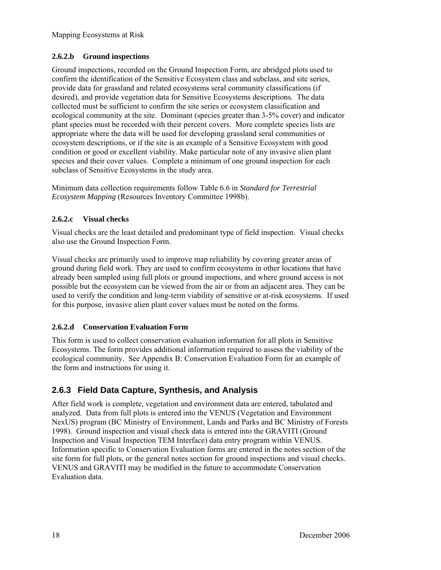#### <span id="page-27-0"></span>**2.6.2.b Ground inspections**

Ground inspections, recorded on the Ground Inspection Form, are abridged plots used to confirm the identification of the Sensitive Ecosystem class and subclass, and site series, provide data for grassland and related ecosystems seral community classifications (if desired), and provide vegetation data for Sensitive Ecosystems descriptions. The data collected must be sufficient to confirm the site series or ecosystem classification and ecological community at the site. Dominant (species greater than 3-5% cover) and indicator plant species must be recorded with their percent covers. More complete species lists are appropriate where the data will be used for developing grassland seral communities or ecosystem descriptions, or if the site is an example of a Sensitive Ecosystem with good condition or good or excellent viability. Make particular note of any invasive alien plant species and their cover values. Complete a minimum of one ground inspection for each subclass of Sensitive Ecosystems in the study area.

Minimum data collection requirements follow Table 6.6 in *Standard for Terrestrial Ecosystem Mapping* (Resources Inventory Committee 1998b).

#### **2.6.2.c Visual checks**

Visual checks are the least detailed and predominant type of field inspection. Visual checks also use the Ground Inspection Form.

Visual checks are primarily used to improve map reliability by covering greater areas of ground during field work. They are used to confirm ecosystems in other locations that have already been sampled using full plots or ground inspections, and where ground access is not possible but the ecosystem can be viewed from the air or from an adjacent area. They can be used to verify the condition and long-term viability of sensitive or at-risk ecosystems. If used for this purpose, invasive alien plant cover values must be noted on the forms.

#### **2.6.2.d Conservation Evaluation Form**

This form is used to collect conservation evaluation information for all plots in Sensitive Ecosystems. The form provides additional information required to assess the viability of the ecological community. See [Appendix B: Conservation Evaluation Form](#page-70-0) for an example of the form and instructions for using it.

#### **2.6.3 Field Data Capture, Synthesis, and Analysis**

After field work is complete, vegetation and environment data are entered, tabulated and analyzed. Data from full plots is entered into the VENUS (Vegetation and Environment NexUS) program (BC Ministry of Environment, Lands and Parks and BC Ministry of Forests 1998). Ground inspection and visual check data is entered into the GRAVITI (Ground Inspection and Visual Inspection TEM Interface) data entry program within VENUS. Information specific to Conservation Evaluation forms are entered in the notes section of the site form for full plots, or the general notes section for ground inspections and visual checks. VENUS and GRAVITI may be modified in the future to accommodate Conservation Evaluation data.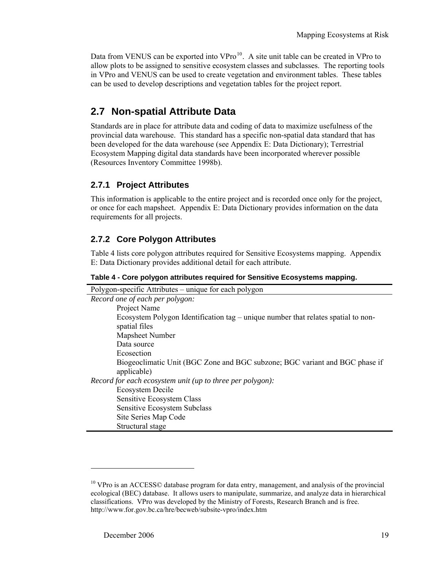<span id="page-28-0"></span>Data from VENUS can be exported into VPro<sup>[10](#page-28-0)</sup>. A site unit table can be created in VPro to allow plots to be assigned to sensitive ecosystem classes and subclasses. The reporting tools in VPro and VENUS can be used to create vegetation and environment tables. These tables can be used to develop descriptions and vegetation tables for the project report.

## **2.7 Non-spatial Attribute Data**

Standards are in place for attribute data and coding of data to maximize usefulness of the provincial data warehouse. This standard has a specific non-spatial data standard that has been developed for the data warehouse (see [Appendix E: Data Dictionary\)](#page-80-1); Terrestrial Ecosystem Mapping digital data standards have been incorporated wherever possible (Resources Inventory Committee 1998b).

#### **2.7.1 Project Attributes**

This information is applicable to the entire project and is recorded once only for the project, or once for each mapsheet. [Appendix E: Data Dictionary](#page-80-1) provides information on the data requirements for all projects.

#### **2.7.2 Core Polygon Attributes**

[Table 4](#page-28-1) lists core polygon attributes required for Sensitive Ecosystems mapping. [Appendix](#page-80-1)  [E: Data Dictionary](#page-80-1) provides additional detail for each attribute.

<span id="page-28-1"></span>**Table 4 - Core polygon attributes required for Sensitive Ecosystems mapping.** 

| Polygon-specific Attributes – unique for each polygon                             |
|-----------------------------------------------------------------------------------|
| Record one of each per polygon:                                                   |
| Project Name                                                                      |
| Ecosystem Polygon Identification tag – unique number that relates spatial to non- |
| spatial files                                                                     |
| Mapsheet Number                                                                   |
| Data source                                                                       |
| Ecosection                                                                        |
| Biogeoclimatic Unit (BGC Zone and BGC subzone; BGC variant and BGC phase if       |
| applicable)                                                                       |
| Record for each ecosystem unit (up to three per polygon):                         |
| Ecosystem Decile                                                                  |
| Sensitive Ecosystem Class                                                         |
| Sensitive Ecosystem Subclass                                                      |
| Site Series Map Code                                                              |
| Structural stage                                                                  |
|                                                                                   |

l

<sup>&</sup>lt;sup>10</sup> VPro is an ACCESS© database program for data entry, management, and analysis of the provincial ecological (BEC) database. It allows users to manipulate, summarize, and analyze data in hierarchical classifications. VPro was developed by the Ministry of Forests, Research Branch and is free. http://www.for.gov.bc.ca/hre/becweb/subsite-vpro/index.htm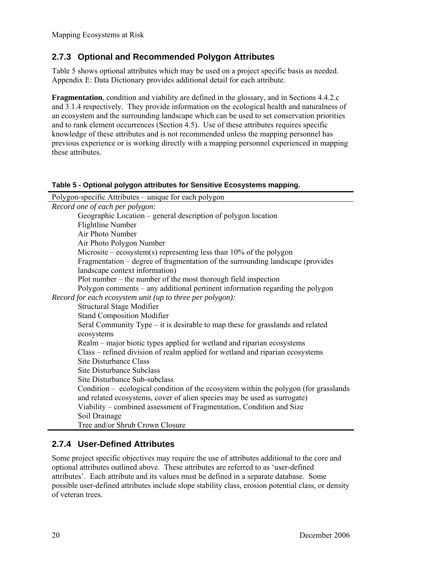#### <span id="page-29-0"></span>**2.7.3 Optional and Recommended Polygon Attributes**

[Table 5](#page-29-1) shows optional attributes which may be used on a project specific basis as needed. [Appendix E: Data Dictionary](#page-80-1) provides additional detail for each attribute.

**Fragmentation**, condition and viability are defined in the glossary, and in Sections [4.4.2.c](#page-52-0) and [3.1.4](#page-38-1) respectively. They provide information on the ecological health and naturalness of an ecosystem and the surrounding landscape which can be used to set conservation priorities and to rank element occurrences (Section [4.5](#page-54-1)). Use of these attributes requires specific knowledge of these attributes and is not recommended unless the mapping personnel has previous experience or is working directly with a mapping personnel experienced in mapping these attributes.

#### <span id="page-29-1"></span>**Table 5 - Optional polygon attributes for Sensitive Ecosystems mapping.**

| Polygon-specific Attributes – unique for each polygon                                 |
|---------------------------------------------------------------------------------------|
| Record one of each per polygon:                                                       |
| Geographic Location – general description of polygon location                         |
| <b>Flightline Number</b>                                                              |
| Air Photo Number                                                                      |
| Air Photo Polygon Number                                                              |
| Microsite – ecosystem(s) representing less than $10\%$ of the polygon                 |
| Fragmentation – degree of fragmentation of the surrounding landscape (provides        |
| landscape context information)                                                        |
| Plot number – the number of the most thorough field inspection                        |
| Polygon comments – any additional pertinent information regarding the polygon         |
| Record for each ecosystem unit (up to three per polygon):                             |
| <b>Structural Stage Modifier</b>                                                      |
| <b>Stand Composition Modifier</b>                                                     |
| Seral Community Type – it is desirable to map these for grasslands and related        |
| ecosystems                                                                            |
| Realm – major biotic types applied for wetland and riparian ecosystems                |
| Class – refined division of realm applied for wetland and riparian ecosystems         |
| Site Disturbance Class                                                                |
| <b>Site Disturbance Subclass</b>                                                      |
| Site Disturbance Sub-subclass                                                         |
| Condition – ecological condition of the ecosystem within the polygon (for grasslands) |
| and related ecosystems, cover of alien species may be used as surrogate)              |
| Viability – combined assessment of Fragmentation, Condition and Size                  |
| Soil Drainage                                                                         |
| Tree and/or Shrub Crown Closure                                                       |

#### **2.7.4 User-Defined Attributes**

Some project specific objectives may require the use of attributes additional to the core and optional attributes outlined above. These attributes are referred to as 'user-defined attributes'. Each attribute and its values must be defined in a separate database. Some possible user-defined attributes include slope stability class, erosion potential class, or density of veteran trees.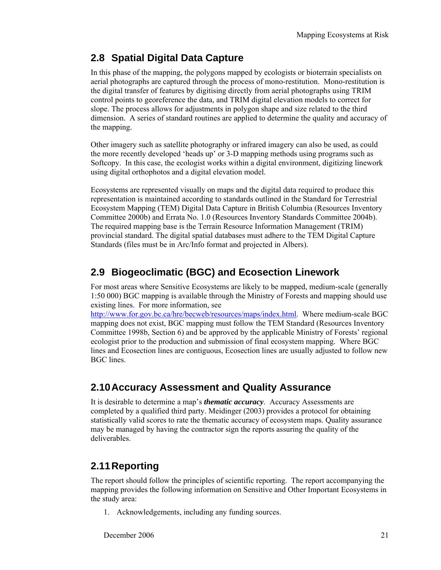## <span id="page-30-0"></span>**2.8 Spatial Digital Data Capture**

In this phase of the mapping, the polygons mapped by ecologists or bioterrain specialists on aerial photographs are captured through the process of mono-restitution. Mono-restitution is the digital transfer of features by digitising directly from aerial photographs using TRIM control points to georeference the data, and TRIM digital elevation models to correct for slope. The process allows for adjustments in polygon shape and size related to the third dimension. A series of standard routines are applied to determine the quality and accuracy of the mapping.

Other imagery such as satellite photography or infrared imagery can also be used, as could the more recently developed 'heads up' or 3-D mapping methods using programs such as Softcopy. In this case, the ecologist works within a digital environment, digitizing linework using digital orthophotos and a digital elevation model.

Ecosystems are represented visually on maps and the digital data required to produce this representation is maintained according to standards outlined in the Standard for Terrestrial Ecosystem Mapping (TEM) Digital Data Capture in British Columbia (Resources Inventory Committee 2000b) and Errata No. 1.0 (Resources Inventory Standards Committee 2004b). The required mapping base is the Terrain Resource Information Management (TRIM) provincial standard. The digital spatial databases must adhere to the TEM Digital Capture Standards (files must be in Arc/Info format and projected in Albers).

## **2.9 Biogeoclimatic (BGC) and Ecosection Linework**

For most areas where Sensitive Ecosystems are likely to be mapped, medium-scale (generally 1:50 000) BGC mapping is available through the Ministry of Forests and mapping should use existing lines. For more information, see

[http://www.for.gov.bc.ca/hre/becweb/resources/maps/index.html.](http://www.for.gov.bc.ca/hre/becweb/resources/maps/index.html) Where medium-scale BGC mapping does not exist, BGC mapping must follow the TEM Standard (Resources Inventory Committee 1998b, Section 6) and be approved by the applicable Ministry of Forests' regional ecologist prior to the production and submission of final ecosystem mapping. Where BGC lines and Ecosection lines are contiguous, Ecosection lines are usually adjusted to follow new BGC lines.

## **2.10 Accuracy Assessment and Quality Assurance**

It is desirable to determine a map's *thematic accuracy*. Accuracy Assessments are completed by a qualified third party. Meidinger (2003) provides a protocol for obtaining statistically valid scores to rate the thematic accuracy of ecosystem maps. Quality assurance may be managed by having the contractor sign the reports assuring the quality of the deliverables.

## **2.11 Reporting**

The report should follow the principles of scientific reporting. The report accompanying the mapping provides the following information on Sensitive and Other Important Ecosystems in the study area:

1. Acknowledgements, including any funding sources.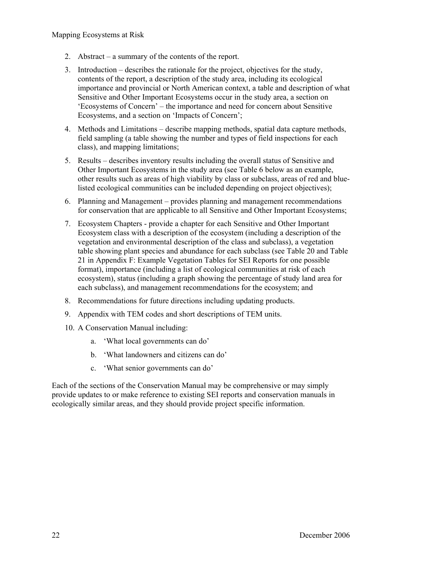- 2. Abstract a summary of the contents of the report.
- 3. Introduction describes the rationale for the project, objectives for the study, contents of the report, a description of the study area, including its ecological importance and provincial or North American context, a table and description of what Sensitive and Other Important Ecosystems occur in the study area, a section on 'Ecosystems of Concern' – the importance and need for concern about Sensitive Ecosystems, and a section on 'Impacts of Concern';
- 4. Methods and Limitations describe mapping methods, spatial data capture methods, field sampling (a table showing the number and types of field inspections for each class), and mapping limitations;
- 5. Results describes inventory results including the overall status of Sensitive and Other Important Ecosystems in the study area (see Table 6 below as an example, other results such as areas of high viability by class or subclass, areas of red and bluelisted ecological communities can be included depending on project objectives);
- 6. Planning and Management provides planning and management recommendations for conservation that are applicable to all Sensitive and Other Important Ecosystems;
- 7. Ecosystem Chapters provide a chapter for each Sensitive and Other Important Ecosystem class with a description of the ecosystem (including a description of the vegetation and environmental description of the class and subclass), a vegetation table showing plant species and abundance for each subclass (see Table 20 and [Table](#page-88-1)  21 in [Appendix F: Example Vegetation Tables for SEI Reports](#page-88-2) for one possible format), importance (including a list of ecological communities at risk of each ecosystem), status (including a graph showing the percentage of study land area for each subclass), and management recommendations for the ecosystem; and
- 8. Recommendations for future directions including updating products.
- 9. Appendix with TEM codes and short descriptions of TEM units.
- 10. A Conservation Manual including:
	- a. 'What local governments can do'
	- b. 'What landowners and citizens can do'
	- c. 'What senior governments can do'

Each of the sections of the Conservation Manual may be comprehensive or may simply provide updates to or make reference to existing SEI reports and conservation manuals in ecologically similar areas, and they should provide project specific information.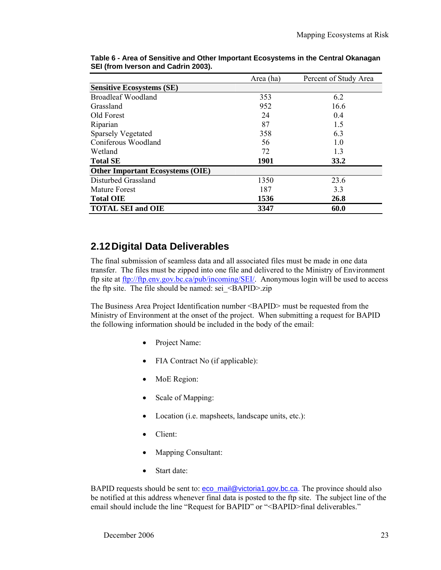|                                         | Area (ha) | Percent of Study Area |
|-----------------------------------------|-----------|-----------------------|
| <b>Sensitive Ecosystems (SE)</b>        |           |                       |
| <b>Broadleaf Woodland</b>               | 353       | 6.2                   |
| Grassland                               | 952       | 16.6                  |
| Old Forest                              | 24        | 0.4                   |
| Riparian                                | 87        | 1.5                   |
| <b>Sparsely Vegetated</b>               | 358       | 6.3                   |
| Coniferous Woodland                     | 56        | 1.0                   |
| Wetland                                 | 72        | 1.3                   |
| <b>Total SE</b>                         | 1901      | <b>33.2</b>           |
| <b>Other Important Ecosystems (OIE)</b> |           |                       |
| Disturbed Grassland                     | 1350      | 23.6                  |
| <b>Mature Forest</b>                    | 187       | 3.3                   |
| <b>Total OIE</b>                        | 1536      | 26.8                  |
| <b>TOTAL SEI and OIE</b>                | 3347      | 60.0                  |

<span id="page-32-0"></span>**Table 6 - Area of Sensitive and Other Important Ecosystems in the Central Okanagan SEI (from Iverson and Cadrin 2003).** 

## **2.12 Digital Data Deliverables**

The final submission of seamless data and all associated files must be made in one data transfer. The files must be zipped into one file and delivered to the Ministry of Environment ftp site at [ftp://ftp.env.gov.bc.ca/pub/incoming/SEI/.](ftp://ftp.env.gov.bc.ca/pub/incoming/SEI/) Anonymous login will be used to access the ftp site. The file should be named: sei\_<BAPID>.zip

The Business Area Project Identification number <BAPID> must be requested from the Ministry of Environment at the onset of the project. When submitting a request for BAPID the following information should be included in the body of the email:

- Project Name:
- FIA Contract No (if applicable):
- MoE Region:
- Scale of Mapping:
- Location (i.e. mapsheets, landscape units, etc.):
- Client:
- Mapping Consultant:
- Start date:

BAPID requests should be sent to: [eco\\_mail@victoria1.gov.bc.ca.](mailto:eco_mail@victoria1.gov.bc.ca) The province should also be notified at this address whenever final data is posted to the ftp site. The subject line of the email should include the line "Request for BAPID" or "<BAPID>final deliverables."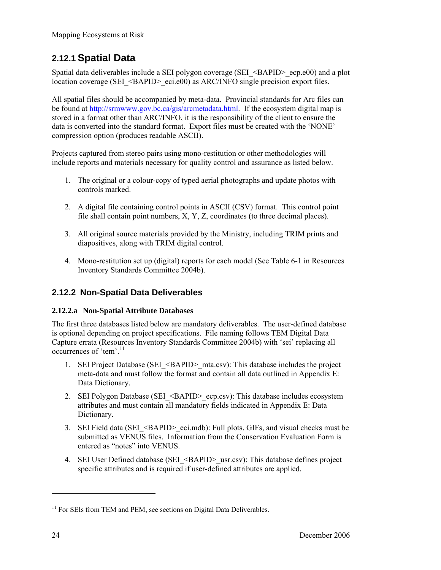## <span id="page-33-0"></span>**2.12.1 Spatial Data**

Spatial data deliverables include a SEI polygon coverage (SEI  $\leq$ BAPID $\geq$  ecp.e00) and a plot location coverage (SEI <BAPID> eci.e00) as ARC/INFO single precision export files.

All spatial files should be accompanied by meta-data. Provincial standards for Arc files can be found at [http://srmwww.gov.bc.ca/gis/arcmetadata.html.](http://srmwww.gov.bc.ca/gis/arcmetadata.html) If the ecosystem digital map is stored in a format other than ARC/INFO, it is the responsibility of the client to ensure the data is converted into the standard format. Export files must be created with the 'NONE' compression option (produces readable ASCII).

Projects captured from stereo pairs using mono-restitution or other methodologies will include reports and materials necessary for quality control and assurance as listed below.

- 1. The original or a colour-copy of typed aerial photographs and update photos with controls marked.
- 2. A digital file containing control points in ASCII (CSV) format. This control point file shall contain point numbers, X, Y, Z, coordinates (to three decimal places).
- 3. All original source materials provided by the Ministry, including TRIM prints and diapositives, along with TRIM digital control.
- 4. Mono-restitution set up (digital) reports for each model (See Table 6-1 in Resources Inventory Standards Committee 2004b).

#### **2.12.2 Non-Spatial Data Deliverables**

#### **2.12.2.a Non-Spatial Attribute Databases**

The first three databases listed below are mandatory deliverables. The user-defined database is optional depending on project specifications. File naming follows TEM Digital Data Capture errata (Resources Inventory Standards Committee 2004b) with 'sei' replacing all occurrences of 'tem'.<sup>[11](#page-33-0)</sup>

- 1. SEI Project Database (SEI\_<BAPID>\_mta.csv): This database includes the project meta-data and must follow the format and contain all data outlined in [Appendix E:](#page-80-1)  [Data Dictionary.](#page-80-1)
- 2. SEI Polygon Database (SEI <BAPID> ecp.csv): This database includes ecosystem attributes and must contain all mandatory fields indicated in [Appendix E: Data](#page-80-1)  [Dictionary](#page-80-1).
- 3. SEI Field data (SEI\_<BAPID>\_eci.mdb): Full plots, GIFs, and visual checks must be submitted as VENUS files. Information from the Conservation Evaluation Form is entered as "notes" into VENUS.
- 4. SEI User Defined database (SEI <BAPID> usr.csv): This database defines project specific attributes and is required if user-defined attributes are applied.

1

 $11$  For SEIs from TEM and PEM, see sections on Digital Data Deliverables.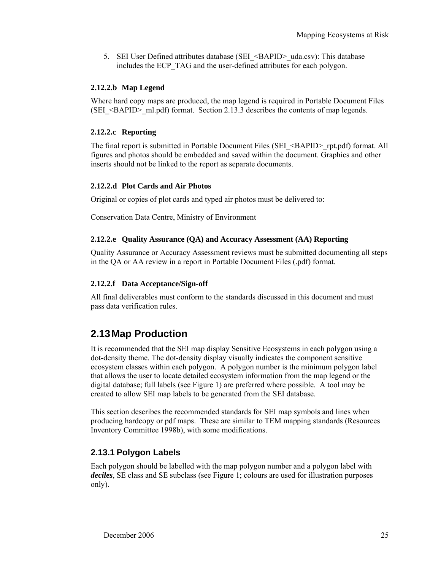<span id="page-34-0"></span>5. SEI User Defined attributes database (SEI <BAPID> uda.csv): This database includes the ECP\_TAG and the user-defined attributes for each polygon.

#### **2.12.2.b Map Legend**

Where hard copy maps are produced, the map legend is required in Portable Document Files (SEI  $\leq$ BAPID $>$  ml.pdf) format. Section [2.13.3](#page-35-1) describes the contents of map legends.

#### **2.12.2.c Reporting**

The final report is submitted in Portable Document Files (SEI <BAPID> rpt.pdf) format. All figures and photos should be embedded and saved within the document. Graphics and other inserts should not be linked to the report as separate documents.

#### **2.12.2.d Plot Cards and Air Photos**

Original or copies of plot cards and typed air photos must be delivered to:

Conservation Data Centre, Ministry of Environment

#### **2.12.2.e Quality Assurance (QA) and Accuracy Assessment (AA) Reporting**

Quality Assurance or Accuracy Assessment reviews must be submitted documenting all steps in the QA or AA review in a report in Portable Document Files (.pdf) format.

#### **2.12.2.f Data Acceptance/Sign-off**

All final deliverables must conform to the standards discussed in this document and must pass data verification rules.

### **2.13 Map Production**

It is recommended that the SEI map display Sensitive Ecosystems in each polygon using a dot-density theme. The dot-density display visually indicates the component sensitive ecosystem classes within each polygon. A polygon number is the minimum polygon label that allows the user to locate detailed ecosystem information from the map legend or the digital database; full labels (see Figure 1) are preferred where possible. A tool may be created to allow SEI map labels to be generated from the SEI database.

This section describes the recommended standards for SEI map symbols and lines when producing hardcopy or pdf maps. These are similar to TEM mapping standards (Resources Inventory Committee 1998b), with some modifications.

#### **2.13.1 Polygon Labels**

Each polygon should be labelled with the map polygon number and a polygon label with *deciles*, SE class and SE subclass (see Figure 1; colours are used for illustration purposes only).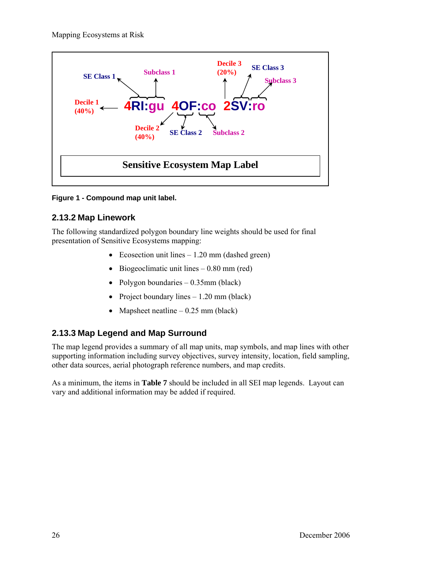<span id="page-35-0"></span>

**Figure 1 - Compound map unit label.** 

#### **2.13.2 Map Linework**

The following standardized polygon boundary line weights should be used for final presentation of Sensitive Ecosystems mapping:

- Ecosection unit lines 1.20 mm (dashed green)
- Biogeoclimatic unit lines  $-0.80$  mm (red)
- Polygon boundaries 0.35mm (black)
- Project boundary lines  $-1.20$  mm (black)
- Mapsheet neatline  $-0.25$  mm (black)

#### <span id="page-35-1"></span>**2.13.3 Map Legend and Map Surround**

The map legend provides a summary of all map units, map symbols, and map lines with other supporting information including survey objectives, survey intensity, location, field sampling, other data sources, aerial photograph reference numbers, and map credits.

As a minimum, the items in **[Table 7](#page-36-0)** should be included in all SEI map legends. Layout can vary and additional information may be added if required.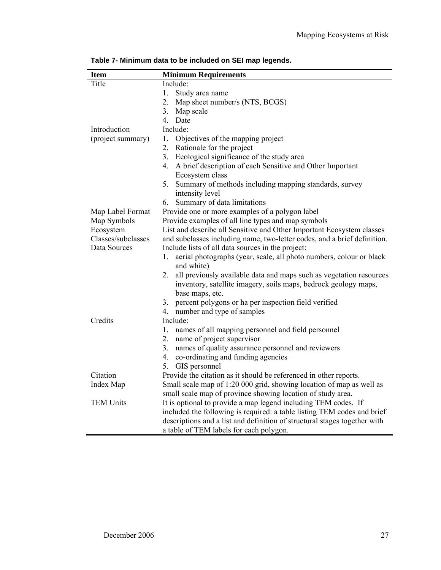| <b>Item</b>        | <b>Minimum Requirements</b>                                                             |
|--------------------|-----------------------------------------------------------------------------------------|
| Title              | Include:                                                                                |
|                    | 1.<br>Study area name                                                                   |
|                    | 2.<br>Map sheet number/s (NTS, BCGS)                                                    |
|                    | 3 <sub>1</sub><br>Map scale                                                             |
|                    | 4.<br>Date                                                                              |
| Introduction       | Include:                                                                                |
| (project summary)  | Objectives of the mapping project<br>1.                                                 |
|                    | Rationale for the project<br>2.                                                         |
|                    | Ecological significance of the study area<br>3 <sub>1</sub>                             |
|                    | 4.<br>A brief description of each Sensitive and Other Important                         |
|                    | Ecosystem class                                                                         |
|                    | Summary of methods including mapping standards, survey<br>5.                            |
|                    | intensity level                                                                         |
|                    | Summary of data limitations<br>6.                                                       |
| Map Label Format   | Provide one or more examples of a polygon label                                         |
| Map Symbols        | Provide examples of all line types and map symbols                                      |
| Ecosystem          | List and describe all Sensitive and Other Important Ecosystem classes                   |
| Classes/subclasses | and subclasses including name, two-letter codes, and a brief definition.                |
| Data Sources       | Include lists of all data sources in the project:                                       |
|                    | aerial photographs (year, scale, all photo numbers, colour or black<br>1.<br>and white) |
|                    | all previously available data and maps such as vegetation resources<br>2.               |
|                    | inventory, satellite imagery, soils maps, bedrock geology maps,                         |
|                    | base maps, etc.                                                                         |
|                    | 3. percent polygons or ha per inspection field verified                                 |
|                    | number and type of samples<br>4.                                                        |
| Credits            | Include:                                                                                |
|                    | $1_{-}$<br>names of all mapping personnel and field personnel                           |
|                    | name of project supervisor<br>2.                                                        |
|                    | 3.<br>names of quality assurance personnel and reviewers                                |
|                    | 4.<br>co-ordinating and funding agencies                                                |
|                    | GIS personnel<br>5.                                                                     |
| Citation           | Provide the citation as it should be referenced in other reports.                       |
| Index Map          | Small scale map of 1:20 000 grid, showing location of map as well as                    |
|                    | small scale map of province showing location of study area.                             |
| <b>TEM Units</b>   | It is optional to provide a map legend including TEM codes. If                          |
|                    | included the following is required: a table listing TEM codes and brief                 |
|                    | descriptions and a list and definition of structural stages together with               |
|                    | a table of TEM labels for each polygon.                                                 |

**Table 7- Minimum data to be included on SEI map legends.**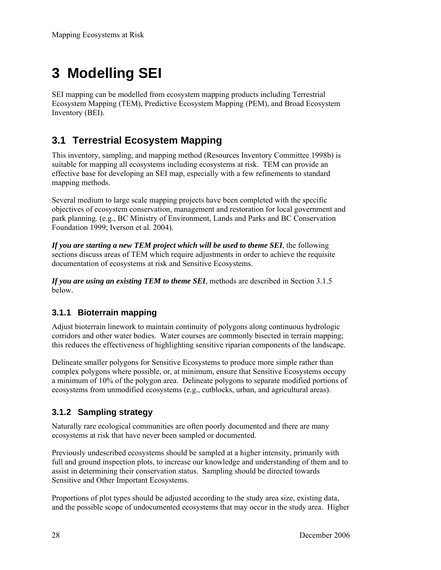# **3 Modelling SEI**

SEI mapping can be modelled from ecosystem mapping products including Terrestrial Ecosystem Mapping (TEM), Predictive Ecosystem Mapping (PEM), and Broad Ecosystem Inventory (BEI).

# **3.1 Terrestrial Ecosystem Mapping**

This inventory, sampling, and mapping method (Resources Inventory Committee 1998b) is suitable for mapping all ecosystems including ecosystems at risk. TEM can provide an effective base for developing an SEI map, especially with a few refinements to standard mapping methods.

Several medium to large scale mapping projects have been completed with the specific objectives of ecosystem conservation, management and restoration for local government and park planning. (e.g., BC Ministry of Environment, Lands and Parks and BC Conservation Foundation 1999; Iverson et al. 2004).

*If you are starting a new TEM project which will be used to theme SEI*, the following sections discuss areas of TEM which require adjustments in order to achieve the requisite documentation of ecosystems at risk and Sensitive Ecosystems.

*If you are using an existing TEM to theme SEI*, methods are described in Section [3.1.5](#page-39-0) below.

# <span id="page-37-1"></span>**3.1.1 Bioterrain mapping**

Adjust bioterrain linework to maintain continuity of polygons along continuous hydrologic corridors and other water bodies. Water courses are commonly bisected in terrain mapping; this reduces the effectiveness of highlighting sensitive riparian components of the landscape.

Delineate smaller polygons for Sensitive Ecosystems to produce more simple rather than complex polygons where possible, or, at minimum, ensure that Sensitive Ecosystems occupy a minimum of 10% of the polygon area. Delineate polygons to separate modified portions of ecosystems from unmodified ecosystems (e.g., cutblocks, urban, and agricultural areas).

## <span id="page-37-0"></span>**3.1.2 Sampling strategy**

Naturally rare ecological communities are often poorly documented and there are many ecosystems at risk that have never been sampled or documented.

Previously undescribed ecosystems should be sampled at a higher intensity, primarily with full and ground inspection plots, to increase our knowledge and understanding of them and to assist in determining their conservation status. Sampling should be directed towards Sensitive and Other Important Ecosystems.

Proportions of plot types should be adjusted according to the study area size, existing data, and the possible scope of undocumented ecosystems that may occur in the study area. Higher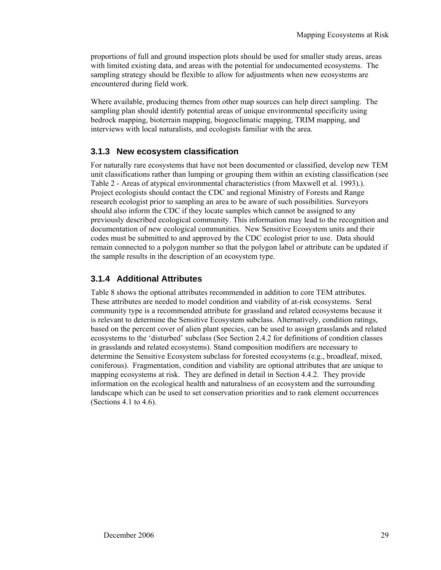proportions of full and ground inspection plots should be used for smaller study areas, areas with limited existing data, and areas with the potential for undocumented ecosystems. The sampling strategy should be flexible to allow for adjustments when new ecosystems are encountered during field work.

Where available, producing themes from other map sources can help direct sampling. The sampling plan should identify potential areas of unique environmental specificity using bedrock mapping, bioterrain mapping, biogeoclimatic mapping, TRIM mapping, and interviews with local naturalists, and ecologists familiar with the area.

#### <span id="page-38-1"></span>**3.1.3 New ecosystem classification**

For naturally rare ecosystems that have not been documented or classified, develop new TEM unit classifications rather than lumping or grouping them within an existing classification (see [Table 2 - Areas of atypical environmental characteristics \(from Maxwell et al. 1993\).](#page-21-0)). Project ecologists should contact the CDC and regional Ministry of Forests and Range research ecologist prior to sampling an area to be aware of such possibilities. Surveyors should also inform the CDC if they locate samples which cannot be assigned to any previously described ecological community. This information may lead to the recognition and documentation of new ecological communities. New Sensitive Ecosystem units and their codes must be submitted to and approved by the CDC ecologist prior to use. Data should remain connected to a polygon number so that the polygon label or attribute can be updated if the sample results in the description of an ecosystem type.

#### <span id="page-38-0"></span>**3.1.4 Additional Attributes**

Table 8 shows the optional attributes recommended in addition to core TEM attributes. These attributes are needed to model condition and viability of at-risk ecosystems. Seral community type is a recommended attribute for grassland and related ecosystems because it is relevant to determine the Sensitive Ecosystem subclass. Alternatively, condition ratings, based on the percent cover of alien plant species, can be used to assign grasslands and related ecosystems to the 'disturbed' subclass (See Section [2.4.2](#page-22-0) for definitions of condition classes in grasslands and related ecosystems). Stand composition modifiers are necessary to determine the Sensitive Ecosystem subclass for forested ecosystems (e.g., broadleaf, mixed, coniferous). Fragmentation, condition and viability are optional attributes that are unique to mapping ecosystems at risk. They are defined in detail in Section [4.4.2](#page-51-0). They provide information on the ecological health and naturalness of an ecosystem and the surrounding landscape which can be used to set conservation priorities and to rank element occurrences (Sections [4.1](#page-47-0) to [4.6](#page-56-0)).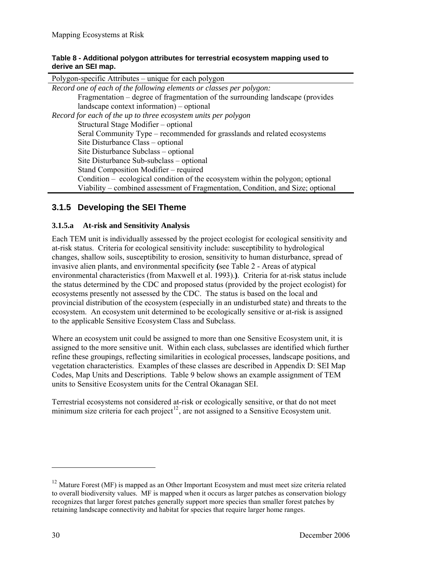#### <span id="page-39-1"></span>**Table 8 - Additional polygon attributes for terrestrial ecosystem mapping used to derive an SEI map.**

Polygon-specific Attributes – unique for each polygon *Record one of each of the following elements or classes per polygon:*  Fragmentation – degree of fragmentation of the surrounding landscape (provides landscape context information) – optional *Record for each of the up to three ecosystem units per polygon*  Structural Stage Modifier – optional Seral Community Type – recommended for grasslands and related ecosystems Site Disturbance Class – optional Site Disturbance Subclass – optional Site Disturbance Sub-subclass – optional Stand Composition Modifier – required Condition – ecological condition of the ecosystem within the polygon; optional Viability – combined assessment of Fragmentation, Condition, and Size; optional

## <span id="page-39-0"></span>**3.1.5 Developing the SEI Theme**

#### **3.1.5.a At-risk and Sensitivity Analysis**

Each TEM unit is individually assessed by the project ecologist for ecological sensitivity and at-risk status. Criteria for ecological sensitivity include: susceptibility to hydrological changes, shallow soils, susceptibility to erosion, sensitivity to human disturbance, spread of invasive alien plants, and environmental specificity **(**see [Table 2 - Areas of atypical](#page-21-0)  [environmental characteristics \(from Maxwell et al. 1993\).](#page-21-0)**)**. Criteria for at-risk status include the status determined by the CDC and proposed status (provided by the project ecologist) for ecosystems presently not assessed by the CDC. The status is based on the local and provincial distribution of the ecosystem (especially in an undisturbed state) and threats to the ecosystem. An ecosystem unit determined to be ecologically sensitive or at-risk is assigned to the applicable Sensitive Ecosystem Class and Subclass.

Where an ecosystem unit could be assigned to more than one Sensitive Ecosystem unit, it is assigned to the more sensitive unit. Within each class, subclasses are identified which further refine these groupings, reflecting similarities in ecological processes, landscape positions, and vegetation characteristics. Examples of these classes are described in [Appendix D: SEI Map](#page-73-0)  [Codes, Map Units and Descriptions.](#page-73-0) [Table 9](#page-40-0) below shows an example assignment of TEM units to Sensitive Ecosystem units for the Central Okanagan SEI.

Terrestrial ecosystems not considered at-risk or ecologically sensitive, or that do not meet minimum size criteria for each project<sup>[12](#page-39-1)</sup>, are not assigned to a Sensitive Ecosystem unit.

-

 $12$  Mature Forest (MF) is mapped as an Other Important Ecosystem and must meet size criteria related to overall biodiversity values. MF is mapped when it occurs as larger patches as conservation biology recognizes that larger forest patches generally support more species than smaller forest patches by retaining landscape connectivity and habitat for species that require larger home ranges.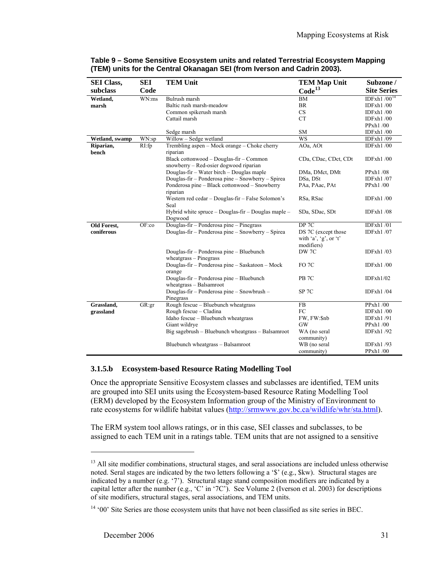<span id="page-40-0"></span>

| <b>SEI Class,</b> | SEI   | <b>TEM Unit</b>                                     | <b>TEM Map Unit</b>  | Subzone /          |
|-------------------|-------|-----------------------------------------------------|----------------------|--------------------|
| subclass          | Code  |                                                     | Code <sup>13</sup>   | <b>Site Series</b> |
| Wetland,          | WN:ms | Bulrush marsh                                       | <b>BM</b>            | IDFxh1 $/00^{14}$  |
| marsh             |       | Baltic rush marsh-meadow                            | <b>BR</b>            | IDFxh1 /00         |
|                   |       | Common spikerush marsh                              | CS                   | ID $Fxh1/00$       |
|                   |       | Cattail marsh                                       | <b>CT</b>            | ID $Fxh1/00$       |
|                   |       |                                                     |                      | PPxh1 /00          |
|                   |       | Sedge marsh                                         | <b>SM</b>            | ID $Fxh1/00$       |
| Wetland, swamp    | WN:sp | Willow - Sedge wetland                              | <b>WS</b>            | ID $Fxh1/09$       |
| Riparian,         | RI:fp | Trembling aspen – Mock orange – Choke cherry        | AOa, AOt             | ID $Fxh1/00$       |
| bench             |       | riparian                                            |                      |                    |
|                   |       | Black cottonwood - Douglas-fir - Common             | CDa, CDac, CDct, CDt | ID $Fxh1/00$       |
|                   |       | snowberry – Red-osier dogwood riparian              |                      |                    |
|                   |       | Douglas-fir – Water birch – Douglas maple           | DMa, DMct, DMt       | PPxh1/08           |
|                   |       | Douglas-fir - Ponderosa pine - Snowberry - Spirea   | DSa, DSt             | ID $Fxh1/07$       |
|                   |       | Ponderosa pine – Black cottonwood – Snowberry       | PAa, PAac, PAt       | PPxh1 /00          |
|                   |       | riparian                                            |                      |                    |
|                   |       | Western red cedar – Douglas-fir – False Solomon's   | RSa, RSac            | ID $Fxh1/00$       |
|                   |       | Seal                                                |                      |                    |
|                   |       | Hybrid white spruce - Douglas-fir - Douglas maple - | SDa, SDac, SDt       | ID $Fxh1/08$       |
|                   |       | Dogwood                                             |                      |                    |
| Old Forest,       | OF:co | Douglas-fir - Ponderosa pine - Pinegrass            | DP <sub>7C</sub>     | ID $Fxh1/01$       |
| coniferous        |       | Douglas-fir – Ponderosa pine – Snowberry – Spirea   | DS 7C (except those  | ID $Fxh1/07$       |
|                   |       |                                                     | with $a', g', or't'$ |                    |
|                   |       |                                                     | modifiers)           |                    |
|                   |       | Douglas-fir - Ponderosa pine - Bluebunch            | DW 7C                | IDFxh $1/03$       |
|                   |       | $wheatgrass - Pinegrass$                            |                      |                    |
|                   |       | Douglas-fir – Ponderosa pine – Saskatoon – Mock     | FO <sub>7</sub> C    | ID $Fxh1/00$       |
|                   |       | orange                                              |                      |                    |
|                   |       | Douglas-fir – Ponderosa pine – Bluebunch            | PB <sub>7</sub> C    | IDFxh1/02          |
|                   |       | wheatgrass - Balsamroot                             |                      |                    |
|                   |       | Douglas-fir – Ponderosa pine – Snowbrush –          | SP <sub>7C</sub>     | ID $Fxh1/04$       |
|                   |       | Pinegrass                                           |                      |                    |
| Grassland,        | GR:gr | Rough fescue - Bluebunch wheatgrass                 | <b>FB</b>            | PPxh1 /00          |
| grassland         |       | Rough fescue - Cladina                              | FC                   | IDFxh1/00          |
|                   |       | Idaho fescue - Bluebunch wheatgrass                 | FW, FW:\$nb          | IDFxh1/91          |
|                   |       | Giant wildrye                                       | <b>GW</b>            | PPxh1/00           |
|                   |       | Big sagebrush – Bluebunch wheatgrass – Balsamroot   | WA (no seral         | IDFxh1/92          |
|                   |       |                                                     | community)           |                    |
|                   |       | Bluebunch wheatgrass - Balsamroot                   | WB (no seral         | ID $Fxh1/93$       |
|                   |       |                                                     | community)           | PPxh1 /00          |

<span id="page-40-1"></span>**Table 9 – Some Sensitive Ecosystem units and related Terrestrial Ecosystem Mapping (TEM) units for the Central Okanagan SEI (from Iverson and Cadrin 2003).** 

#### <span id="page-40-2"></span>**3.1.5.b Ecosystem-based Resource Rating Modelling Tool**

Once the appropriate Sensitive Ecosystem classes and subclasses are identified, TEM units are grouped into SEI units using the Ecosystem-based Resource Rating Modelling Tool (ERM) developed by the Ecosystem Information group of the Ministry of Environment to rate ecosystems for wildlife habitat values ([http://srmwww.gov.bc.ca/wildlife/whr/sta.html\)](http://srmwww.gov.bc.ca/wildlife/whr/sta.html).

The ERM system tool allows ratings, or in this case, SEI classes and subclasses, to be assigned to each TEM unit in a ratings table. TEM units that are not assigned to a sensitive

 $<sup>13</sup>$  All site modifier combinations, structural stages, and seral associations are included unless otherwise</sup> noted. Seral stages are indicated by the two letters following a '\$' (e.g., \$kw). Structural stages are indicated by a number (e.g. '7'). Structural stage stand composition modifiers are indicated by a capital letter after the number (e.g., 'C' in '7C'). See Volume 2 (Iverson et al. 2003) for descriptions of site modifiers, structural stages, seral associations, and TEM units.

<sup>&</sup>lt;sup>14</sup> '00' Site Series are those ecosystem units that have not been classified as site series in BEC.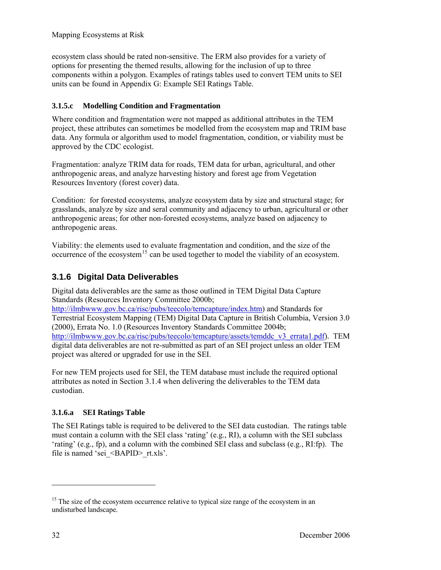<span id="page-41-0"></span>Mapping Ecosystems at Risk

ecosystem class should be rated non-sensitive. The ERM also provides for a variety of options for presenting the themed results, allowing for the inclusion of up to three components within a polygon. Examples of ratings tables used to convert TEM units to SEI units can be found in [Appendix G: Example SEI Ratings Table](#page-89-0).

### <span id="page-41-1"></span>**3.1.5.c Modelling Condition and Fragmentation**

Where condition and fragmentation were not mapped as additional attributes in the TEM project, these attributes can sometimes be modelled from the ecosystem map and TRIM base data. Any formula or algorithm used to model fragmentation, condition, or viability must be approved by the CDC ecologist.

Fragmentation: analyze TRIM data for roads, TEM data for urban, agricultural, and other anthropogenic areas, and analyze harvesting history and forest age from Vegetation Resources Inventory (forest cover) data.

Condition: for forested ecosystems, analyze ecosystem data by size and structural stage; for grasslands, analyze by size and seral community and adjacency to urban, agricultural or other anthropogenic areas; for other non-forested ecosystems, analyze based on adjacency to anthropogenic areas.

Viability: the elements used to evaluate fragmentation and condition, and the size of the occurrence of the ecosystem<sup>[15](#page-41-0)</sup> can be used together to model the viability of an ecosystem.

## **3.1.6 Digital Data Deliverables**

Digital data deliverables are the same as those outlined in TEM Digital Data Capture Standards (Resources Inventory Committee 2000b; <http://ilmbwww.gov.bc.ca/risc/pubs/teecolo/temcapture/index.htm>) and Standards for

Terrestrial Ecosystem Mapping (TEM) Digital Data Capture in British Columbia, Version 3.0 (2000), Errata No. 1.0 (Resources Inventory Standards Committee 2004b; [http://ilmbwww.gov.bc.ca/risc/pubs/teecolo/temcapture/assets/temddc\\_v3\\_errata1.pdf\)](http://ilmbwww.gov.bc.ca/risc/pubs/teecolo/temcapture/assets/temddc_v3_errata1.pdf). TEM digital data deliverables are not re-submitted as part of an SEI project unless an older TEM project was altered or upgraded for use in the SEI.

For new TEM projects used for SEI, the TEM database must include the required optional attributes as noted in Section [3.1.4](#page-38-0) when delivering the deliverables to the TEM data custodian.

#### **3.1.6.a SEI Ratings Table**

The SEI Ratings table is required to be delivered to the SEI data custodian. The ratings table must contain a column with the SEI class 'rating' (e.g., RI), a column with the SEI subclass 'rating' (e.g., fp), and a column with the combined SEI class and subclass (e.g., RI:fp). The file is named 'sei <BAPID>  $rt.xls'$ .

<sup>&</sup>lt;sup>15</sup> The size of the ecosystem occurrence relative to typical size range of the ecosystem in an undisturbed landscape.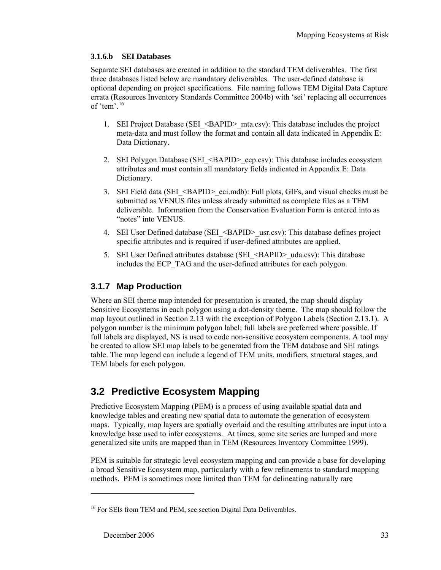#### <span id="page-42-0"></span>**3.1.6.b SEI Databases**

Separate SEI databases are created in addition to the standard TEM deliverables. The first three databases listed below are mandatory deliverables. The user-defined database is optional depending on project specifications. File naming follows TEM Digital Data Capture errata (Resources Inventory Standards Committee 2004b) with 'sei' replacing all occurrences of 'tem'.[16](#page-42-0)

- 1. SEI Project Database (SEI <BAPID> mta.csv): This database includes the project meta-data and must follow the format and contain all data indicated in Appendix E: Data Dictionary.
- 2. SEI Polygon Database (SEI <BAPID> ecp.csv): This database includes ecosystem attributes and must contain all mandatory fields indicated in [Appendix E: Data](#page-80-0)  [Dictionary](#page-80-0).
- 3. SEI Field data (SEI <BAPID> eci.mdb): Full plots, GIFs, and visual checks must be submitted as VENUS files unless already submitted as complete files as a TEM deliverable. Information from the Conservation Evaluation Form is entered into as "notes" into VENUS.
- 4. SEI User Defined database (SEI <BAPID> usr.csv): This database defines project specific attributes and is required if user-defined attributes are applied.
- 5. SEI User Defined attributes database (SEI <BAPID> uda.csv): This database includes the ECP\_TAG and the user-defined attributes for each polygon.

## **3.1.7 Map Production**

Where an SEI theme map intended for presentation is created, the map should display Sensitive Ecosystems in each polygon using a dot-density theme. The map should follow the map layout outlined in Section [2.13](#page-34-0) with the exception of Polygon Labels (Section [2.13.1](#page-34-1)). A polygon number is the minimum polygon label; full labels are preferred where possible. If full labels are displayed, NS is used to code non-sensitive ecosystem components. A tool may be created to allow SEI map labels to be generated from the TEM database and SEI ratings table. The map legend can include a legend of TEM units, modifiers, structural stages, and TEM labels for each polygon.

# **3.2 Predictive Ecosystem Mapping**

Predictive Ecosystem Mapping (PEM) is a process of using available spatial data and knowledge tables and creating new spatial data to automate the generation of ecosystem maps. Typically, map layers are spatially overlaid and the resulting attributes are input into a knowledge base used to infer ecosystems. At times, some site series are lumped and more generalized site units are mapped than in TEM (Resources Inventory Committee 1999).

PEM is suitable for strategic level ecosystem mapping and can provide a base for developing a broad Sensitive Ecosystem map, particularly with a few refinements to standard mapping methods. PEM is sometimes more limited than TEM for delineating naturally rare

<sup>&</sup>lt;sup>16</sup> For SEIs from TEM and PEM, see section Digital Data Deliverables.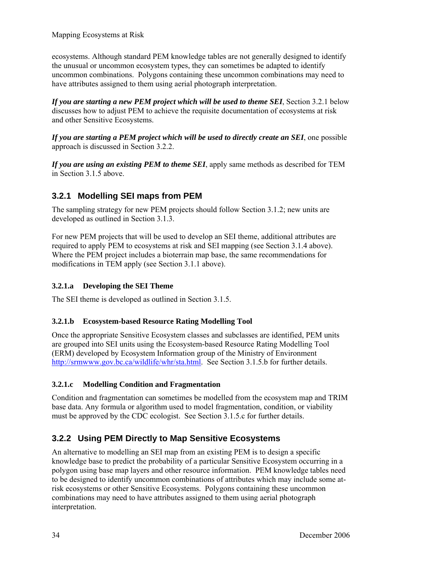ecosystems. Although standard PEM knowledge tables are not generally designed to identify the unusual or uncommon ecosystem types, they can sometimes be adapted to identify uncommon combinations. Polygons containing these uncommon combinations may need to have attributes assigned to them using aerial photograph interpretation.

*If you are starting a new PEM project which will be used to theme SEI*, Section [3.2.1](#page-43-0) below discusses how to adjust PEM to achieve the requisite documentation of ecosystems at risk and other Sensitive Ecosystems.

*If you are starting a PEM project which will be used to directly create an SEI*, one possible approach is discussed in Section 3.2.2.

*If you are using an existing PEM to theme SEI*, apply same methods as described for TEM in Section [3.1.5](#page-39-0) above.

## <span id="page-43-0"></span>**3.2.1 Modelling SEI maps from PEM**

The sampling strategy for new PEM projects should follow Section [3.1.2](#page-37-0); new units are developed as outlined in Section [3.1.3.](#page-38-1)

For new PEM projects that will be used to develop an SEI theme, additional attributes are required to apply PEM to ecosystems at risk and SEI mapping (see Section [3.1.4](#page-38-0) above). Where the PEM project includes a bioterrain map base, the same recommendations for modifications in TEM apply (see Section [3.1.1](#page-37-1) above).

## **3.2.1.a Developing the SEI Theme**

The SEI theme is developed as outlined in Section [3.1.5.](#page-39-0)

## **3.2.1.b Ecosystem-based Resource Rating Modelling Tool**

Once the appropriate Sensitive Ecosystem classes and subclasses are identified, PEM units are grouped into SEI units using the Ecosystem-based Resource Rating Modelling Tool (ERM) developed by Ecosystem Information group of the Ministry of Environment <http://srmwww.gov.bc.ca/wildlife/whr/sta.html>. See Section [3.1.5.b](#page-40-2) for further details.

## **3.2.1.c Modelling Condition and Fragmentation**

Condition and fragmentation can sometimes be modelled from the ecosystem map and TRIM base data. Any formula or algorithm used to model fragmentation, condition, or viability must be approved by the CDC ecologist. See Section [3.1.5.c](#page-41-1) for further details.

## **3.2.2 Using PEM Directly to Map Sensitive Ecosystems**

An alternative to modelling an SEI map from an existing PEM is to design a specific knowledge base to predict the probability of a particular Sensitive Ecosystem occurring in a polygon using base map layers and other resource information. PEM knowledge tables need to be designed to identify uncommon combinations of attributes which may include some atrisk ecosystems or other Sensitive Ecosystems. Polygons containing these uncommon combinations may need to have attributes assigned to them using aerial photograph interpretation.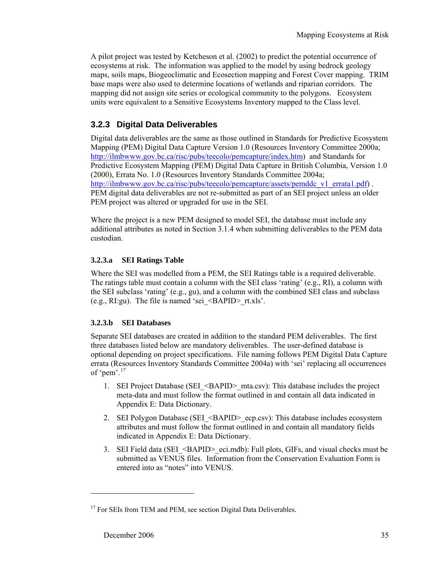<span id="page-44-0"></span>A pilot project was tested by Ketcheson et al. (2002) to predict the potential occurrence of ecosystems at risk. The information was applied to the model by using bedrock geology maps, soils maps, Biogeoclimatic and Ecosection mapping and Forest Cover mapping. TRIM base maps were also used to determine locations of wetlands and riparian corridors. The mapping did not assign site series or ecological community to the polygons. Ecosystem units were equivalent to a Sensitive Ecosystems Inventory mapped to the Class level.

## **3.2.3 Digital Data Deliverables**

Digital data deliverables are the same as those outlined in Standards for Predictive Ecosystem Mapping (PEM) Digital Data Capture Version 1.0 (Resources Inventory Committee 2000a; [http://ilmbwww.gov.bc.ca/risc/pubs/teecolo/pemcapture/index.htm\)](http://ilmbwww.gov.bc.ca/risc/pubs/teecolo/pemcapture/index.htm) and Standards for Predictive Ecosystem Mapping (PEM) Digital Data Capture in British Columbia, Version 1.0 (2000), Errata No. 1.0 (Resources Inventory Standards Committee 2004a; [http://ilmbwww.gov.bc.ca/risc/pubs/teecolo/pemcapture/assets/pemddc\\_v1\\_errata1.pdf\)](http://ilmbwww.gov.bc.ca/risc/pubs/teecolo/pemcapture/assets/pemddc_v1_errata1.pdf). PEM digital data deliverables are not re-submitted as part of an SEI project unless an older PEM project was altered or upgraded for use in the SEI.

Where the project is a new PEM designed to model SEI, the database must include any additional attributes as noted in Section [3.1.4](#page-38-0) when submitting deliverables to the PEM data custodian.

### **3.2.3.a SEI Ratings Table**

Where the SEI was modelled from a PEM, the SEI Ratings table is a required deliverable. The ratings table must contain a column with the SEI class 'rating' (e.g., RI), a column with the SEI subclass 'rating' (e.g., gu), and a column with the combined SEI class and subclass (e.g., RI:gu). The file is named 'sei  $\leq$ BAPID $>$  rt.xls'.

## **3.2.3.b SEI Databases**

Separate SEI databases are created in addition to the standard PEM deliverables. The first three databases listed below are mandatory deliverables. The user-defined database is optional depending on project specifications. File naming follows PEM Digital Data Capture errata (Resources Inventory Standards Committee 2004a) with 'sei' replacing all occurrences of 'pem'. $17$ 

- 1. SEI Project Database (SEI\_<BAPID>\_mta.csv): This database includes the project meta-data and must follow the format outlined in and contain all data indicated in [Appendix E: Data Dictionary](#page-80-0).
- 2. SEI Polygon Database (SEI\_<BAPID>\_ecp.csv): This database includes ecosystem attributes and must follow the format outlined in and contain all mandatory fields indicated in [Appendix E: Data Dictionary.](#page-80-0)
- 3. SEI Field data (SEI\_<BAPID>\_eci.mdb): Full plots, GIFs, and visual checks must be submitted as VENUS files. Information from the Conservation Evaluation Form is entered into as "notes" into VENUS.

1

<sup>&</sup>lt;sup>17</sup> For SEIs from TEM and PEM, see section Digital Data Deliverables.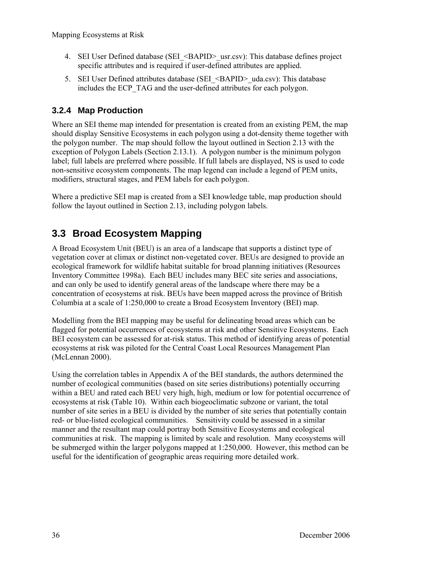- 4. SEI User Defined database (SEI\_<BAPID>\_usr.csv): This database defines project specific attributes and is required if user-defined attributes are applied.
- 5. SEI User Defined attributes database (SEI <BAPID> uda.csv): This database includes the ECP\_TAG and the user-defined attributes for each polygon.

## **3.2.4 Map Production**

Where an SEI theme map intended for presentation is created from an existing PEM, the map should display Sensitive Ecosystems in each polygon using a dot-density theme together with the polygon number. The map should follow the layout outlined in Section [2.13](#page-34-0) with the exception of Polygon Labels (Section [2.13.1\)](#page-34-1). A polygon number is the minimum polygon label; full labels are preferred where possible. If full labels are displayed, NS is used to code non-sensitive ecosystem components. The map legend can include a legend of PEM units, modifiers, structural stages, and PEM labels for each polygon.

Where a predictive SEI map is created from a SEI knowledge table, map production should follow the layout outlined in Section [2.13](#page-34-0), including polygon labels.

# **3.3 Broad Ecosystem Mapping**

A Broad Ecosystem Unit (BEU) is an area of a landscape that supports a distinct type of vegetation cover at climax or distinct non-vegetated cover. BEUs are designed to provide an ecological framework for wildlife habitat suitable for broad planning initiatives (Resources Inventory Committee 1998a). Each BEU includes many BEC site series and associations, and can only be used to identify general areas of the landscape where there may be a concentration of ecosystems at risk. BEUs have been mapped across the province of British Columbia at a scale of 1:250,000 to create a Broad Ecosystem Inventory (BEI) map.

Modelling from the BEI mapping may be useful for delineating broad areas which can be flagged for potential occurrences of ecosystems at risk and other Sensitive Ecosystems. Each BEI ecosystem can be assessed for at-risk status. This method of identifying areas of potential ecosystems at risk was piloted for the Central Coast Local Resources Management Plan (McLennan 2000).

Using the correlation tables in Appendix A of the BEI standards, the authors determined the number of ecological communities (based on site series distributions) potentially occurring within a BEU and rated each BEU very high, high, medium or low for potential occurrence of ecosystems at risk [\(Table 10](#page-46-0)). Within each biogeoclimatic subzone or variant, the total number of site series in a BEU is divided by the number of site series that potentially contain red- or blue-listed ecological communities. Sensitivity could be assessed in a similar manner and the resultant map could portray both Sensitive Ecosystems and ecological communities at risk. The mapping is limited by scale and resolution. Many ecosystems will be submerged within the larger polygons mapped at 1:250,000. However, this method can be useful for the identification of geographic areas requiring more detailed work.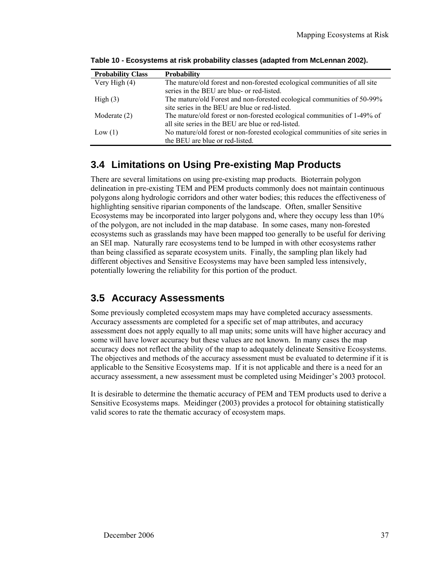| <b>Probability Class</b> | <b>Probability</b>                                                            |
|--------------------------|-------------------------------------------------------------------------------|
| Very High (4)            | The mature/old forest and non-forested ecological communities of all site     |
|                          | series in the BEU are blue- or red-listed.                                    |
| High $(3)$               | The mature/old Forest and non-forested ecological communities of 50-99%       |
|                          | site series in the BEU are blue or red-listed.                                |
| Moderate $(2)$           | The mature/old forest or non-forested ecological communities of 1-49% of      |
|                          | all site series in the BEU are blue or red-listed.                            |
| Low(1)                   | No mature/old forest or non-forested ecological communities of site series in |
|                          | the BEU are blue or red-listed.                                               |

<span id="page-46-0"></span>**Table 10 - Ecosystems at risk probability classes (adapted from McLennan 2002).** 

# **3.4 Limitations on Using Pre-existing Map Products**

There are several limitations on using pre-existing map products. Bioterrain polygon delineation in pre-existing TEM and PEM products commonly does not maintain continuous polygons along hydrologic corridors and other water bodies; this reduces the effectiveness of highlighting sensitive riparian components of the landscape. Often, smaller Sensitive Ecosystems may be incorporated into larger polygons and, where they occupy less than 10% of the polygon, are not included in the map database. In some cases, many non-forested ecosystems such as grasslands may have been mapped too generally to be useful for deriving an SEI map. Naturally rare ecosystems tend to be lumped in with other ecosystems rather than being classified as separate ecosystem units. Finally, the sampling plan likely had different objectives and Sensitive Ecosystems may have been sampled less intensively, potentially lowering the reliability for this portion of the product.

# **3.5 Accuracy Assessments**

Some previously completed ecosystem maps may have completed accuracy assessments. Accuracy assessments are completed for a specific set of map attributes, and accuracy assessment does not apply equally to all map units; some units will have higher accuracy and some will have lower accuracy but these values are not known. In many cases the map accuracy does not reflect the ability of the map to adequately delineate Sensitive Ecosystems. The objectives and methods of the accuracy assessment must be evaluated to determine if it is applicable to the Sensitive Ecosystems map. If it is not applicable and there is a need for an accuracy assessment, a new assessment must be completed using Meidinger's 2003 protocol.

It is desirable to determine the thematic accuracy of PEM and TEM products used to derive a Sensitive Ecosystems maps. Meidinger (2003) provides a protocol for obtaining statistically valid scores to rate the thematic accuracy of ecosystem maps.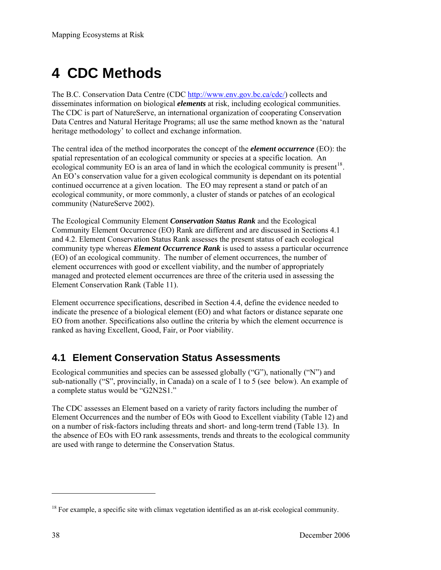# <span id="page-47-1"></span>**4 CDC Methods**

The B.C. Conservation Data Centre (CDC [http://www.env.gov.bc.ca/cdc/\)](http://www.env.gov.bc.ca/cdc/) collects and disseminates information on biological *elements* at risk, including ecological communities. The CDC is part of NatureServe, an international organization of cooperating Conservation Data Centres and Natural Heritage Programs; all use the same method known as the 'natural heritage methodology' to collect and exchange information.

The central idea of the method incorporates the concept of the *element occurrence* (EO): the spatial representation of an ecological community or species at a specific location. An ecological community EO is an area of land in which the ecological community is present<sup>[18](#page-47-1)</sup>. An EO's conservation value for a given ecological community is dependant on its potential continued occurrence at a given location. The EO may represent a stand or patch of an ecological community, or more commonly, a cluster of stands or patches of an ecological community (NatureServe 2002).

The Ecological Community Element *Conservation Status Rank* and the Ecological Community Element Occurrence (EO) Rank are different and are discussed in Sections [4.1](#page-47-0) and [4.2](#page-48-0). Element Conservation Status Rank assesses the present status of each ecological community type whereas *Element Occurrence Rank* is used to assess a particular occurrence (EO) of an ecological community. The number of element occurrences, the number of element occurrences with good or excellent viability, and the number of appropriately managed and protected element occurrences are three of the criteria used in assessing the Element Conservation Rank [\(Table](#page-48-1) 11).

Element occurrence specifications, described in Section [4.4](#page-49-0), define the evidence needed to indicate the presence of a biological element (EO) and what factors or distance separate one EO from another. Specifications also outline the criteria by which the element occurrence is ranked as having Excellent, Good, Fair, or Poor viability.

# <span id="page-47-0"></span>**4.1 Element Conservation Status Assessments**

Ecological communities and species can be assessed globally ("G"), nationally ("N") and sub-nationally ("S", provincially, in Canada) on a scale of 1 to 5 (see below). An example of a complete status would be "G2N2S1."

The CDC assesses an Element based on a variety of rarity factors including the number of Element Occurrences and the number of EOs with Good to Excellent viability [\(Table 1](#page-48-1)2) and on a number of risk-factors including threats and short- and long-term trend ([Table](#page-48-2) 13). In the absence of EOs with EO rank assessments, trends and threats to the ecological community are used with range to determine the Conservation Status.

1

<sup>&</sup>lt;sup>18</sup> For example, a specific site with climax vegetation identified as an at-risk ecological community.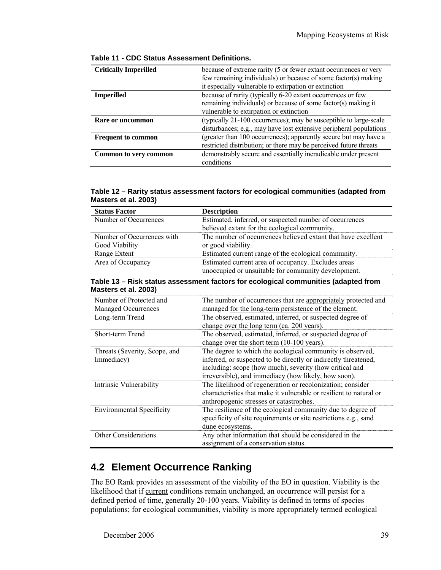| <b>Critically Imperilled</b> | because of extreme rarity (5 or fewer extant occurrences or very<br>few remaining individuals) or because of some factor(s) making<br>it especially vulnerable to extirpation or extinction |
|------------------------------|---------------------------------------------------------------------------------------------------------------------------------------------------------------------------------------------|
| <b>Imperilled</b>            | because of rarity (typically 6-20 extant occurrences or few<br>remaining individuals) or because of some factor(s) making it<br>vulnerable to extirpation or extinction                     |
| Rare or uncommon             | (typically 21-100 occurrences); may be susceptible to large-scale<br>disturbances; e.g., may have lost extensive peripheral populations                                                     |
| <b>Frequent to common</b>    | (greater than 100 occurrences); apparently secure but may have a<br>restricted distribution; or there may be perceived future threats                                                       |
| <b>Common to very common</b> | demonstrably secure and essentially ineradicable under present<br>conditions                                                                                                                |

|  | Table 11 - CDC Status Assessment Definitions. |
|--|-----------------------------------------------|
|--|-----------------------------------------------|

#### <span id="page-48-1"></span>**Table 12 – Rarity status assessment factors for ecological communities (adapted from Masters et al. 2003)**

| <b>Status Factor</b>       | <b>Description</b>                                                                                      |  |  |
|----------------------------|---------------------------------------------------------------------------------------------------------|--|--|
| Number of Occurrences      | Estimated, inferred, or suspected number of occurrences                                                 |  |  |
|                            | believed extant for the ecological community.                                                           |  |  |
| Number of Occurrences with | The number of occurrences believed extant that have excellent                                           |  |  |
| Good Viability             | or good viability.                                                                                      |  |  |
| Range Extent               | Estimated current range of the ecological community.                                                    |  |  |
| Area of Occupancy          | Estimated current area of occupancy. Excludes areas                                                     |  |  |
|                            | unoccupied or unsuitable for community development.                                                     |  |  |
| Masters et al. 2003)       | Table 13 - Risk status assessment factors for ecological communities (adapted from                      |  |  |
| Number of Protected and    | The number of occurrences that are appropriately protected and                                          |  |  |
| Managed Occurrences        | managed for the long-term persistence of the element.                                                   |  |  |
| Long-term Trend            | The observed, estimated, inferred, or suspected degree of<br>change over the long term (ca. 200 years). |  |  |
| Short-term Trend           | The observed estimated inferred or suspected degree of                                                  |  |  |

<span id="page-48-2"></span>

| Short-term Trend                 | The observed, estimated, inferred, or suspected degree of          |
|----------------------------------|--------------------------------------------------------------------|
|                                  | change over the short term (10-100 years).                         |
| Threats (Severity, Scope, and    | The degree to which the ecological community is observed,          |
| Immediacy)                       | inferred, or suspected to be directly or indirectly threatened,    |
|                                  | including: scope (how much), severity (how critical and            |
|                                  | irreversible), and immediacy (how likely, how soon).               |
| Intrinsic Vulnerability          | The likelihood of regeneration or recolonization; consider         |
|                                  | characteristics that make it vulnerable or resilient to natural or |
|                                  | anthropogenic stresses or catastrophes.                            |
| <b>Environmental Specificity</b> | The resilience of the ecological community due to degree of        |
|                                  | specificity of site requirements or site restrictions e.g., sand   |
|                                  | dune ecosystems.                                                   |
| <b>Other Considerations</b>      | Any other information that should be considered in the             |
|                                  | assignment of a conservation status.                               |

## <span id="page-48-0"></span>**4.2 Element Occurrence Ranking**

The EO Rank provides an assessment of the viability of the EO in question. Viability is the likelihood that if current conditions remain unchanged, an occurrence will persist for a defined period of time, generally 20-100 years. Viability is defined in terms of species populations; for ecological communities, viability is more appropriately termed ecological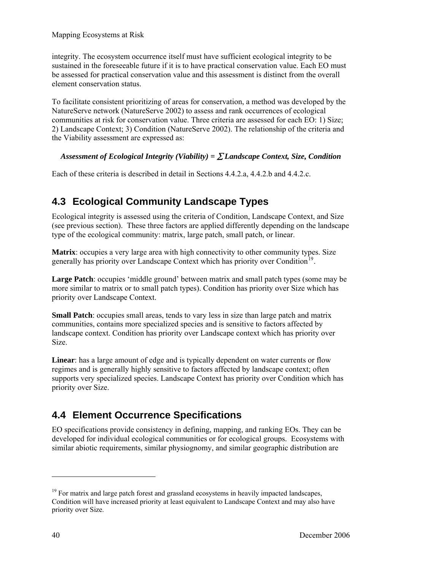<span id="page-49-1"></span>Mapping Ecosystems at Risk

integrity. The ecosystem occurrence itself must have sufficient ecological integrity to be sustained in the foreseeable future if it is to have practical conservation value. Each EO must be assessed for practical conservation value and this assessment is distinct from the overall element conservation status.

To facilitate consistent prioritizing of areas for conservation, a method was developed by the NatureServe network (NatureServe 2002) to assess and rank occurrences of ecological communities at risk for conservation value. Three criteria are assessed for each EO: 1) Size; 2) Landscape Context; 3) Condition (NatureServe 2002). The relationship of the criteria and the Viability assessment are expressed as:

*Assessment of Ecological Integrity (Viability) =* ∑ *Landscape Context, Size, Condition* 

Each of these criteria is described in detail in Sections [4.4.2.a](#page-51-1), [4.4.2.b](#page-52-0) and [4.4.2.c](#page-52-1).

# <span id="page-49-2"></span>**4.3 Ecological Community Landscape Types**

Ecological integrity is assessed using the criteria of Condition, Landscape Context, and Size (see previous section). These three factors are applied differently depending on the landscape type of the ecological community: matrix, large patch, small patch, or linear.

**Matrix**: occupies a very large area with high connectivity to other community types. Size generally has priority over Landscape Context which has priority over Condition<sup>[19](#page-49-1)</sup>.

**Large Patch**: occupies 'middle ground' between matrix and small patch types (some may be more similar to matrix or to small patch types). Condition has priority over Size which has priority over Landscape Context.

**Small Patch**: occupies small areas, tends to vary less in size than large patch and matrix communities, contains more specialized species and is sensitive to factors affected by landscape context. Condition has priority over Landscape context which has priority over Size.

**Linear**: has a large amount of edge and is typically dependent on water currents or flow regimes and is generally highly sensitive to factors affected by landscape context; often supports very specialized species. Landscape Context has priority over Condition which has priority over Size.

# <span id="page-49-0"></span>**4.4 Element Occurrence Specifications**

EO specifications provide consistency in defining, mapping, and ranking EOs. They can be developed for individual ecological communities or for ecological groups. Ecosystems with similar abiotic requirements, similar physiognomy, and similar geographic distribution are

 $19$  For matrix and large patch forest and grassland ecosystems in heavily impacted landscapes, Condition will have increased priority at least equivalent to Landscape Context and may also have priority over Size.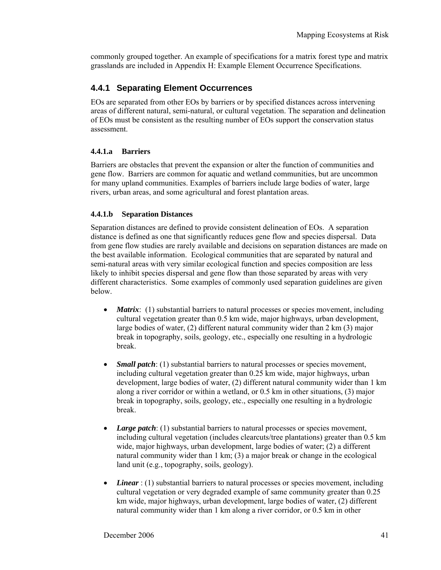commonly grouped together. An example of specifications for a matrix forest type and matrix grasslands are included in [Appendix H: Example Element Occurrence Specifications.](#page-90-0)

#### **4.4.1 Separating Element Occurrences**

EOs are separated from other EOs by barriers or by specified distances across intervening areas of different natural, semi-natural, or cultural vegetation. The separation and delineation of EOs must be consistent as the resulting number of EOs support the conservation status assessment.

#### **4.4.1.a Barriers**

Barriers are obstacles that prevent the expansion or alter the function of communities and gene flow. Barriers are common for aquatic and wetland communities, but are uncommon for many upland communities. Examples of barriers include large bodies of water, large rivers, urban areas, and some agricultural and forest plantation areas.

#### **4.4.1.b Separation Distances**

Separation distances are defined to provide consistent delineation of EOs. A separation distance is defined as one that significantly reduces gene flow and species dispersal. Data from gene flow studies are rarely available and decisions on separation distances are made on the best available information. Ecological communities that are separated by natural and semi-natural areas with very similar ecological function and species composition are less likely to inhibit species dispersal and gene flow than those separated by areas with very different characteristics. Some examples of commonly used separation guidelines are given below.

- *Matrix*: (1) substantial barriers to natural processes or species movement, including cultural vegetation greater than 0.5 km wide, major highways, urban development, large bodies of water, (2) different natural community wider than 2 km (3) major break in topography, soils, geology, etc., especially one resulting in a hydrologic break.
- *Small patch*: (1) substantial barriers to natural processes or species movement, including cultural vegetation greater than 0.25 km wide, major highways, urban development, large bodies of water, (2) different natural community wider than 1 km along a river corridor or within a wetland, or 0.5 km in other situations, (3) major break in topography, soils, geology, etc., especially one resulting in a hydrologic break.
- *Large patch*: (1) substantial barriers to natural processes or species movement, including cultural vegetation (includes clearcuts/tree plantations) greater than 0.5 km wide, major highways, urban development, large bodies of water; (2) a different natural community wider than 1 km; (3) a major break or change in the ecological land unit (e.g., topography, soils, geology).
- *Linear* : (1) substantial barriers to natural processes or species movement, including cultural vegetation or very degraded example of same community greater than 0.25 km wide, major highways, urban development, large bodies of water, (2) different natural community wider than 1 km along a river corridor, or 0.5 km in other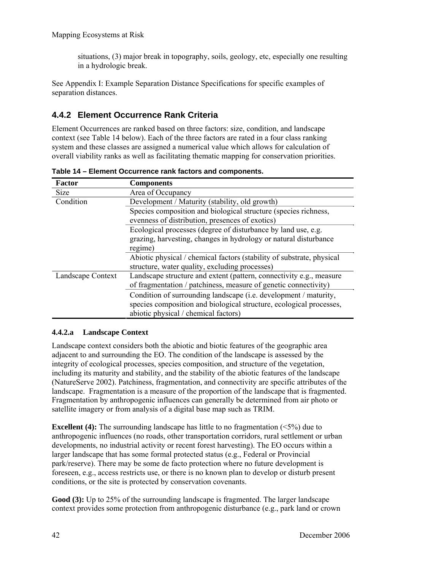situations, (3) major break in topography, soils, geology, etc, especially one resulting in a hydrologic break.

See [Appendix I: Example Separation Distance Specifications](#page-96-0) for specific examples of separation distances.

## <span id="page-51-0"></span>**4.4.2 Element Occurrence Rank Criteria**

Element Occurrences are ranked based on three factors: size, condition, and landscape context (see Table 14 below). Each of the three factors are rated in a four class ranking system and these classes are assigned a numerical value which allows for calculation of overall viability ranks as well as facilitating thematic mapping for conservation priorities.

| <b>Factor</b>     | <b>Components</b>                                                                                                                      |  |  |  |  |  |  |
|-------------------|----------------------------------------------------------------------------------------------------------------------------------------|--|--|--|--|--|--|
| <b>Size</b>       | Area of Occupancy                                                                                                                      |  |  |  |  |  |  |
| Condition         | Development / Maturity (stability, old growth)                                                                                         |  |  |  |  |  |  |
|                   | Species composition and biological structure (species richness,                                                                        |  |  |  |  |  |  |
|                   | evenness of distribution, presences of exotics)                                                                                        |  |  |  |  |  |  |
|                   | Ecological processes (degree of disturbance by land use, e.g.                                                                          |  |  |  |  |  |  |
|                   | grazing, harvesting, changes in hydrology or natural disturbance                                                                       |  |  |  |  |  |  |
|                   | regime)                                                                                                                                |  |  |  |  |  |  |
|                   | Abiotic physical / chemical factors (stability of substrate, physical                                                                  |  |  |  |  |  |  |
|                   | structure, water quality, excluding processes)                                                                                         |  |  |  |  |  |  |
| Landscape Context | Landscape structure and extent (pattern, connectivity e.g., measure<br>of fragmentation / patchiness, measure of genetic connectivity) |  |  |  |  |  |  |
|                   | Condition of surrounding landscape (i.e. development / maturity,                                                                       |  |  |  |  |  |  |
|                   | species composition and biological structure, ecological processes,                                                                    |  |  |  |  |  |  |
|                   | abiotic physical / chemical factors)                                                                                                   |  |  |  |  |  |  |

**Table 14 – Element Occurrence rank factors and components.** 

## <span id="page-51-1"></span>**4.4.2.a Landscape Context**

Landscape context considers both the abiotic and biotic features of the geographic area adjacent to and surrounding the EO. The condition of the landscape is assessed by the integrity of ecological processes, species composition, and structure of the vegetation, including its maturity and stability, and the stability of the abiotic features of the landscape (NatureServe 2002). Patchiness, fragmentation, and connectivity are specific attributes of the landscape. Fragmentation is a measure of the proportion of the landscape that is fragmented. Fragmentation by anthropogenic influences can generally be determined from air photo or satellite imagery or from analysis of a digital base map such as TRIM.

**Excellent (4):** The surrounding landscape has little to no fragmentation ( $\leq 5\%$ ) due to anthropogenic influences (no roads, other transportation corridors, rural settlement or urban developments, no industrial activity or recent forest harvesting). The EO occurs within a larger landscape that has some formal protected status (e.g., Federal or Provincial park/reserve). There may be some de facto protection where no future development is foreseen, e.g., access restricts use, or there is no known plan to develop or disturb present conditions, or the site is protected by conservation covenants.

**Good (3):** Up to 25% of the surrounding landscape is fragmented. The larger landscape context provides some protection from anthropogenic disturbance (e.g., park land or crown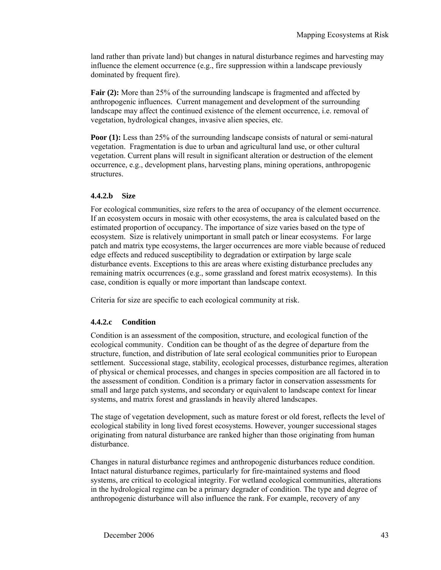land rather than private land) but changes in natural disturbance regimes and harvesting may influence the element occurrence (e.g., fire suppression within a landscape previously dominated by frequent fire).

**Fair (2):** More than 25% of the surrounding landscape is fragmented and affected by anthropogenic influences. Current management and development of the surrounding landscape may affect the continued existence of the element occurrence, i.e. removal of vegetation, hydrological changes, invasive alien species, etc.

**Poor (1):** Less than 25% of the surrounding landscape consists of natural or semi-natural vegetation. Fragmentation is due to urban and agricultural land use, or other cultural vegetation. Current plans will result in significant alteration or destruction of the element occurrence, e.g., development plans, harvesting plans, mining operations, anthropogenic structures.

#### <span id="page-52-0"></span>**4.4.2.b Size**

For ecological communities, size refers to the area of occupancy of the element occurrence. If an ecosystem occurs in mosaic with other ecosystems, the area is calculated based on the estimated proportion of occupancy. The importance of size varies based on the type of ecosystem. Size is relatively unimportant in small patch or linear ecosystems. For large patch and matrix type ecosystems, the larger occurrences are more viable because of reduced edge effects and reduced susceptibility to degradation or extirpation by large scale disturbance events. Exceptions to this are areas where existing disturbance precludes any remaining matrix occurrences (e.g., some grassland and forest matrix ecosystems). In this case, condition is equally or more important than landscape context.

Criteria for size are specific to each ecological community at risk.

#### <span id="page-52-1"></span>**4.4.2.c Condition**

Condition is an assessment of the composition, structure, and ecological function of the ecological community. Condition can be thought of as the degree of departure from the structure, function, and distribution of late seral ecological communities prior to European settlement. Successional stage, stability, ecological processes, disturbance regimes, alteration of physical or chemical processes, and changes in species composition are all factored in to the assessment of condition. Condition is a primary factor in conservation assessments for small and large patch systems, and secondary or equivalent to landscape context for linear systems, and matrix forest and grasslands in heavily altered landscapes.

The stage of vegetation development, such as mature forest or old forest, reflects the level of ecological stability in long lived forest ecosystems. However, younger successional stages originating from natural disturbance are ranked higher than those originating from human disturbance.

Changes in natural disturbance regimes and anthropogenic disturbances reduce condition. Intact natural disturbance regimes, particularly for fire-maintained systems and flood systems, are critical to ecological integrity. For wetland ecological communities, alterations in the hydrological regime can be a primary degrader of condition. The type and degree of anthropogenic disturbance will also influence the rank. For example, recovery of any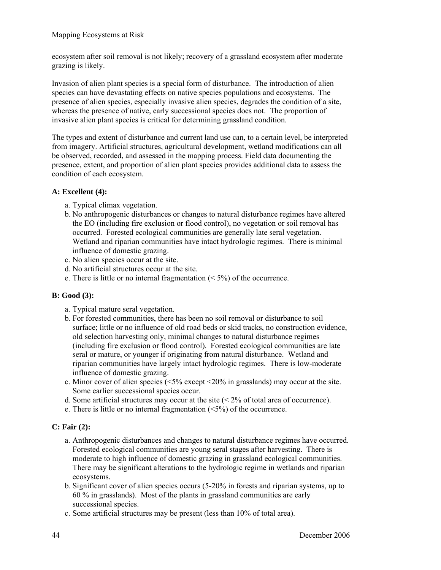Mapping Ecosystems at Risk

ecosystem after soil removal is not likely; recovery of a grassland ecosystem after moderate grazing is likely.

Invasion of alien plant species is a special form of disturbance. The introduction of alien species can have devastating effects on native species populations and ecosystems. The presence of alien species, especially invasive alien species, degrades the condition of a site, whereas the presence of native, early successional species does not. The proportion of invasive alien plant species is critical for determining grassland condition.

The types and extent of disturbance and current land use can, to a certain level, be interpreted from imagery. Artificial structures, agricultural development, wetland modifications can all be observed, recorded, and assessed in the mapping process. Field data documenting the presence, extent, and proportion of alien plant species provides additional data to assess the condition of each ecosystem.

#### **A: Excellent (4):**

- a. Typical climax vegetation.
- b. No anthropogenic disturbances or changes to natural disturbance regimes have altered the EO (including fire exclusion or flood control), no vegetation or soil removal has occurred. Forested ecological communities are generally late seral vegetation. Wetland and riparian communities have intact hydrologic regimes. There is minimal influence of domestic grazing.
- c. No alien species occur at the site.
- d. No artificial structures occur at the site.
- e. There is little or no internal fragmentation  $( $5\%$ )$  of the occurrence.

#### **B: Good (3):**

- a. Typical mature seral vegetation.
- b. For forested communities, there has been no soil removal or disturbance to soil surface; little or no influence of old road beds or skid tracks, no construction evidence, old selection harvesting only, minimal changes to natural disturbance regimes (including fire exclusion or flood control). Forested ecological communities are late seral or mature, or younger if originating from natural disturbance. Wetland and riparian communities have largely intact hydrologic regimes. There is low-moderate influence of domestic grazing.
- c. Minor cover of alien species ( $\leq 5\%$  except  $\leq 20\%$  in grasslands) may occur at the site. Some earlier successional species occur.
- d. Some artificial structures may occur at the site (< 2% of total area of occurrence).
- e. There is little or no internal fragmentation  $(\leq 5\%)$  of the occurrence.

#### **C: Fair (2):**

- a. Anthropogenic disturbances and changes to natural disturbance regimes have occurred. Forested ecological communities are young seral stages after harvesting. There is moderate to high influence of domestic grazing in grassland ecological communities. There may be significant alterations to the hydrologic regime in wetlands and riparian ecosystems.
- b. Significant cover of alien species occurs (5-20% in forests and riparian systems, up to 60 % in grasslands). Most of the plants in grassland communities are early successional species.
- c. Some artificial structures may be present (less than 10% of total area).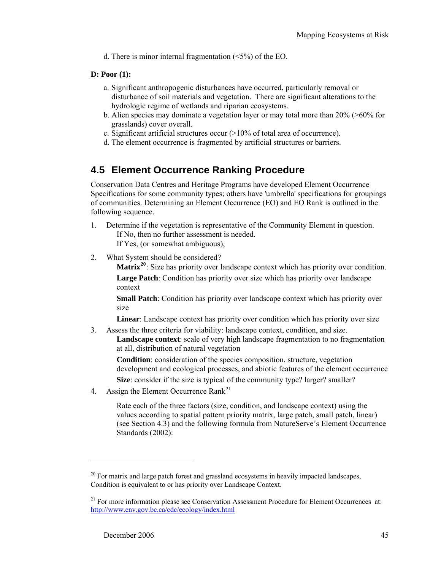d. There is minor internal fragmentation (<5%) of the EO.

#### <span id="page-54-0"></span>**D: Poor (1):**

- a. Significant anthropogenic disturbances have occurred, particularly removal or disturbance of soil materials and vegetation. There are significant alterations to the hydrologic regime of wetlands and riparian ecosystems.
- b. Alien species may dominate a vegetation layer or may total more than 20% (>60% for grasslands) cover overall.
- c. Significant artificial structures occur (>10% of total area of occurrence).
- d. The element occurrence is fragmented by artificial structures or barriers.

# **4.5 Element Occurrence Ranking Procedure**

Conservation Data Centres and Heritage Programs have developed Element Occurrence Specifications for some community types; others have 'umbrella' specifications for groupings of communities. Determining an Element Occurrence (EO) and EO Rank is outlined in the following sequence.

- 1. Determine if the vegetation is representative of the Community Element in question. If No, then no further assessment is needed. If Yes, (or somewhat ambiguous),
	-
- 2. What System should be considered?

**Matrix[20](#page-54-0)**: Size has priority over landscape context which has priority over condition.

**Large Patch**: Condition has priority over size which has priority over landscape context

**Small Patch:** Condition has priority over landscape context which has priority over size

**Linear**: Landscape context has priority over condition which has priority over size

3. Assess the three criteria for viability: landscape context, condition, and size. **Landscape context**: scale of very high landscape fragmentation to no fragmentation at all, distribution of natural vegetation

**Condition**: consideration of the species composition, structure, vegetation development and ecological processes, and abiotic features of the element occurrence

**Size**: consider if the size is typical of the community type? larger? smaller?

4. Assign the Element Occurrence Rank<sup>[21](#page-54-0)</sup>

Rate each of the three factors (size, condition, and landscape context) using the values according to spatial pattern priority matrix, large patch, small patch, linear) (see Section [4.3\)](#page-49-2) and the following formula from NatureServe's Element Occurrence Standards (2002):

 $20$  For matrix and large patch forest and grassland ecosystems in heavily impacted landscapes, Condition is equivalent to or has priority over Landscape Context.

<sup>&</sup>lt;sup>21</sup> For more information please see Conservation Assessment Procedure for Element Occurrences at: <http://www.env.gov.bc.ca/cdc/ecology/index.html>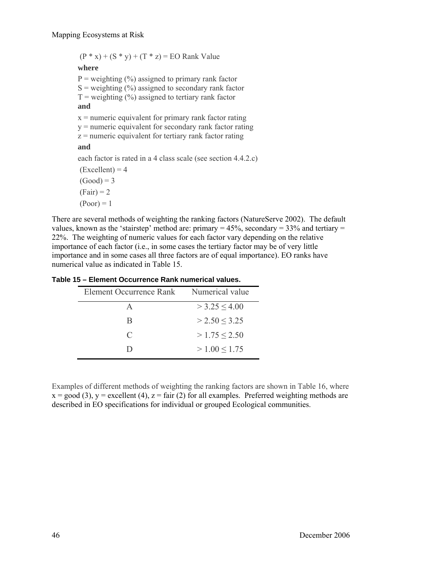$(P * x) + (S * y) + (T * z) = EO Rank Value$ **where**   $P =$  weighting  $(\%)$  assigned to primary rank factor  $S =$  weighting  $(\%)$  assigned to secondary rank factor  $T$  = weighting  $\left(\frac{9}{6}\right)$  assigned to tertiary rank factor **and**   $x =$  numeric equivalent for primary rank factor rating y = numeric equivalent for secondary rank factor rating  $z =$  numeric equivalent for tertiary rank factor rating **and**  each factor is rated in a 4 class scale (see section 4.4.2.c)  $(Excellent) = 4$  $(Good) = 3$  $(Fair) = 2$  $(Poor) = 1$ 

There are several methods of weighting the ranking factors (NatureServe 2002). The default values, known as the 'stairstep' method are: primary  $= 45\%$ , secondary  $= 33\%$  and tertiary  $=$ 22%. The weighting of numeric values for each factor vary depending on the relative importance of each factor (i.e., in some cases the tertiary factor may be of very little importance and in some cases all three factors are of equal importance). EO ranks have numerical value as indicated in Table 15.

| Element Occurrence Rank | Numerical value      |
|-------------------------|----------------------|
| A                       | $>$ 3.25 $<$ 4.00    |
| R                       | $>$ 2.50 $\leq$ 3.25 |
| $\subset$               | $>1.75 \le 2.50$     |
| Ð                       | $>1.00 \le 1.75$     |

| Table 15 – Element Occurrence Rank numerical values. |
|------------------------------------------------------|
|------------------------------------------------------|

Examples of different methods of weighting the ranking factors are shown in Table 16, where  $x = good(3)$ ,  $y = excellent(4)$ ,  $z = fair(2)$  for all examples. Preferred weighting methods are described in EO specifications for individual or grouped Ecological communities.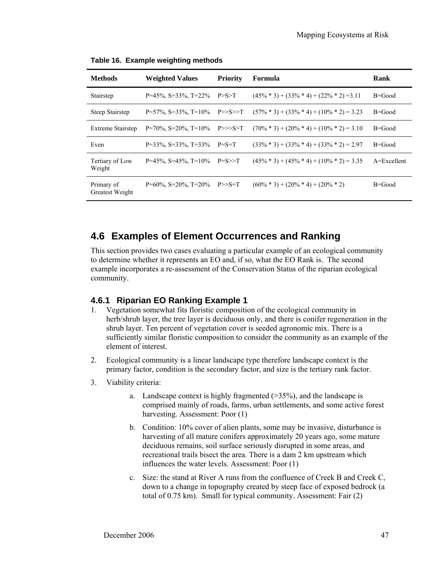| <b>Methods</b>                | <b>Weighted Values</b>           | <b>Priority</b> | Formula                                       | Rank            |
|-------------------------------|----------------------------------|-----------------|-----------------------------------------------|-----------------|
| Stairstep                     | $P=45\%$ , S=33%, T=22%          | P > S > T       | $(45\% * 3) + (33\% * 4) + (22\% * 2) = 3.11$ | $B = Good$      |
| <b>Steep Stairstep</b>        | $P=57\%$ , S=33\%, T=10\%        | P>>S>>T         | $(57\% * 3) + (33\% * 4) + (10\% * 2) = 3.23$ | $B = Good$      |
| <b>Extreme Stairstep</b>      | $P=70\%$ , S=20%, T=10%          | P>>>>T          | $(70\% * 3) + (20\% * 4) + (10\% * 2) = 3.10$ | $B = Good$      |
| Even                          | $P=33\%$ , S=33%, T=33% $P=$ S=T |                 | $(33\% * 3) + (33\% * 4) + (33\% * 2) = 2.97$ | $B = Good$      |
| Tertiary of Low<br>Weight     | $P=45\%$ , S=45%, T=10%          | $P = S >> T$    | $(45\% * 3) + (45\% * 4) + (10\% * 2) = 3.35$ | $A = Excellent$ |
| Primary of<br>Greatest Weight | $P=60\%$ , S=20%, T=20%          | $P>>S=T$        | $(60\% * 3) + (20\% * 4) + (20\% * 2)$        | $B = Good$      |

**Table 16. Example weighting methods** 

## <span id="page-56-0"></span>**4.6 Examples of Element Occurrences and Ranking**

This section provides two cases evaluating a particular example of an ecological community to determine whether it represents an EO and, if so, what the EO Rank is. The second example incorporates a re-assessment of the Conservation Status of the riparian ecological community.

## **4.6.1 Riparian EO Ranking Example 1**

- 1. Vegetation somewhat fits floristic composition of the ecological community in herb/shrub layer, the tree layer is deciduous only, and there is conifer regeneration in the shrub layer. Ten percent of vegetation cover is seeded agronomic mix. There is a sufficiently similar floristic composition to consider the community as an example of the element of interest.
- 2. Ecological community is a linear landscape type therefore landscape context is the primary factor, condition is the secondary factor, and size is the tertiary rank factor.
- 3. Viability criteria:
	- a. Landscape context is highly fragmented  $(>35\%)$ , and the landscape is comprised mainly of roads, farms, urban settlements, and some active forest harvesting. Assessment: Poor (1)
	- b. Condition: 10% cover of alien plants, some may be invasive, disturbance is harvesting of all mature conifers approximately 20 years ago, some mature deciduous remains, soil surface seriously disrupted in some areas, and recreational trails bisect the area. There is a dam 2 km upstream which influences the water levels. Assessment: Poor (1)
	- c. Size: the stand at River A runs from the confluence of Creek B and Creek C, down to a change in topography created by steep face of exposed bedrock (a total of 0.75 km). Small for typical community. Assessment: Fair (2)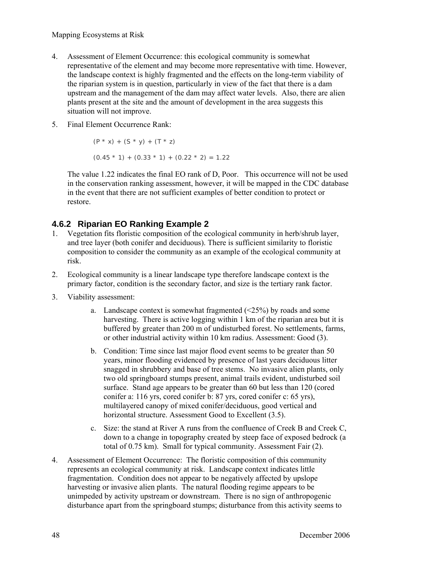#### Mapping Ecosystems at Risk

- 4. Assessment of Element Occurrence: this ecological community is somewhat representative of the element and may become more representative with time. However, the landscape context is highly fragmented and the effects on the long-term viability of the riparian system is in question, particularly in view of the fact that there is a dam upstream and the management of the dam may affect water levels. Also, there are alien plants present at the site and the amount of development in the area suggests this situation will not improve.
- 5. Final Element Occurrence Rank:

$$
(P * x) + (S * y) + (T * z)
$$
  
(0.45 \* 1) + (0.33 \* 1) + (0.22 \* 2) = 1.22

The value 1.22 indicates the final EO rank of D, Poor. This occurrence will not be used in the conservation ranking assessment, however, it will be mapped in the CDC database in the event that there are not sufficient examples of better condition to protect or restore.

## **4.6.2 Riparian EO Ranking Example 2**

- 1. Vegetation fits floristic composition of the ecological community in herb/shrub layer, and tree layer (both conifer and deciduous). There is sufficient similarity to floristic composition to consider the community as an example of the ecological community at risk.
- 2. Ecological community is a linear landscape type therefore landscape context is the primary factor, condition is the secondary factor, and size is the tertiary rank factor.
- 3. Viability assessment:
	- a. Landscape context is somewhat fragmented  $(\leq 25\%)$  by roads and some harvesting. There is active logging within 1 km of the riparian area but it is buffered by greater than 200 m of undisturbed forest. No settlements, farms, or other industrial activity within 10 km radius. Assessment: Good (3).
	- b. Condition: Time since last major flood event seems to be greater than 50 years, minor flooding evidenced by presence of last years deciduous litter snagged in shrubbery and base of tree stems. No invasive alien plants, only two old springboard stumps present, animal trails evident, undisturbed soil surface. Stand age appears to be greater than 60 but less than 120 (cored conifer a: 116 yrs, cored conifer b: 87 yrs, cored conifer c: 65 yrs), multilayered canopy of mixed conifer/deciduous, good vertical and horizontal structure. Assessment Good to Excellent (3.5).
	- c. Size: the stand at River A runs from the confluence of Creek B and Creek C, down to a change in topography created by steep face of exposed bedrock (a total of 0.75 km). Small for typical community. Assessment Fair (2).
- 4. Assessment of Element Occurrence: The floristic composition of this community represents an ecological community at risk. Landscape context indicates little fragmentation. Condition does not appear to be negatively affected by upslope harvesting or invasive alien plants. The natural flooding regime appears to be unimpeded by activity upstream or downstream. There is no sign of anthropogenic disturbance apart from the springboard stumps; disturbance from this activity seems to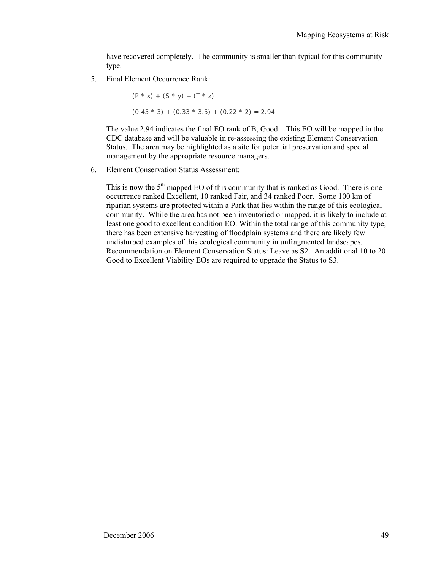have recovered completely. The community is smaller than typical for this community type.

5. Final Element Occurrence Rank:

$$
(P * x) + (S * y) + (T * z)
$$
  
(0.45 \* 3) + (0.33 \* 3.5) + (0.22 \* 2) = 2.94

The value 2.94 indicates the final EO rank of B, Good. This EO will be mapped in the CDC database and will be valuable in re-assessing the existing Element Conservation Status. The area may be highlighted as a site for potential preservation and special management by the appropriate resource managers.

6. Element Conservation Status Assessment:

This is now the  $5<sup>th</sup>$  mapped EO of this community that is ranked as Good. There is one occurrence ranked Excellent, 10 ranked Fair, and 34 ranked Poor. Some 100 km of riparian systems are protected within a Park that lies within the range of this ecological community. While the area has not been inventoried or mapped, it is likely to include at least one good to excellent condition EO. Within the total range of this community type, there has been extensive harvesting of floodplain systems and there are likely few undisturbed examples of this ecological community in unfragmented landscapes. Recommendation on Element Conservation Status: Leave as S2. An additional 10 to 20 Good to Excellent Viability EOs are required to upgrade the Status to S3.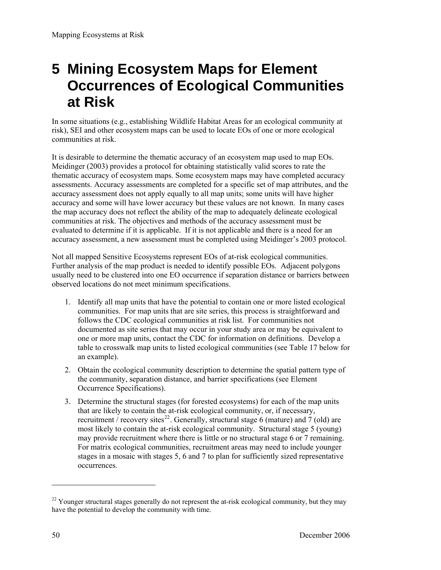# <span id="page-59-0"></span>**5 Mining Ecosystem Maps for Element Occurrences of Ecological Communities at Risk**

In some situations (e.g., establishing Wildlife Habitat Areas for an ecological community at risk), SEI and other ecosystem maps can be used to locate EOs of one or more ecological communities at risk.

It is desirable to determine the thematic accuracy of an ecosystem map used to map EOs. Meidinger (2003) provides a protocol for obtaining statistically valid scores to rate the thematic accuracy of ecosystem maps. Some ecosystem maps may have completed accuracy assessments. Accuracy assessments are completed for a specific set of map attributes, and the accuracy assessment does not apply equally to all map units; some units will have higher accuracy and some will have lower accuracy but these values are not known. In many cases the map accuracy does not reflect the ability of the map to adequately delineate ecological communities at risk. The objectives and methods of the accuracy assessment must be evaluated to determine if it is applicable. If it is not applicable and there is a need for an accuracy assessment, a new assessment must be completed using Meidinger's 2003 protocol.

Not all mapped Sensitive Ecosystems represent EOs of at-risk ecological communities. Further analysis of the map product is needed to identify possible EOs. Adjacent polygons usually need to be clustered into one EO occurrence if separation distance or barriers between observed locations do not meet minimum specifications.

- 1. Identify all map units that have the potential to contain one or more listed ecological communities. For map units that are site series, this process is straightforward and follows the CDC ecological communities at risk list. For communities not documented as site series that may occur in your study area or may be equivalent to one or more map units, contact the CDC for information on definitions. Develop a table to crosswalk map units to listed ecological communities (see Table 17 below for an example).
- 2. Obtain the ecological community description to determine the spatial pattern type of the community, separation distance, and barrier specifications (see Element Occurrence Specifications).
- 3. Determine the structural stages (for forested ecosystems) for each of the map units that are likely to contain the at-risk ecological community, or, if necessary, recruitment / recovery sites<sup>[22](#page-59-0)</sup>. Generally, structural stage 6 (mature) and 7 (old) are most likely to contain the at-risk ecological community. Structural stage 5 (young) may provide recruitment where there is little or no structural stage 6 or 7 remaining. For matrix ecological communities, recruitment areas may need to include younger stages in a mosaic with stages 5, 6 and 7 to plan for sufficiently sized representative occurrences.

 $22$  Younger structural stages generally do not represent the at-risk ecological community, but they may have the potential to develop the community with time.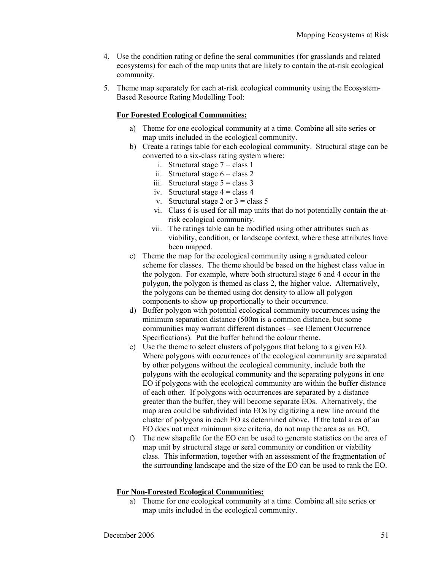- 4. Use the condition rating or define the seral communities (for grasslands and related ecosystems) for each of the map units that are likely to contain the at-risk ecological community.
- 5. Theme map separately for each at-risk ecological community using the Ecosystem-Based Resource Rating Modelling Tool:

#### **For Forested Ecological Communities:**

- a) Theme for one ecological community at a time. Combine all site series or map units included in the ecological community.
- b) Create a ratings table for each ecological community. Structural stage can be converted to a six-class rating system where:
	- i. Structural stage  $7 = class 1$
	- ii. Structural stage  $6 =$  class 2
	- iii. Structural stage  $5 = class 3$
	- iv. Structural stage  $4 =$  class 4
	- v. Structural stage 2 or  $3 =$  class 5
	- vi. Class 6 is used for all map units that do not potentially contain the atrisk ecological community.
	- vii. The ratings table can be modified using other attributes such as viability, condition, or landscape context, where these attributes have been mapped.
- c) Theme the map for the ecological community using a graduated colour scheme for classes. The theme should be based on the highest class value in the polygon. For example, where both structural stage 6 and 4 occur in the polygon, the polygon is themed as class 2, the higher value. Alternatively, the polygons can be themed using dot density to allow all polygon components to show up proportionally to their occurrence.
- d) Buffer polygon with potential ecological community occurrences using the minimum separation distance (500m is a common distance, but some communities may warrant different distances – see Element Occurrence Specifications). Put the buffer behind the colour theme.
- e) Use the theme to select clusters of polygons that belong to a given EO. Where polygons with occurrences of the ecological community are separated by other polygons without the ecological community, include both the polygons with the ecological community and the separating polygons in one EO if polygons with the ecological community are within the buffer distance of each other. If polygons with occurrences are separated by a distance greater than the buffer, they will become separate EOs. Alternatively, the map area could be subdivided into EOs by digitizing a new line around the cluster of polygons in each EO as determined above. If the total area of an EO does not meet minimum size criteria, do not map the area as an EO.
- f) The new shapefile for the EO can be used to generate statistics on the area of map unit by structural stage or seral community or condition or viability class. This information, together with an assessment of the fragmentation of the surrounding landscape and the size of the EO can be used to rank the EO.

#### **For Non-Forested Ecological Communities:**

a) Theme for one ecological community at a time. Combine all site series or map units included in the ecological community.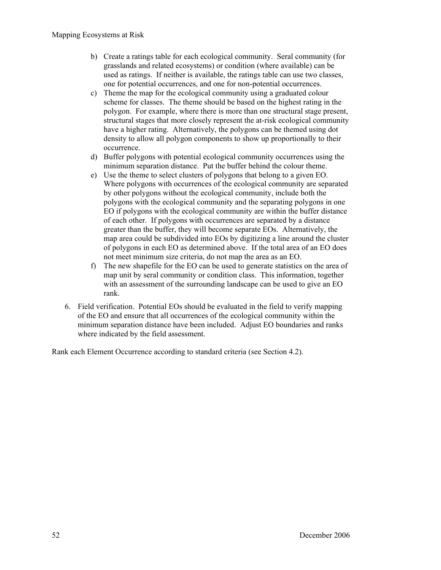- b) Create a ratings table for each ecological community. Seral community (for grasslands and related ecosystems) or condition (where available) can be used as ratings. If neither is available, the ratings table can use two classes, one for potential occurrences, and one for non-potential occurrences.
- c) Theme the map for the ecological community using a graduated colour scheme for classes. The theme should be based on the highest rating in the polygon. For example, where there is more than one structural stage present, structural stages that more closely represent the at-risk ecological community have a higher rating. Alternatively, the polygons can be themed using dot density to allow all polygon components to show up proportionally to their occurrence.
- d) Buffer polygons with potential ecological community occurrences using the minimum separation distance. Put the buffer behind the colour theme.
- e) Use the theme to select clusters of polygons that belong to a given EO. Where polygons with occurrences of the ecological community are separated by other polygons without the ecological community, include both the polygons with the ecological community and the separating polygons in one EO if polygons with the ecological community are within the buffer distance of each other. If polygons with occurrences are separated by a distance greater than the buffer, they will become separate EOs. Alternatively, the map area could be subdivided into EOs by digitizing a line around the cluster of polygons in each EO as determined above. If the total area of an EO does not meet minimum size criteria, do not map the area as an EO.
- f) The new shapefile for the EO can be used to generate statistics on the area of map unit by seral community or condition class. This information, together with an assessment of the surrounding landscape can be used to give an EO rank.
- 6. Field verification. Potential EOs should be evaluated in the field to verify mapping of the EO and ensure that all occurrences of the ecological community within the minimum separation distance have been included. Adjust EO boundaries and ranks where indicated by the field assessment.

Rank each Element Occurrence according to standard criteria (see Section [4.2](#page-48-0)).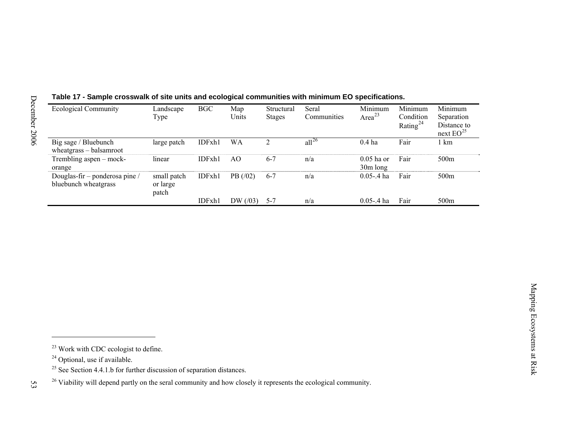| <b>Ecological Community</b>                            | $L$ andscape<br>Type             | <b>BGC</b> | Map<br>Units   | Structural<br><b>Stages</b> | Seral<br>Communities | Minimum<br>Area $^{23}$    | Minimum<br>Condition<br>Rating <sup>24</sup> | Minimum<br>Separation<br>Distance to<br>next $EO^{25}$ |
|--------------------------------------------------------|----------------------------------|------------|----------------|-----------------------------|----------------------|----------------------------|----------------------------------------------|--------------------------------------------------------|
| Big sage / Bluebunch<br>wheatgrass – balsamroot        | large patch                      | IDFxh1     | WΑ             | C                           | $all^{26}$           | $0.4$ ha                   | Fair                                         | km                                                     |
| Trembling aspen – mock-<br>orange                      | linear                           | IDFxh1     | A <sub>O</sub> | $6 - 7$                     | n/a                  | $0.05$ ha or<br>$30m$ long | Fair                                         | 500 <sub>m</sub>                                       |
| Douglas-fir – ponderosa pine /<br>bluebunch wheatgrass | small patch<br>or large<br>patch | IDFxh1     | $PB$ (/02)     | $6 - 7$                     | n/a                  | $0.05 - 4$ ha              | Fair                                         | 500 <sub>m</sub>                                       |
|                                                        |                                  | IDFxh1     | DW $(103)$     | 5-7                         | n/a                  | $0.05 - 4$ ha              | Fair                                         | 500m                                                   |

**Table 17 - Sample crosswalk of site units and ecological communities with minimum EO specifications.** 

December 2006

<span id="page-62-0"></span> $2<sup>23</sup>$  Work with CDC ecologist to define.

<sup>&</sup>lt;sup>24</sup> Optional, use if available.

<sup>&</sup>lt;sup>25</sup> See Section 4.4.1.b for further discussion of separation distances.

<span id="page-62-3"></span><span id="page-62-2"></span><span id="page-62-1"></span><sup>&</sup>lt;sup>26</sup> Viability will depend partly on the seral community and how closely it represents the ecological community.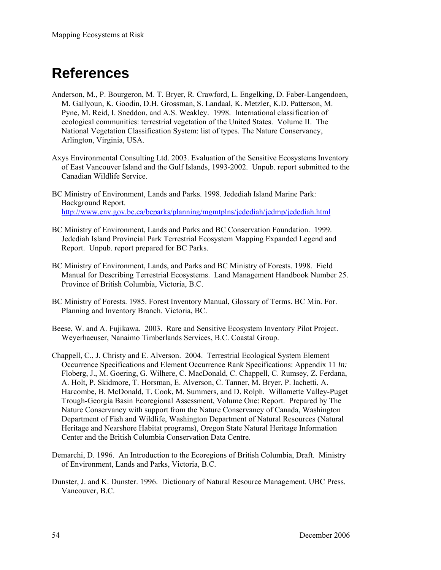# **References**

- Anderson, M., P. Bourgeron, M. T. Bryer, R. Crawford, L. Engelking, D. Faber-Langendoen, M. Gallyoun, K. Goodin, D.H. Grossman, S. Landaal, K. Metzler, K.D. Patterson, M. Pyne, M. Reid, I. Sneddon, and A.S. Weakley. 1998. International classification of ecological communities: terrestrial vegetation of the United States. Volume II. The National Vegetation Classification System: list of types. The Nature Conservancy, Arlington, Virginia, USA.
- Axys Environmental Consulting Ltd. 2003. Evaluation of the Sensitive Ecosystems Inventory of East Vancouver Island and the Gulf Islands, 1993-2002. Unpub. report submitted to the Canadian Wildlife Service.
- BC Ministry of Environment, Lands and Parks. 1998. Jedediah Island Marine Park: Background Report. <http://www.env.gov.bc.ca/bcparks/planning/mgmtplns/jedediah/jedmp/jedediah.html>
- BC Ministry of Environment, Lands and Parks and BC Conservation Foundation. 1999. Jedediah Island Provincial Park Terrestrial Ecosystem Mapping Expanded Legend and Report. Unpub. report prepared for BC Parks.
- BC Ministry of Environment, Lands, and Parks and BC Ministry of Forests. 1998. Field Manual for Describing Terrestrial Ecosystems. Land Management Handbook Number 25. Province of British Columbia, Victoria, B.C.
- BC Ministry of Forests. 1985. Forest Inventory Manual, Glossary of Terms. BC Min. For. Planning and Inventory Branch. Victoria, BC.
- Beese, W. and A. Fujikawa. 2003. Rare and Sensitive Ecosystem Inventory Pilot Project. Weyerhaeuser, Nanaimo Timberlands Services, B.C. Coastal Group.
- Chappell, C., J. Christy and E. Alverson. 2004. Terrestrial Ecological System Element Occurrence Specifications and Element Occurrence Rank Specifications: Appendix 11 *In:* Floberg, J., M. Goering, G. Wilhere, C. MacDonald, C. Chappell, C. Rumsey, Z. Ferdana, A. Holt, P. Skidmore, T. Horsman, E. Alverson, C. Tanner, M. Bryer, P. Iachetti, A. Harcombe, B. McDonald, T. Cook, M. Summers, and D. Rolph. Willamette Valley-Puget Trough-Georgia Basin Ecoregional Assessment, Volume One: Report. Prepared by The Nature Conservancy with support from the Nature Conservancy of Canada, Washington Department of Fish and Wildlife, Washington Department of Natural Resources (Natural Heritage and Nearshore Habitat programs), Oregon State Natural Heritage Information Center and the British Columbia Conservation Data Centre.
- Demarchi, D. 1996. An Introduction to the Ecoregions of British Columbia, Draft. Ministry of Environment, Lands and Parks, Victoria, B.C.
- Dunster, J. and K. Dunster. 1996. Dictionary of Natural Resource Management. UBC Press. Vancouver, B.C.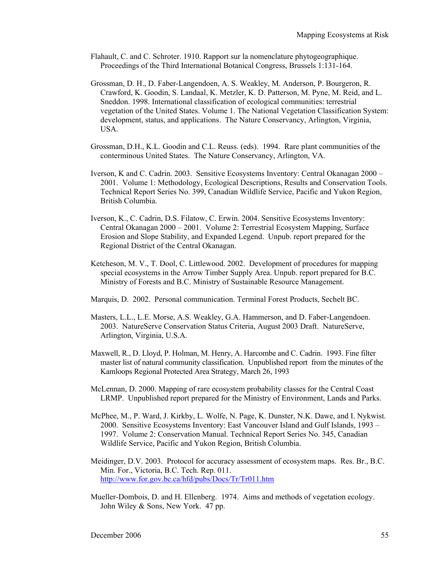- Flahault, C. and C. Schroter. 1910. Rapport sur la nomenclature phytogeographique. Proceedings of the Third International Botanical Congress, Brussels 1:131-164.
- Grossman, D. H., D. Faber-Langendoen, A. S. Weakley, M. Anderson, P. Bourgeron, R. Crawford, K. Goodin, S. Landaal, K. Metzler, K. D. Patterson, M. Pyne, M. Reid, and L. Sneddon. 1998. International classification of ecological communities: terrestrial vegetation of the United States. Volume 1. The National Vegetation Classification System: development, status, and applications. The Nature Conservancy, Arlington, Virginia, USA.
- Grossman, D.H., K.L. Goodin and C.L. Reuss. (eds). 1994. Rare plant communities of the conterminous United States. The Nature Conservancy, Arlington, VA.
- Iverson, K and C. Cadrin. 2003. Sensitive Ecosystems Inventory: Central Okanagan 2000 2001. Volume 1: Methodology, Ecological Descriptions, Results and Conservation Tools. Technical Report Series No. 399, Canadian Wildlife Service, Pacific and Yukon Region, British Columbia.
- Iverson, K., C. Cadrin, D.S. Filatow, C. Erwin. 2004. Sensitive Ecosystems Inventory: Central Okanagan 2000 – 2001. Volume 2: Terrestrial Ecosystem Mapping, Surface Erosion and Slope Stability, and Expanded Legend. Unpub. report prepared for the Regional District of the Central Okanagan.
- Ketcheson, M. V., T. Dool, C. Littlewood. 2002. Development of procedures for mapping special ecosystems in the Arrow Timber Supply Area. Unpub. report prepared for B.C. Ministry of Forests and B.C. Ministry of Sustainable Resource Management.
- Marquis, D. 2002. Personal communication. Terminal Forest Products, Sechelt BC.
- Masters, L.L., L.E. Morse, A.S. Weakley, G.A. Hammerson, and D. Faber-Langendoen. 2003. NatureServe Conservation Status Criteria, August 2003 Draft. NatureServe, Arlington, Virginia, U.S.A.
- Maxwell, R., D. Lloyd, P. Holman, M. Henry, A. Harcombe and C. Cadrin. 1993. Fine filter master list of natural community classification. Unpublished report from the minutes of the Kamloops Regional Protected Area Strategy, March 26, 1993
- McLennan, D. 2000. Mapping of rare ecosystem probability classes for the Central Coast LRMP. Unpublished report prepared for the Ministry of Environment, Lands and Parks.
- McPhee, M., P. Ward, J. Kirkby, L. Wolfe, N. Page, K. Dunster, N.K. Dawe, and I. Nykwist. 2000. Sensitive Ecosystems Inventory: East Vancouver Island and Gulf Islands, 1993 – 1997. Volume 2: Conservation Manual. Technical Report Series No. 345, Canadian Wildlife Service, Pacific and Yukon Region, British Columbia.
- Meidinger, D.V. 2003. Protocol for accuracy assessment of ecosystem maps. Res. Br., B.C. Min. For., Victoria, B.C. Tech. Rep. 011. <http://www.for.gov.bc.ca/hfd/pubs/Docs/Tr/Tr011.htm>
- Mueller-Dombois, D. and H. Ellenberg. 1974. Aims and methods of vegetation ecology. John Wiley & Sons, New York. 47 pp.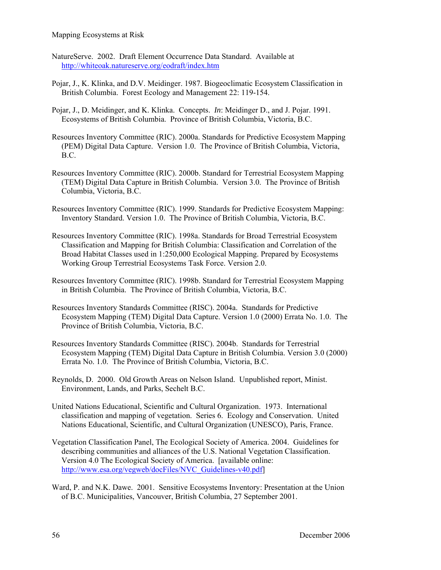Mapping Ecosystems at Risk

- NatureServe. 2002. Draft Element Occurrence Data Standard. Available at <http://whiteoak.natureserve.org/eodraft/index.htm>
- Pojar, J., K. Klinka, and D.V. Meidinger. 1987. Biogeoclimatic Ecosystem Classification in British Columbia. Forest Ecology and Management 22: 119-154.
- Pojar, J., D. Meidinger, and K. Klinka. Concepts. *In*: Meidinger D., and J. Pojar. 1991. Ecosystems of British Columbia. Province of British Columbia, Victoria, B.C.
- Resources Inventory Committee (RIC). 2000a. Standards for Predictive Ecosystem Mapping (PEM) Digital Data Capture. Version 1.0. The Province of British Columbia, Victoria, B.C.
- Resources Inventory Committee (RIC). 2000b. Standard for Terrestrial Ecosystem Mapping (TEM) Digital Data Capture in British Columbia. Version 3.0. The Province of British Columbia, Victoria, B.C.
- Resources Inventory Committee (RIC). 1999. Standards for Predictive Ecosystem Mapping: Inventory Standard. Version 1.0. The Province of British Columbia, Victoria, B.C.
- Resources Inventory Committee (RIC). 1998a. Standards for Broad Terrestrial Ecosystem Classification and Mapping for British Columbia: Classification and Correlation of the Broad Habitat Classes used in 1:250,000 Ecological Mapping. Prepared by Ecosystems Working Group Terrestrial Ecosystems Task Force. Version 2.0.
- Resources Inventory Committee (RIC). 1998b. Standard for Terrestrial Ecosystem Mapping in British Columbia. The Province of British Columbia, Victoria, B.C.
- Resources Inventory Standards Committee (RISC). 2004a. Standards for Predictive Ecosystem Mapping (TEM) Digital Data Capture. Version 1.0 (2000) Errata No. 1.0. The Province of British Columbia, Victoria, B.C.
- Resources Inventory Standards Committee (RISC). 2004b. Standards for Terrestrial Ecosystem Mapping (TEM) Digital Data Capture in British Columbia. Version 3.0 (2000) Errata No. 1.0. The Province of British Columbia, Victoria, B.C.
- Reynolds, D. 2000. Old Growth Areas on Nelson Island. Unpublished report, Minist. Environment, Lands, and Parks, Sechelt B.C.
- United Nations Educational, Scientific and Cultural Organization. 1973. International classification and mapping of vegetation. Series 6. Ecology and Conservation. United Nations Educational, Scientific, and Cultural Organization (UNESCO), Paris, France.
- Vegetation Classification Panel, The Ecological Society of America. 2004. Guidelines for describing communities and alliances of the U.S. National Vegetation Classification. Version 4.0 The Ecological Society of America. [available online: [http://www.esa.org/vegweb/docFiles/NVC\\_Guidelines-v40.pdf\]](http://www.esa.org/vegweb/docFiles/NVC_Guidelines-v40.pdf)
- Ward, P. and N.K. Dawe. 2001. Sensitive Ecosystems Inventory: Presentation at the Union of B.C. Municipalities, Vancouver, British Columbia, 27 September 2001.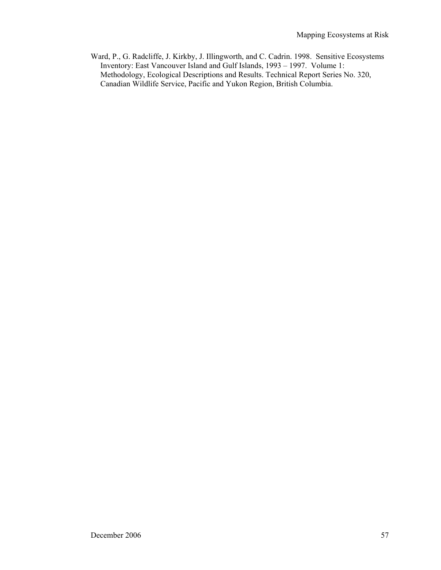Ward, P., G. Radcliffe, J. Kirkby, J. Illingworth, and C. Cadrin. 1998. Sensitive Ecosystems Inventory: East Vancouver Island and Gulf Islands, 1993 – 1997. Volume 1: Methodology, Ecological Descriptions and Results. Technical Report Series No. 320, Canadian Wildlife Service, Pacific and Yukon Region, British Columbia.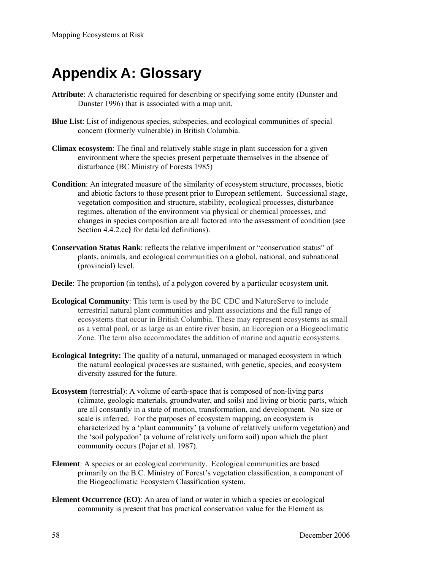# **Appendix A: Glossary**

- Attribute: A characteristic required for describing or specifying some entity (Dunster and Dunster 1996) that is associated with a map unit.
- **Blue List**: List of indigenous species, subspecies, and ecological communities of special concern (formerly vulnerable) in British Columbia.
- **Climax ecosystem**: The final and relatively stable stage in plant succession for a given environment where the species present perpetuate themselves in the absence of disturbance (BC Ministry of Forests 1985)
- **Condition**: An integrated measure of the similarity of ecosystem structure, processes, biotic and abiotic factors to those present prior to European settlement. Successional stage, vegetation composition and structure, stability, ecological processes, disturbance regimes, alteration of the environment via physical or chemical processes, and changes in species composition are all factored into the assessment of condition (see Section [4.4.2.c](#page-52-1)c**}** for detailed definitions).
- **Conservation Status Rank**: reflects the relative imperilment or "conservation status" of plants, animals, and ecological communities on a global, national, and subnational (provincial) level.
- **Decile**: The proportion (in tenths), of a polygon covered by a particular ecosystem unit.
- **Ecological Community**: This term is used by the BC CDC and NatureServe to include terrestrial natural plant communities and plant associations and the full range of ecosystems that occur in British Columbia. These may represent ecosystems as small as a vernal pool, or as large as an entire river basin, an Ecoregion or a Biogeoclimatic Zone. The term also accommodates the addition of marine and aquatic ecosystems.
- **Ecological Integrity:** The quality of a natural, unmanaged or managed ecosystem in which the natural ecological processes are sustained, with genetic, species, and ecosystem diversity assured for the future.
- **Ecosystem** (terrestrial): A volume of earth-space that is composed of non-living parts (climate, geologic materials, groundwater, and soils) and living or biotic parts, which are all constantly in a state of motion, transformation, and development. No size or scale is inferred. For the purposes of ecosystem mapping, an ecosystem is characterized by a 'plant community' (a volume of relatively uniform vegetation) and the 'soil polypedon' (a volume of relatively uniform soil) upon which the plant community occurs (Pojar et al. 1987).
- **Element**: A species or an ecological community. Ecological communities are based primarily on the B.C. Ministry of Forest's vegetation classification, a component of the Biogeoclimatic Ecosystem Classification system.
- **Element Occurrence (EO)**: An area of land or water in which a species or ecological community is present that has practical conservation value for the Element as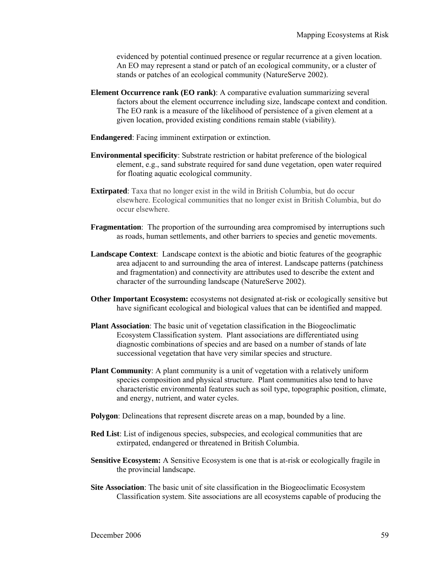evidenced by potential continued presence or regular recurrence at a given location. An EO may represent a stand or patch of an ecological community, or a cluster of stands or patches of an ecological community (NatureServe 2002).

- **Element Occurrence rank (EO rank)**: A comparative evaluation summarizing several factors about the element occurrence including size, landscape context and condition. The EO rank is a measure of the likelihood of persistence of a given element at a given location, provided existing conditions remain stable (viability).
- **Endangered**: Facing imminent extirpation or extinction.
- **Environmental specificity**: Substrate restriction or habitat preference of the biological element, e.g., sand substrate required for sand dune vegetation, open water required for floating aquatic ecological community.
- **Extirpated**: Taxa that no longer exist in the wild in British Columbia, but do occur elsewhere. Ecological communities that no longer exist in British Columbia, but do occur elsewhere.
- **Fragmentation**: The proportion of the surrounding area compromised by interruptions such as roads, human settlements, and other barriers to species and genetic movements.
- **Landscape Context**: Landscape context is the abiotic and biotic features of the geographic area adjacent to and surrounding the area of interest. Landscape patterns (patchiness and fragmentation) and connectivity are attributes used to describe the extent and character of the surrounding landscape (NatureServe 2002).
- **Other Important Ecosystem:** ecosystems not designated at-risk or ecologically sensitive but have significant ecological and biological values that can be identified and mapped.
- **Plant Association**: The basic unit of vegetation classification in the Biogeoclimatic Ecosystem Classification system. Plant associations are differentiated using diagnostic combinations of species and are based on a number of stands of late successional vegetation that have very similar species and structure.
- **Plant Community**: A plant community is a unit of vegetation with a relatively uniform species composition and physical structure. Plant communities also tend to have characteristic environmental features such as soil type, topographic position, climate, and energy, nutrient, and water cycles.
- **Polygon**: Delineations that represent discrete areas on a map, bounded by a line.
- **Red List**: List of indigenous species, subspecies, and ecological communities that are extirpated, endangered or threatened in British Columbia.
- **Sensitive Ecosystem:** A Sensitive Ecosystem is one that is at-risk or ecologically fragile in the provincial landscape.
- **Site Association**: The basic unit of site classification in the Biogeoclimatic Ecosystem Classification system. Site associations are all ecosystems capable of producing the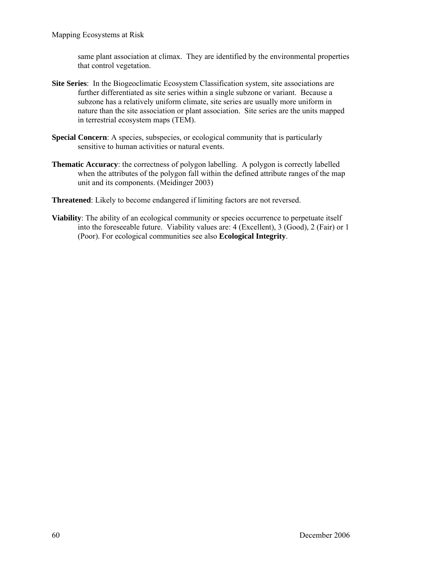same plant association at climax. They are identified by the environmental properties that control vegetation.

- **Site Series**: In the Biogeoclimatic Ecosystem Classification system, site associations are further differentiated as site series within a single subzone or variant. Because a subzone has a relatively uniform climate, site series are usually more uniform in nature than the site association or plant association. Site series are the units mapped in terrestrial ecosystem maps (TEM).
- **Special Concern**: A species, subspecies, or ecological community that is particularly sensitive to human activities or natural events.
- **Thematic Accuracy**: the correctness of polygon labelling. A polygon is correctly labelled when the attributes of the polygon fall within the defined attribute ranges of the map unit and its components. (Meidinger 2003)
- **Threatened**: Likely to become endangered if limiting factors are not reversed.
- **Viability**: The ability of an ecological community or species occurrence to perpetuate itself into the foreseeable future. Viability values are: 4 (Excellent), 3 (Good), 2 (Fair) or 1 (Poor). For ecological communities see also **Ecological Integrity**.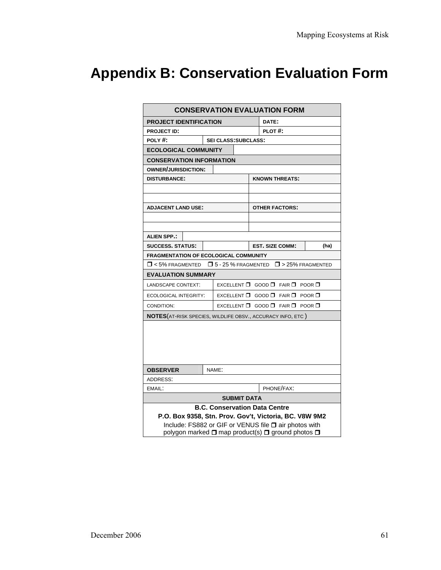# **Appendix B: Conservation Evaluation Form**

| <b>CONSERVATION EVALUATION FORM</b>                                                                                                                                                                                                         |                                  |  |                                  |                                  |  |      |  |  |
|---------------------------------------------------------------------------------------------------------------------------------------------------------------------------------------------------------------------------------------------|----------------------------------|--|----------------------------------|----------------------------------|--|------|--|--|
| <b>PROJECT IDENTIFICATION</b>                                                                                                                                                                                                               |                                  |  | DATE:                            |                                  |  |      |  |  |
| <b>PROJECT ID:</b>                                                                                                                                                                                                                          |                                  |  | PLOT#:                           |                                  |  |      |  |  |
| POLY#:<br><b>SEI CLASS:SUBCLASS:</b>                                                                                                                                                                                                        |                                  |  |                                  |                                  |  |      |  |  |
| <b>ECOLOGICAL COMMUNITY</b>                                                                                                                                                                                                                 |                                  |  |                                  |                                  |  |      |  |  |
| <b>CONSERVATION INFORMATION</b>                                                                                                                                                                                                             |                                  |  |                                  |                                  |  |      |  |  |
| OWNER/JURISDICTION:                                                                                                                                                                                                                         |                                  |  |                                  |                                  |  |      |  |  |
| <b>DISTURBANCE:</b>                                                                                                                                                                                                                         |                                  |  | <b>KNOWN THREATS:</b>            |                                  |  |      |  |  |
|                                                                                                                                                                                                                                             |                                  |  |                                  |                                  |  |      |  |  |
|                                                                                                                                                                                                                                             |                                  |  |                                  |                                  |  |      |  |  |
| <b>ADJACENT LAND USE:</b>                                                                                                                                                                                                                   |                                  |  | <b>OTHER FACTORS:</b>            |                                  |  |      |  |  |
|                                                                                                                                                                                                                                             |                                  |  |                                  |                                  |  |      |  |  |
|                                                                                                                                                                                                                                             |                                  |  |                                  |                                  |  |      |  |  |
| <b>ALIEN SPP.:</b>                                                                                                                                                                                                                          |                                  |  |                                  |                                  |  |      |  |  |
| <b>SUCCESS, STATUS:</b>                                                                                                                                                                                                                     |                                  |  |                                  | <b>EST. SIZE COMM:</b>           |  | (ha) |  |  |
| <b>FRAGMENTATION OF ECOLOGICAL COMMUNITY</b>                                                                                                                                                                                                |                                  |  |                                  |                                  |  |      |  |  |
| $\Box$ < 5% FRAGMENTED $\Box$ 5 - 25 % FRAGMENTED $\Box$ > 25% FRAGMENTED                                                                                                                                                                   |                                  |  |                                  |                                  |  |      |  |  |
| <b>EVALUATION SUMMARY</b>                                                                                                                                                                                                                   |                                  |  |                                  |                                  |  |      |  |  |
| LANDSCAPE CONTEXT:                                                                                                                                                                                                                          |                                  |  |                                  | EXCELLENT □ GOOD □ FAIR □ POOR □ |  |      |  |  |
| ECOLOGICAL INTEGRITY:                                                                                                                                                                                                                       |                                  |  | EXCELLENT □ GOOD □ FAIR □ POOR □ |                                  |  |      |  |  |
| CONDITION:                                                                                                                                                                                                                                  | EXCELLENT □ GOOD □ FAIR □ POOR □ |  |                                  |                                  |  |      |  |  |
| NOTES (AT-RISK SPECIES, WILDLIFE OBSV., ACCURACY INFO, ETC)                                                                                                                                                                                 |                                  |  |                                  |                                  |  |      |  |  |
|                                                                                                                                                                                                                                             |                                  |  |                                  |                                  |  |      |  |  |
| <b>OBSERVER</b>                                                                                                                                                                                                                             | NAME:                            |  |                                  |                                  |  |      |  |  |
| ADDRESS:                                                                                                                                                                                                                                    |                                  |  |                                  |                                  |  |      |  |  |
| EMAIL:                                                                                                                                                                                                                                      |                                  |  |                                  | PHONE/FAX:                       |  |      |  |  |
| <b>SUBMIT DATA</b>                                                                                                                                                                                                                          |                                  |  |                                  |                                  |  |      |  |  |
| <b>B.C. Conservation Data Centre</b><br>P.O. Box 9358, Stn. Prov. Gov't, Victoria, BC. V8W 9M2<br>Include: FS882 or GIF or VENUS file <b>D</b> air photos with<br>polygon marked $\square$ map product(s) $\square$ ground photos $\square$ |                                  |  |                                  |                                  |  |      |  |  |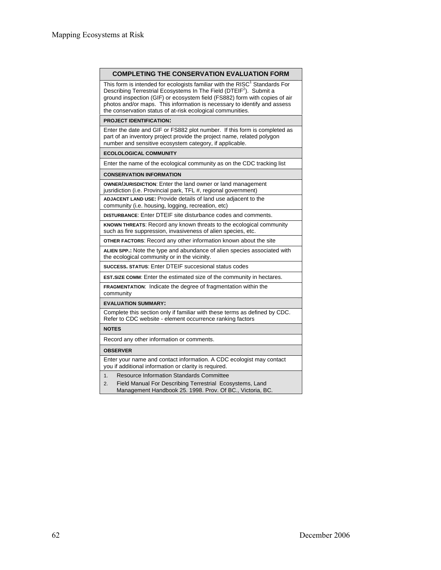| <b>COMPLETING THE CONSERVATION EVALUATION FORM</b>                                                                                                                                                                                                                                                                                                                                               |  |  |  |  |
|--------------------------------------------------------------------------------------------------------------------------------------------------------------------------------------------------------------------------------------------------------------------------------------------------------------------------------------------------------------------------------------------------|--|--|--|--|
| This form is intended for ecologists familiar with the RISC <sup>1</sup> Standards For<br>Describing Terrestrial Ecosystems In The Field (DTEIF <sup>2</sup> ). Submit a<br>ground inspection (GIF) or ecosystem field (FS882) form with copies of air<br>photos and/or maps. This information is necessary to identify and assess<br>the conservation status of at-risk ecological communities. |  |  |  |  |
| <b>PROJECT IDENTIFICATION:</b>                                                                                                                                                                                                                                                                                                                                                                   |  |  |  |  |
| Enter the date and GIF or FS882 plot number. If this form is completed as<br>part of an inventory project provide the project name, related polygon<br>number and sensitive ecosystem category, if applicable.                                                                                                                                                                                   |  |  |  |  |
| <b>ECOLOLOGICAL COMMUNITY</b>                                                                                                                                                                                                                                                                                                                                                                    |  |  |  |  |
| Enter the name of the ecological community as on the CDC tracking list                                                                                                                                                                                                                                                                                                                           |  |  |  |  |
| <b>CONSERVATION INFORMATION</b>                                                                                                                                                                                                                                                                                                                                                                  |  |  |  |  |
| <b>OWNER/JURISDICTION:</b> Enter the land owner or land management<br>jusridiction (i.e. Provincial park, TFL #, regional government)<br>ADJACENT LAND USE: Provide details of land use adjacent to the                                                                                                                                                                                          |  |  |  |  |
| community (i.e. housing, logging, recreation, etc)                                                                                                                                                                                                                                                                                                                                               |  |  |  |  |
| <b>DISTURBANCE:</b> Enter DTEIF site disturbance codes and comments.                                                                                                                                                                                                                                                                                                                             |  |  |  |  |
| <b>KNOWN THREATS:</b> Record any known threats to the ecological community<br>such as fire suppression, invasiveness of alien species, etc.                                                                                                                                                                                                                                                      |  |  |  |  |
| OTHER FACTORS: Record any other information known about the site                                                                                                                                                                                                                                                                                                                                 |  |  |  |  |
| ALIEN SPP.: Note the type and abundance of alien species associated with<br>the ecological community or in the vicinity.                                                                                                                                                                                                                                                                         |  |  |  |  |
| <b>SUCCESS, STATUS: Enter DTEIF succesional status codes</b>                                                                                                                                                                                                                                                                                                                                     |  |  |  |  |
| <b>EST.SIZE COMM:</b> Enter the estimated size of the community in hectares.                                                                                                                                                                                                                                                                                                                     |  |  |  |  |
| FRAGMENTATION: Indicate the degree of fragmentation within the<br>community                                                                                                                                                                                                                                                                                                                      |  |  |  |  |
| <b>EVALUATION SUMMARY:</b>                                                                                                                                                                                                                                                                                                                                                                       |  |  |  |  |
| Complete this section only if familiar with these terms as defined by CDC.<br>Refer to CDC website - element occurrence ranking factors                                                                                                                                                                                                                                                          |  |  |  |  |
| <b>NOTES</b>                                                                                                                                                                                                                                                                                                                                                                                     |  |  |  |  |
| Record any other information or comments.                                                                                                                                                                                                                                                                                                                                                        |  |  |  |  |
| <b>OBSERVER</b>                                                                                                                                                                                                                                                                                                                                                                                  |  |  |  |  |
| Enter your name and contact information. A CDC ecologist may contact<br>you if additional information or clarity is required.                                                                                                                                                                                                                                                                    |  |  |  |  |
| <b>Resource Information Standards Committee</b><br>1.                                                                                                                                                                                                                                                                                                                                            |  |  |  |  |
| Field Manual For Describing Terrestrial Ecosystems, Land<br>$\overline{2}$ .<br>Management Handbook 25. 1998. Prov. Of BC., Victoria, BC.                                                                                                                                                                                                                                                        |  |  |  |  |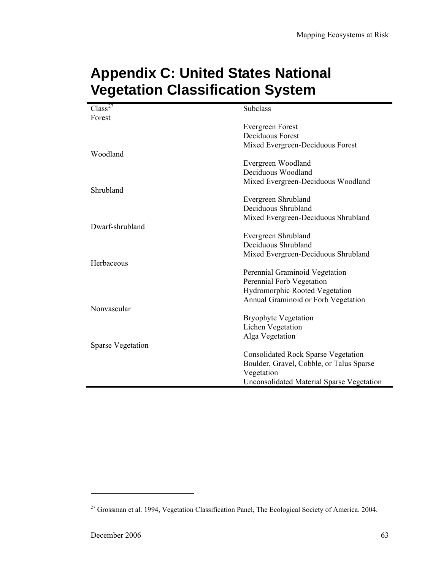## <span id="page-72-0"></span>**Appendix C: United States National Vegetation Classification System**

| Class <sup>27</sup>      | Subclass                                         |
|--------------------------|--------------------------------------------------|
| Forest                   |                                                  |
|                          | <b>Evergreen Forest</b>                          |
|                          | <b>Deciduous Forest</b>                          |
|                          | Mixed Evergreen-Deciduous Forest                 |
| Woodland                 |                                                  |
|                          | Evergreen Woodland                               |
|                          | Deciduous Woodland                               |
|                          | Mixed Evergreen-Deciduous Woodland               |
| Shrubland                |                                                  |
|                          | Evergreen Shrubland                              |
|                          | Deciduous Shrubland                              |
|                          | Mixed Evergreen-Deciduous Shrubland              |
| Dwarf-shrubland          |                                                  |
|                          | Evergreen Shrubland                              |
|                          | Deciduous Shrubland                              |
|                          | Mixed Evergreen-Deciduous Shrubland              |
| Herbaceous               |                                                  |
|                          | Perennial Graminoid Vegetation                   |
|                          | Perennial Forb Vegetation                        |
|                          | Hydromorphic Rooted Vegetation                   |
|                          | Annual Graminoid or Forb Vegetation              |
| Nonvascular              |                                                  |
|                          | <b>Bryophyte Vegetation</b>                      |
|                          | Lichen Vegetation                                |
|                          | Alga Vegetation                                  |
| <b>Sparse Vegetation</b> |                                                  |
|                          | <b>Consolidated Rock Sparse Vegetation</b>       |
|                          | Boulder, Gravel, Cobble, or Talus Sparse         |
|                          | Vegetation                                       |
|                          | <b>Unconsolidated Material Sparse Vegetation</b> |

l

ř.

<sup>&</sup>lt;sup>27</sup> Grossman et al. 1994, Vegetation Classification Panel, The Ecological Society of America. 2004.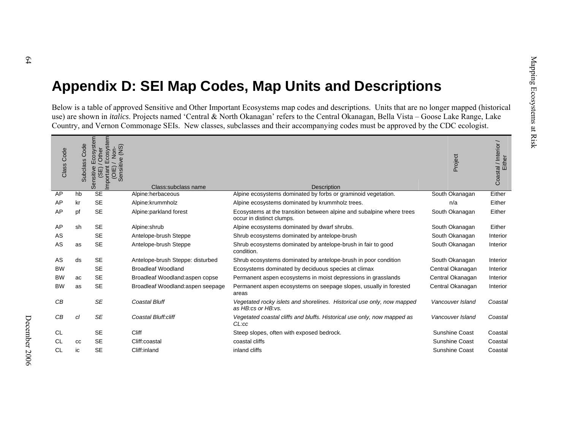**Appendix D: SEI Map Codes, Map Units and Descriptions**<br>Below is a table of approved Sensitive and Other Important Ecosystems map codes and descriptions. Units that are no longer mapped (historical<br>use) are shown in *ital* 

| Class Code | Code<br><b>Subclass</b> | Ecosystem<br>cosystem<br>(NS)<br>Other<br><b>S</b><br>Sensiitive<br>mportant<br>$\overline{O}$<br>(SE<br>Sensitiv | Class:subclass name               | <b>Description</b>                                                                                 | Project               | Coastal / Interior<br>Either |
|------------|-------------------------|-------------------------------------------------------------------------------------------------------------------|-----------------------------------|----------------------------------------------------------------------------------------------------|-----------------------|------------------------------|
| AP         | hb                      | SE                                                                                                                | Alpine:herbaceous                 | Alpine ecosystems dominated by forbs or graminoid vegetation.                                      | South Okanagan        | Either                       |
| AP         | kr                      | <b>SE</b>                                                                                                         | Alpine: krummholz                 | Alpine ecosystems dominated by krummholz trees.                                                    | n/a                   | Either                       |
| AP         | pf                      | <b>SE</b>                                                                                                         | Alpine:parkland forest            | Ecosystems at the transition between alpine and subalpine where trees<br>occur in distinct clumps. | South Okanagan        | Either                       |
| AP         | sh                      | <b>SE</b>                                                                                                         | Alpine:shrub                      | Alpine ecosystems dominated by dwarf shrubs.                                                       | South Okanagan        | Either                       |
| AS         |                         | <b>SE</b>                                                                                                         | Antelope-brush Steppe             | Shrub ecosystems dominated by antelope-brush                                                       | South Okanagan        | Interior                     |
| AS         | as                      | <b>SE</b>                                                                                                         | Antelope-brush Steppe             | Shrub ecosystems dominated by antelope-brush in fair to good<br>condition.                         | South Okanagan        | Interior                     |
| AS         | ds                      | <b>SE</b>                                                                                                         | Antelope-brush Steppe: disturbed  | Shrub ecosystems dominated by antelope-brush in poor condition                                     | South Okanagan        | Interior                     |
| <b>BW</b>  |                         | <b>SE</b>                                                                                                         | <b>Broadleaf Woodland</b>         | Ecosystems dominated by deciduous species at climax                                                | Central Okanagan      | Interior                     |
| <b>BW</b>  | ac                      | <b>SE</b>                                                                                                         | Broadleaf Woodland: aspen copse   | Permanent aspen ecosystems in moist depressions in grasslands                                      | Central Okanagan      | Interior                     |
| <b>BW</b>  | as                      | <b>SE</b>                                                                                                         | Broadleaf Woodland: aspen seepage | Permanent aspen ecosystems on seepage slopes, usually in forested<br>areas                         | Central Okanagan      | Interior                     |
| CВ         |                         | <b>SE</b>                                                                                                         | <b>Coastal Bluff</b>              | Vegetated rocky islets and shorelines. Historical use only, now mapped<br>as HB:cs or HB:vs.       | Vancouver Island      | Coastal                      |
| CВ         | cl                      | <b>SE</b>                                                                                                         | Coastal Bluff:cliff               | Vegetated coastal cliffs and bluffs. Historical use only, now mapped as<br>CL:cc                   | Vancouver Island      | Coastal                      |
| <b>CL</b>  |                         | <b>SE</b>                                                                                                         | Cliff                             | Steep slopes, often with exposed bedrock.                                                          | <b>Sunshine Coast</b> | Coastal                      |
| <b>CL</b>  | CC                      | <b>SE</b>                                                                                                         | Cliff:coastal                     | coastal cliffs                                                                                     | <b>Sunshine Coast</b> | Coastal                      |
| <b>CL</b>  | ic                      | <b>SE</b>                                                                                                         | Cliff:inland                      | inland cliffs                                                                                      | <b>Sunshine Coast</b> | Coastal                      |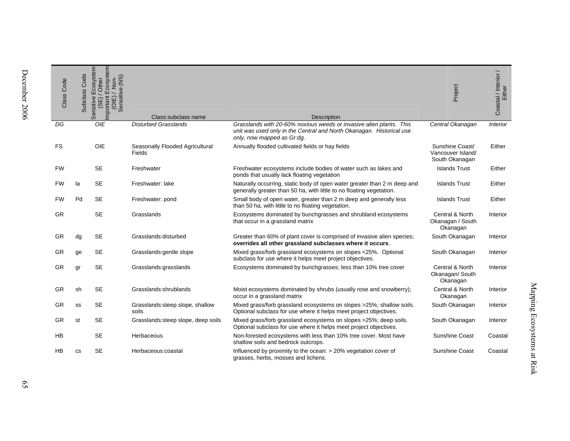| Class Code | Subclass Code | Ecosystem<br>Ecosystem<br>ensiitive (NS)<br>/ Non-<br>'Other<br>mportant<br>Sensitive<br>(0 E)<br>(SE)<br>Ō | Class:subclass name                              | Description                                                                                                                                                               | Project                                                | Coastal / Interior /<br>Either |
|------------|---------------|-------------------------------------------------------------------------------------------------------------|--------------------------------------------------|---------------------------------------------------------------------------------------------------------------------------------------------------------------------------|--------------------------------------------------------|--------------------------------|
| DG         |               | O/E                                                                                                         | <b>Disturbed Grasslands</b>                      | Grasslands with 20-60% noxious weeds or invasive alien plants. This<br>unit was used only in the Central and North Okanagan. Historical use<br>only, now mapped as Gr:dg. | Central Okanagan                                       | <b>Interior</b>                |
| <b>FS</b>  |               | <b>OIE</b>                                                                                                  | Seasonally Flooded Agricultural<br><b>Fields</b> | Annually flooded cultivated fields or hay fields                                                                                                                          | Sunshine Coast/<br>Vancouver Island/<br>South Okanagan | Either                         |
| <b>FW</b>  |               | <b>SE</b>                                                                                                   | Freshwater                                       | Freshwater ecosystems include bodies of water such as lakes and<br>ponds that usually lack floating vegetation                                                            | <b>Islands Trust</b>                                   | Either                         |
| <b>FW</b>  | la            | <b>SE</b>                                                                                                   | Freshwater: lake                                 | Naturally occurring, static body of open water greater than 2 m deep and<br>generally greater than 50 ha, with little to no floating vegetation.                          | <b>Islands Trust</b>                                   | Either                         |
| FW         | Pd            | <b>SE</b>                                                                                                   | Freshwater: pond                                 | Small body of open water, greater than 2 m deep and generally less<br>than 50 ha, with little to no floating vegetation.                                                  | <b>Islands Trust</b>                                   | Either                         |
| GR         |               | <b>SE</b>                                                                                                   | Grasslands                                       | Ecosystems dominated by bunchgrasses and shrubland ecosystems<br>that occur in a grassland matrix                                                                         | Central & North<br>Okanagan / South<br>Okanagan        | Interior                       |
| GR         | dg            | <b>SE</b>                                                                                                   | Grasslands:disturbed                             | Greater than 60% of plant cover is comprised of invasive alien species;<br>overrides all other grassland subclasses where it occurs.                                      | South Okanagan                                         | Interior                       |
| GR         | ge            | <b>SE</b>                                                                                                   | Grasslands: gentle slope                         | Mixed grass/forb grassland ecosystems on slopes <25%. Optional<br>subclass for use where it helps meet project objectives.                                                | South Okanagan                                         | Interior                       |
| <b>GR</b>  | gr            | <b>SE</b>                                                                                                   | Grasslands:grasslands                            | Ecosystems dominated by bunchgrasses; less than 10% tree cover                                                                                                            | Central & North<br>Okanagan/ South<br>Okanagan         | Interior                       |
| <b>GR</b>  | sh            | <b>SE</b>                                                                                                   | Grasslands: shrublands                           | Moist ecosystems dominated by shrubs (usually rose and snowberry);<br>occur in a grassland matrix                                                                         | Central & North<br>Okanagan                            | Interior                       |
| GR         | SS            | <b>SE</b>                                                                                                   | Grasslands: steep slope, shallow<br>soils        | Mixed grass/forb grassland ecosystems on slopes >25%; shallow soils.<br>Optional subclass for use where it helps meet project objectives.                                 | South Okanagan                                         | Interior                       |
| <b>GR</b>  | st            | <b>SE</b>                                                                                                   | Grasslands: steep slope, deep soils              | Mixed grass/forb grassland ecosystems on slopes >25%; deep soils.<br>Optional subclass for use where it helps meet project objectives.                                    | South Okanagan                                         | Interior                       |
| HB         |               | <b>SE</b>                                                                                                   | Herbaceous                                       | Non-forested ecosystems with less than 10% tree cover. Most have<br>shallow soils and bedrock outcrops.                                                                   | Sunshine Coast                                         | Coastal                        |
| <b>HB</b>  | <b>CS</b>     | <b>SE</b>                                                                                                   | Herbaceous:coastal                               | Influenced by proximity to the ocean: > 20% vegetation cover of<br>grasses, herbs, mosses and lichens.                                                                    | <b>Sunshine Coast</b>                                  | Coastal                        |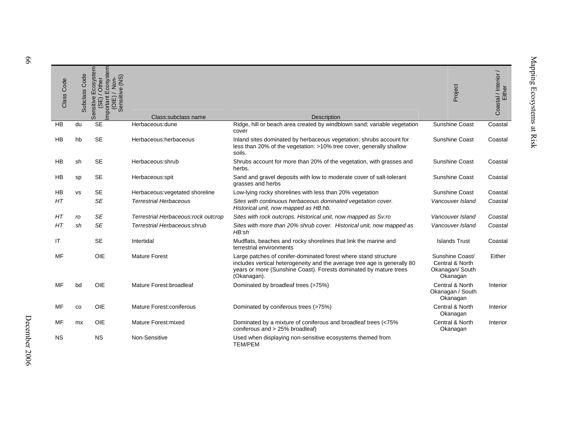| Class Code | Subclass Code  | Ecosystem<br>Ecosyst<br>Sensiitive (NS<br><b>Other</b><br>$\bar{5}$<br>Sensitive<br>冚<br>$\overline{35}$<br>ᄛ | Class:subclass name                  | <b>Description</b>                                                                                                                                                                                                              | Project                                                           | Coastal / Interior /<br>Either |
|------------|----------------|---------------------------------------------------------------------------------------------------------------|--------------------------------------|---------------------------------------------------------------------------------------------------------------------------------------------------------------------------------------------------------------------------------|-------------------------------------------------------------------|--------------------------------|
| HB         | du             | <b>SE</b>                                                                                                     | Herbaceous: dune                     | Ridge, hill or beach area created by windblown sand; variable vegetation<br>cover                                                                                                                                               | Sunshine Coast                                                    | Coastal                        |
| <b>HB</b>  | hb             | <b>SE</b>                                                                                                     | Herbaceous:herbaceous                | Inland sites dominated by herbaceous vegetation; shrubs account for<br>less than 20% of the vegetation: >10% tree cover, generally shallow<br>soils.                                                                            | Sunshine Coast                                                    | Coastal                        |
| ΗB         | sh             | <b>SE</b>                                                                                                     | Herbaceous:shrub                     | Shrubs account for more than 20% of the vegetation, with grasses and<br>herbs.                                                                                                                                                  | Sunshine Coast                                                    | Coastal                        |
| HB         | sp             | <b>SE</b>                                                                                                     | Herbaceous:spit                      | Sand and gravel deposits with low to moderate cover of salt-tolerant<br>grasses and herbs                                                                                                                                       | Sunshine Coast                                                    | Coastal                        |
| HB         | vs             | <b>SE</b>                                                                                                     | Herbaceous: vegetated shoreline      | Low-lying rocky shorelines with less than 20% vegetation                                                                                                                                                                        | Sunshine Coast                                                    | Coastal                        |
| HΤ         |                | <b>SE</b>                                                                                                     | <b>Terrestrial Herbaceous</b>        | Sites with continuous herbaceous dominated vegetation cover.<br>Historical unit, now mapped as HB:hb.                                                                                                                           | Vancouver Island                                                  | Coastal                        |
| НT         | ro             | <b>SE</b>                                                                                                     | Terrestrial Herbaceous: rock outcrop | Sites with rock outcrops. Historical unit, now mapped as Sv:ro                                                                                                                                                                  | Vancouver Island                                                  | Coastal                        |
| HΤ         | sh             | <b>SE</b>                                                                                                     | Terrestrial Herbaceous: shrub        | Sites with more than 20% shrub cover. Historical unit, now mapped as<br>HB:sh                                                                                                                                                   | Vancouver Island                                                  | Coastal                        |
| ΙT         |                | <b>SE</b>                                                                                                     | Intertidal                           | Mudflats, beaches and rocky shorelines that link the marine and<br>terrestrial environments                                                                                                                                     | <b>Islands Trust</b>                                              | Coastal                        |
| МF         |                | <b>OIE</b>                                                                                                    | <b>Mature Forest</b>                 | Large patches of conifer-dominated forest where stand structure<br>includes vertical heterogeneity and the average tree age is generally 80<br>years or more (Sunshine Coast). Forests dominated by mature trees<br>(Okanagan). | Sunshine Coast/<br>Central & North<br>Okanagan/ South<br>Okanagan | Either                         |
| MF         | bd             | <b>OIE</b>                                                                                                    | Mature Forest:broadleaf              | Dominated by broadleaf trees (>75%)                                                                                                                                                                                             | Central & North<br>Okanagan / South<br>Okanagan                   | Interior                       |
| MF         | CO             | <b>OIE</b>                                                                                                    | Mature Forest: coniferous            | Dominated by coniferous trees (>75%)                                                                                                                                                                                            | Central & North<br>Okanagan                                       | Interior                       |
| МF         | m <sub>x</sub> | <b>OIE</b>                                                                                                    | Mature Forest: mixed                 | Dominated by a mixture of coniferous and broadleaf trees (<75%)<br>coniferous and > 25% broadleaf)                                                                                                                              | Central & North<br>Okanagan                                       | Interior                       |
| <b>NS</b>  |                | <b>NS</b>                                                                                                     | Non-Sensitive                        | Used when displaying non-sensitive ecosystems themed from<br><b>TEM/PEM</b>                                                                                                                                                     |                                                                   |                                |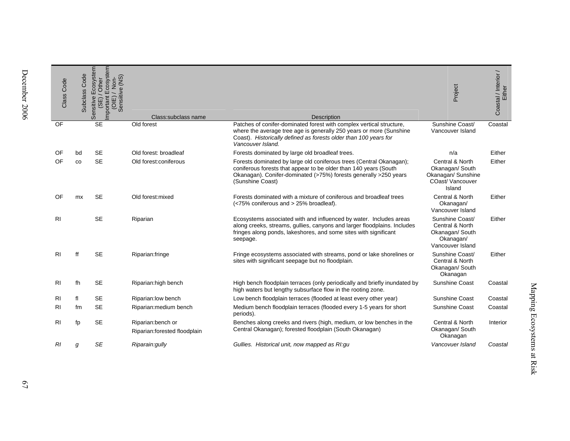| Class Code     | Subclass Code  | Ecosystem<br>Ecosystem<br>Sensiitive (NS)<br>Non-<br>Other<br>Sensitive<br>nportant<br>OIE)<br>ias | Class:subclass name                                | Description                                                                                                                                                                                                                          | Project                                                                                | Coastal / Interior /<br>Either |
|----------------|----------------|----------------------------------------------------------------------------------------------------|----------------------------------------------------|--------------------------------------------------------------------------------------------------------------------------------------------------------------------------------------------------------------------------------------|----------------------------------------------------------------------------------------|--------------------------------|
| OF             |                | SE                                                                                                 | Old forest                                         | Patches of conifer-dominated forest with complex vertical structure,<br>where the average tree age is generally 250 years or more (Sunshine<br>Coast). Historically defined as forests older than 100 years for<br>Vancouver Island. | Sunshine Coast/<br>Vancouver Island                                                    | Coastal                        |
| OF             | bd             | <b>SE</b>                                                                                          | Old forest: broadleaf                              | Forests dominated by large old broadleaf trees.                                                                                                                                                                                      | n/a                                                                                    | Either                         |
| OF             | CO             | <b>SE</b>                                                                                          | Old forest: coniferous                             | Forests dominated by large old coniferous trees (Central Okanagan);<br>coniferous forests that appear to be older than 140 years (South<br>Okanagan). Conifer-dominated (>75%) forests generally >250 years<br>(Sunshine Coast)      | Central & North<br>Okanagan/ South<br>Okanagan/ Sunshine<br>COast/Vancouver<br>Island  | Either                         |
| OF             | m <sub>x</sub> | <b>SE</b>                                                                                          | Old forest: mixed                                  | Forests dominated with a mixture of coniferous and broadleaf trees<br>(<75% coniferous and > 25% broadleaf).                                                                                                                         | Central & North<br>Okanagan/<br>Vancouver Island                                       | Either                         |
| R <sub>1</sub> |                | <b>SE</b>                                                                                          | Riparian                                           | Ecosystems associated with and influenced by water. Includes areas<br>along creeks, streams, gullies, canyons and larger floodplains. Includes<br>fringes along ponds, lakeshores, and some sites with significant<br>seepage.       | Sunshine Coast/<br>Central & North<br>Okanagan/ South<br>Okanagan/<br>Vancouver Island | Either                         |
| R <sub>1</sub> | ff             | <b>SE</b>                                                                                          | Riparian:fringe                                    | Fringe ecosystems associated with streams, pond or lake shorelines or<br>sites with significant seepage but no floodplain.                                                                                                           | Sunshine Coast/<br>Central & North<br>Okanagan/ South<br>Okanagan                      | Either                         |
| R <sub>l</sub> | fh             | <b>SE</b>                                                                                          | Riparian:high bench                                | High bench floodplain terraces (only periodically and briefly inundated by<br>high waters but lengthy subsurface flow in the rooting zone.                                                                                           | Sunshine Coast                                                                         | Coastal                        |
| R <sub>l</sub> | fl             | <b>SE</b>                                                                                          | Riparian: low bench                                | Low bench floodplain terraces (flooded at least every other year)                                                                                                                                                                    | <b>Sunshine Coast</b>                                                                  | Coastal                        |
| R <sub>l</sub> | fm             | <b>SE</b>                                                                                          | Riparian: medium bench                             | Medium bench floodplain terraces (flooded every 1-5 years for short<br>periods).                                                                                                                                                     | Sunshine Coast                                                                         | Coastal                        |
| <b>RI</b>      | fp             | <b>SE</b>                                                                                          | Riparian: bench or<br>Riparian:forested floodplain | Benches along creeks and rivers (high, medium, or low benches in the<br>Central Okanagan); forested floodplain (South Okanagan)                                                                                                      | Central & North<br>Okanagan/ South<br>Okanagan                                         | Interior                       |
| RI             | g              | SE                                                                                                 | Riparain: gully                                    | Gullies. Historical unit, now mapped as RIgu                                                                                                                                                                                         | Vancovuer Island                                                                       | Coastal                        |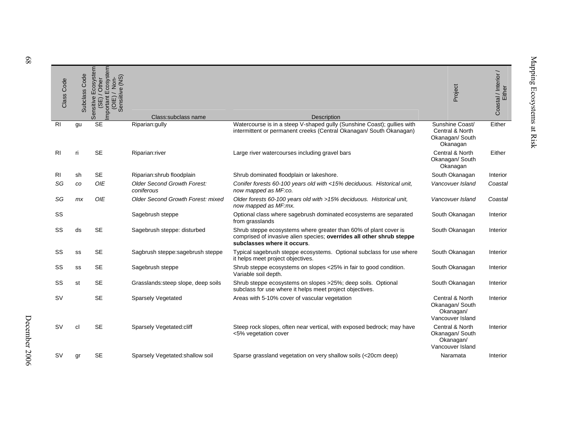| Class Code     | Subclass Code | Ecosystem<br>Sensiitive (NS)<br>/ Other<br>Sensitive<br>(3S) | Class:subclass name                              | Description                                                                                                                                                              | Project                                                             | Coastal / Interior /<br>Either |
|----------------|---------------|--------------------------------------------------------------|--------------------------------------------------|--------------------------------------------------------------------------------------------------------------------------------------------------------------------------|---------------------------------------------------------------------|--------------------------------|
| R <sub>l</sub> | gu            | <b>SE</b>                                                    | Riparian:gully                                   | Watercourse is in a steep V-shaped gully (Sunshine Coast); gullies with<br>intermittent or permanent creeks (Central Okanagan/ South Okanagan)                           | Sunshine Coast/<br>Central & North<br>Okanagan/ South<br>Okanagan   | Either                         |
| R <sub>l</sub> | ri            | <b>SE</b>                                                    | Riparian: river                                  | Large river watercourses including gravel bars                                                                                                                           | Central & North<br>Okanagan/ South<br>Okanagan                      | Either                         |
| <b>RI</b>      | sh            | <b>SE</b>                                                    | Riparian:shrub floodplain                        | Shrub dominated floodplain or lakeshore.                                                                                                                                 | South Okanagan                                                      | Interior                       |
| SG             | CO            | OIE                                                          | <b>Older Second Growth Forest:</b><br>coniferous | Conifer forests 60-100 years old with <15% deciduous. Historical unit,<br>now mapped as MF:co.                                                                           | Vancovuer Island                                                    | Coastal                        |
| SG             | mx            | OIE                                                          | Older Second Growth Forest: mixed                | Older forests 60-100 years old with >15% deciduous. Historical unit,<br>now mapped as MF:mx.                                                                             | Vancovuer Island                                                    | Coastal                        |
| SS             |               |                                                              | Sagebrush steppe                                 | Optional class where sagebrush dominated ecosystems are separated<br>from grasslands                                                                                     | South Okanagan                                                      | Interior                       |
| SS             | ds            | <b>SE</b>                                                    | Sagebrush steppe: disturbed                      | Shrub steppe ecosystems where greater than 60% of plant cover is<br>comprised of invasive alien species; overrides all other shrub steppe<br>subclasses where it occurs. | South Okanagan                                                      | Interior                       |
| SS             | SS            | SE                                                           | Sagbrush steppe:sagebrush steppe                 | Typical sagebrush steppe ecosystems. Optional subclass for use where<br>it helps meet project objectives.                                                                | South Okanagan                                                      | Interior                       |
| SS             | SS            | <b>SE</b>                                                    | Sagebrush steppe                                 | Shrub steppe ecosystems on slopes <25% in fair to good condition.<br>Variable soil depth.                                                                                | South Okanagan                                                      | Interior                       |
| SS             | st            | <b>SE</b>                                                    | Grasslands: steep slope, deep soils              | Shrub steppe ecosystems on slopes >25%; deep soils. Optional<br>subclass for use where it helps meet project objectives.                                                 | South Okanagan                                                      | Interior                       |
| S٧             |               | <b>SE</b>                                                    | <b>Sparsely Vegetated</b>                        | Areas with 5-10% cover of vascular vegetation                                                                                                                            | Central & North<br>Okanagan/ South<br>Okanagan/<br>Vancouver Island | Interior                       |
| SV             | cl            | <b>SE</b>                                                    | Sparsely Vegetated:cliff                         | Steep rock slopes, often near vertical, with exposed bedrock; may have<br><5% vegetation cover                                                                           | Central & North<br>Okanagan/ South<br>Okanagan/<br>Vancouver Island | Interior                       |
| sv             | ar            | <b>SE</b>                                                    | Sparsely Vegetated: shallow soil                 | Sparse grassland vegetation on very shallow soils (<20cm deep)                                                                                                           | Naramata                                                            | Interior                       |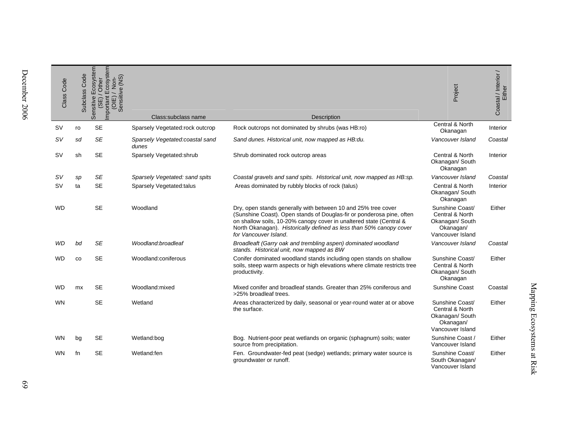| Class Code | Subclass Code | mportant Ecosystem<br>Ecosystem<br>Sensiitive (NS)<br><b>Other</b><br>/ Non<br>Sensitive<br>(O E)<br>(3E) | Class:subclass name                      | <b>Description</b>                                                                                                                                                                                                                                                                                            | Project                                                                                | Coastal / Interior /<br>Either |
|------------|---------------|-----------------------------------------------------------------------------------------------------------|------------------------------------------|---------------------------------------------------------------------------------------------------------------------------------------------------------------------------------------------------------------------------------------------------------------------------------------------------------------|----------------------------------------------------------------------------------------|--------------------------------|
| SV         | ro            | <b>SE</b>                                                                                                 | Sparsely Vegetated:rock outcrop          | Rock outcrops not dominated by shrubs (was HB:ro)                                                                                                                                                                                                                                                             | Central & North<br>Okanagan                                                            | Interior                       |
| sv         | sd            | SE                                                                                                        | Sparsely Vegetated:coastal sand<br>dunes | Sand dunes. Historical unit, now mapped as HB:du.                                                                                                                                                                                                                                                             | Vancouver Island                                                                       | Coastal                        |
| <b>SV</b>  | sh            | <b>SE</b>                                                                                                 | Sparsely Vegetated:shrub                 | Shrub dominated rock outcrop areas                                                                                                                                                                                                                                                                            | Central & North<br>Okanagan/ South<br>Okanagan                                         | Interior                       |
| sv         | sp            | <b>SE</b>                                                                                                 | Sparsely Vegetated: sand spits           | Coastal gravels and sand spits. Historical unit, now mapped as HB:sp.                                                                                                                                                                                                                                         | Vancouver Island                                                                       | Coastal                        |
| SV         | ta            | <b>SE</b>                                                                                                 | Sparsely Vegetated:talus                 | Areas dominated by rubbly blocks of rock (talus)                                                                                                                                                                                                                                                              | Central & North<br>Okanagan/ South<br>Okanagan                                         | Interior                       |
| <b>WD</b>  |               | <b>SE</b>                                                                                                 | Woodland                                 | Dry, open stands generally with between 10 and 25% tree cover<br>(Sunshine Coast). Open stands of Douglas-fir or ponderosa pine, often<br>on shallow soils, 10-20% canopy cover in unaltered state (Central &<br>North Okanagan). Historically defined as less than 50% canopy cover<br>for Vancouver Island. | Sunshine Coast/<br>Central & North<br>Okanagan/ South<br>Okanagan/<br>Vancouver Island | Either                         |
| WD         | bd            | SE                                                                                                        | Woodland:broadleaf                       | Broadleaft (Garry oak and trembling aspen) dominated woodland<br>stands. Historical unit, now mapped as BW                                                                                                                                                                                                    | Vancouver Island                                                                       | Coastal                        |
| WD         | CO            | <b>SE</b>                                                                                                 | Woodland:coniferous                      | Conifer dominated woodland stands including open stands on shallow<br>soils, steep warm aspects or high elevations where climate restricts tree<br>productivity.                                                                                                                                              | Sunshine Coast/<br>Central & North<br>Okanagan/ South<br>Okanagan                      | Either                         |
| <b>WD</b>  | mx            | <b>SE</b>                                                                                                 | Woodland:mixed                           | Mixed conifer and broadleaf stands. Greater than 25% coniferous and<br>>25% broadleaf trees.                                                                                                                                                                                                                  | Sunshine Coast                                                                         | Coastal                        |
| <b>WN</b>  |               | <b>SE</b>                                                                                                 | Wetland                                  | Areas characterized by daily, seasonal or year-round water at or above<br>the surface.                                                                                                                                                                                                                        | Sunshine Coast/<br>Central & North<br>Okanagan/ South<br>Okanagan/<br>Vancouver Island | Either                         |
| WN         | bq            | <b>SE</b>                                                                                                 | Wetland:bog                              | Bog. Nutrient-poor peat wetlands on organic (sphagnum) soils; water<br>source from precipitation.                                                                                                                                                                                                             | Sunshine Coast /<br>Vancouver Island                                                   | Either                         |
| <b>WN</b>  | fn            | <b>SE</b>                                                                                                 | Wetland:fen                              | Fen. Groundwater-fed peat (sedge) wetlands; primary water source is<br>groundwater or runoff.                                                                                                                                                                                                                 | Sunshine Coast/<br>South Okanagan/<br>Vancouver Island                                 | Either                         |

Mapping Ecosystems at Risk Mapping Ecosystems at Risk

December 2006 December 2006 69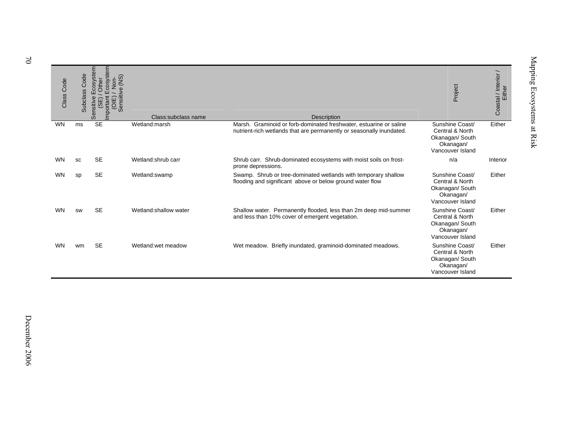| Class Code | Code<br><b>Subclass</b> | cosystem<br>cosystem<br>(NS)<br>Other<br>ensitive<br>Sensi<br>ΨŚ<br>orta<br>$\Omega$ | Class: subclass name  | <b>Description</b>                                                                                                                         | Project                                                                                | Coastal / Interior /<br>Either |
|------------|-------------------------|--------------------------------------------------------------------------------------|-----------------------|--------------------------------------------------------------------------------------------------------------------------------------------|----------------------------------------------------------------------------------------|--------------------------------|
| <b>WN</b>  | ms                      | <b>SE</b>                                                                            | Wetland:marsh         | Marsh. Graminoid or forb-dominated freshwater, estuarine or saline<br>nutrient-rich wetlands that are permanently or seasonally inundated. | Sunshine Coast/<br>Central & North<br>Okanagan/ South<br>Okanagan/<br>Vancouver Island | Either                         |
| <b>WN</b>  | SC                      | <b>SE</b>                                                                            | Wetland: shrub carr   | Shrub carr. Shrub-dominated ecosystems with moist soils on frost-<br>prone depressions.                                                    | n/a                                                                                    | Interior                       |
| WN         | sp                      | <b>SE</b>                                                                            | Wetland:swamp         | Swamp. Shrub or tree-dominated wetlands with temporary shallow<br>flooding and significant above or below ground water flow                | Sunshine Coast/<br>Central & North<br>Okanagan/ South<br>Okanagan/<br>Vancouver Island | Either                         |
| <b>WN</b>  | SW                      | <b>SE</b>                                                                            | Wetland:shallow water | Shallow water. Permanently flooded, less than 2m deep mid-summer<br>and less than 10% cover of emergent vegetation.                        | Sunshine Coast/<br>Central & North<br>Okanagan/ South<br>Okanagan/<br>Vancouver Island | Either                         |
| <b>WN</b>  | wm                      | <b>SE</b>                                                                            | Wetland: wet meadow   | Wet meadow. Briefly inundated, graminoid-dominated meadows.                                                                                | Sunshine Coast/<br>Central & North<br>Okanagan/ South<br>Okanagan/<br>Vancouver Island | Either                         |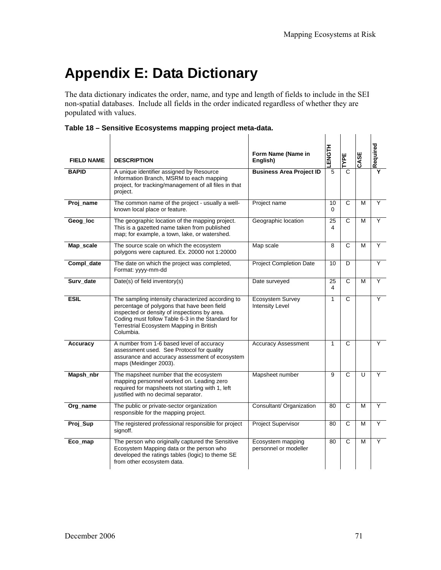$1 - 1 - 1 - 1$ 

## **Appendix E: Data Dictionary**

The data dictionary indicates the order, name, and type and length of fields to include in the SEI non-spatial databases. Include all fields in the order indicated regardless of whether they are populated with values.

 $\mathbf{I}$ 

| <b>FIELD NAME</b> | <b>DESCRIPTION</b>                                                                                                                                                                                                                                            | Form Name (Name in<br>English)             | <b>HISDET</b> | <b>TYPE</b>  | CASE   | Required |
|-------------------|---------------------------------------------------------------------------------------------------------------------------------------------------------------------------------------------------------------------------------------------------------------|--------------------------------------------|---------------|--------------|--------|----------|
| <b>BAPID</b>      | A unique identifier assigned by Resource<br>Information Branch, MSRM to each mapping<br>project, for tracking/management of all files in that<br>project.                                                                                                     | <b>Business Area Project ID</b>            | 5             | C            |        | Ÿ        |
| Proj_name         | The common name of the project - usually a well-<br>known local place or feature.                                                                                                                                                                             | Project name                               | 10<br>0       | C            | М      | Y        |
| Geog_loc          | The geographic location of the mapping project.<br>This is a gazetted name taken from published<br>map; for example, a town, lake, or watershed.                                                                                                              | Geographic location                        | 25<br>4       | C            | M      | Y        |
| Map_scale         | The source scale on which the ecosystem<br>polygons were captured. Ex. 20000 not 1:20000                                                                                                                                                                      | Map scale                                  | 8             | C            | м      | Y        |
| Compl_date        | The date on which the project was completed,<br>Format: yyyy-mm-dd                                                                                                                                                                                            | <b>Project Completion Date</b>             | 10            | D            |        | Y        |
| Surv_date         | Date(s) of field inventory(s)                                                                                                                                                                                                                                 | Date surveyed                              | 25<br>4       | C            | M      | Y        |
| ESIL              | The sampling intensity characterized according to<br>percentage of polygons that have been field<br>inspected or density of inspections by area.<br>Coding must follow Table 6-3 in the Standard for<br>Terrestrial Ecosystem Mapping in British<br>Columbia. | Ecosystem Survey<br><b>Intensity Level</b> | 1             | C            |        | Y        |
| Accuracy          | A number from 1-6 based level of accuracy<br>assessment used. See Protocol for quality<br>assurance and accuracy assessment of ecosystem<br>maps (Meidinger 2003).                                                                                            | <b>Accuracy Assessment</b>                 | $\mathbf{1}$  | $\mathsf{C}$ |        | Y        |
| Mapsh_nbr         | The mapsheet number that the ecosystem<br>mapping personnel worked on. Leading zero<br>required for mapsheets not starting with 1, left<br>justified with no decimal separator.                                                                               | Mapsheet number                            | 9             | C            | $\cup$ | Y        |
| Org_name          | The public or private-sector organization<br>responsible for the mapping project.                                                                                                                                                                             | Consultant/ Organization                   | 80            | $\mathsf{C}$ | м      | Y        |
| Proj_Sup          | The registered professional responsible for project<br>signoff.                                                                                                                                                                                               | <b>Project Supervisor</b>                  | 80            | C            | М      | Y        |
| Eco_map           | The person who originally captured the Sensitive<br>Ecosystem Mapping data or the person who<br>developed the ratings tables (logic) to theme SE<br>from other ecosystem data.                                                                                | Ecosystem mapping<br>personnel or modeller | 80            | C            | M      | Y        |

**Table 18 – Sensitive Ecosystems mapping project meta-data.**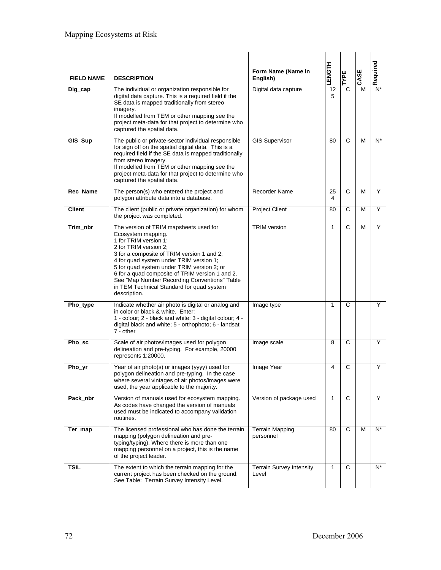|                   |                                                                                                                                                                                                                                                                                                                                                                                                                       | Form Name (Name in                       | <b>HISH</b>  |                |      | Required |
|-------------------|-----------------------------------------------------------------------------------------------------------------------------------------------------------------------------------------------------------------------------------------------------------------------------------------------------------------------------------------------------------------------------------------------------------------------|------------------------------------------|--------------|----------------|------|----------|
| <b>FIELD NAME</b> | <b>DESCRIPTION</b>                                                                                                                                                                                                                                                                                                                                                                                                    | English)                                 |              | <b>LAPE</b>    | CASE |          |
| Dig_cap           | The individual or organization responsible for<br>digital data capture. This is a required field if the<br>SE data is mapped traditionally from stereo<br>imagery.<br>If modelled from TEM or other mapping see the<br>project meta-data for that project to determine who<br>captured the spatial data.                                                                                                              | Digital data capture                     | 12<br>5      | $\overline{C}$ | M    | $N^*$    |
| GIS_Sup           | The public or private-sector individual responsible<br>for sign off on the spatial digital data. This is a<br>required field if the SE data is mapped traditionally<br>from stereo imagery.<br>If modelled from TEM or other mapping see the<br>project meta-data for that project to determine who<br>captured the spatial data.                                                                                     | <b>GIS Supervisor</b>                    | 80           | C              | М    | N*       |
| Rec_Name          | The person(s) who entered the project and<br>polygon attribute data into a database.                                                                                                                                                                                                                                                                                                                                  | <b>Recorder Name</b>                     | 25<br>4      | C              | М    | Y        |
| <b>Client</b>     | The client (public or private organization) for whom<br>the project was completed.                                                                                                                                                                                                                                                                                                                                    | <b>Project Client</b>                    | 80           | $\mathsf{C}$   | м    | Y        |
| Trim_nbr          | The version of TRIM mapsheets used for<br>Ecosystem mapping.<br>1 for TRIM version 1:<br>2 for TRIM version 2:<br>3 for a composite of TRIM version 1 and 2;<br>4 for quad system under TRIM version 1;<br>5 for quad system under TRIM version 2; or<br>6 for a quad composite of TRIM version 1 and 2.<br>See "Map Number Recording Conventions" Table<br>in TEM Technical Standard for quad system<br>description. | <b>TRIM</b> version                      | $\mathbf{1}$ | C              | м    | Y        |
| Pho_type          | Indicate whether air photo is digital or analog and<br>in color or black & white. Enter:<br>1 - colour; 2 - black and white; 3 - digital colour; 4 -<br>digital black and white; 5 - orthophoto; 6 - landsat<br>7 - other                                                                                                                                                                                             | Image type                               | 1            | $\overline{c}$ |      | Y        |
| Pho sc            | Scale of air photos/images used for polygon<br>delineation and pre-typing. For example, 20000<br>represents 1:20000.                                                                                                                                                                                                                                                                                                  | Image scale                              | 8            | C              |      | Y        |
| Pho_yr            | Year of air photo(s) or images (yyyy) used for<br>polygon delineation and pre-typing. In the case<br>where several vintages of air photos/images were<br>used, the year applicable to the majority.                                                                                                                                                                                                                   | Image Year                               | 4            | C              |      | Y        |
| Pack_nbr          | Version of manuals used for ecosystem mapping.<br>As codes have changed the version of manuals<br>used must be indicated to accompany validation<br>routines.                                                                                                                                                                                                                                                         | Version of package used                  | 1            | C              |      | Y.       |
| Ter_map           | The licensed professional who has done the terrain<br>mapping (polygon delineation and pre-<br>typing/typing). Where there is more than one<br>mapping personnel on a project, this is the name<br>of the project leader.                                                                                                                                                                                             | <b>Terrain Mapping</b><br>personnel      | 80           | C              | M    | $N^*$    |
| <b>TSIL</b>       | The extent to which the terrain mapping for the<br>current project has been checked on the ground.<br>See Table: Terrain Survey Intensity Level.                                                                                                                                                                                                                                                                      | <b>Terrain Survey Intensity</b><br>Level | 1            | C              |      | $N^*$    |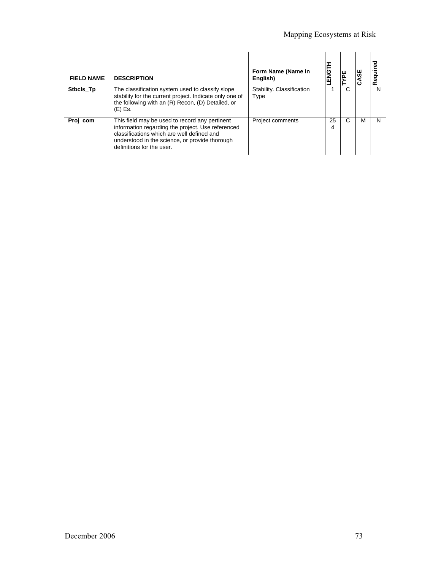| <b>FIELD NAME</b> | <b>DESCRIPTION</b>                                                                                                                                                                                                               | Form Name (Name in<br>English)    | ENGTI   |   | S | Required |
|-------------------|----------------------------------------------------------------------------------------------------------------------------------------------------------------------------------------------------------------------------------|-----------------------------------|---------|---|---|----------|
| Stbcls Tp         | The classification system used to classify slope<br>stability for the current project. Indicate only one of<br>the following with an (R) Recon, (D) Detailed, or<br>(E) Es.                                                      | Stability. Classification<br>Type |         | C |   | N        |
| Proj_com          | This field may be used to record any pertinent<br>information regarding the project. Use referenced<br>classifications which are well defined and<br>understood in the science, or provide thorough<br>definitions for the user. | <b>Project comments</b>           | 25<br>4 | C | м | N        |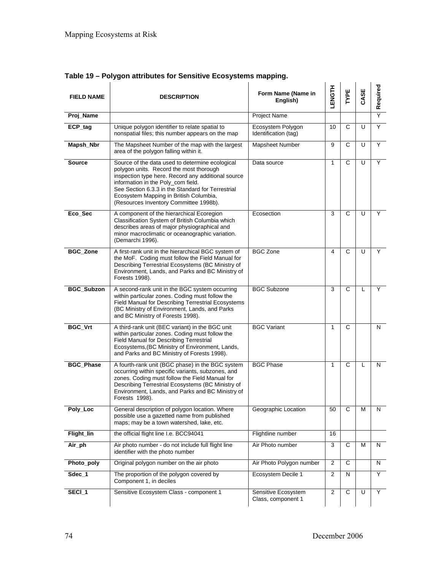|                   | attributed for occiding                                                                                                                                                                                                                                                                                                         |                                           |                |                |      |          |
|-------------------|---------------------------------------------------------------------------------------------------------------------------------------------------------------------------------------------------------------------------------------------------------------------------------------------------------------------------------|-------------------------------------------|----------------|----------------|------|----------|
| <b>FIELD NAME</b> | <b>DESCRIPTION</b>                                                                                                                                                                                                                                                                                                              | Form Name (Name in<br>English)            | <b>LENGTH</b>  | TYPE           | CASE | Required |
| Proj_Name         |                                                                                                                                                                                                                                                                                                                                 | Project Name                              |                |                |      | Y        |
| ECP_tag           | Unique polygon identifier to relate spatial to<br>nonspatial files; this number appears on the map                                                                                                                                                                                                                              | Ecosystem Polygon<br>Identification (tag) | 10             | C              | U    | Y        |
| Mapsh_Nbr         | The Mapsheet Number of the map with the largest<br>area of the polygon falling within it.                                                                                                                                                                                                                                       | Mapsheet Number                           | 9              | C              | U    | Y        |
| Source            | Source of the data used to determine ecological<br>polygon units. Record the most thorough<br>inspection type here. Record any additional source<br>information in the Poly_com field.<br>See Section 6.3.3 in the Standard for Terrestrial<br>Ecosystem Mapping in British Columbia,<br>(Resources Inventory Committee 1998b). | Data source                               | $\mathbf{1}$   | C              | U    | Y        |
| Eco_Sec           | A component of the hierarchical Ecoregion<br>Classification System of British Columbia which<br>describes areas of major physiographical and<br>minor macroclimatic or oceanographic variation.<br>(Demarchi 1996).                                                                                                             | Ecosection                                | 3              | $\overline{C}$ | U    | Y        |
| <b>BGC_Zone</b>   | A first-rank unit in the hierarchical BGC system of<br>the MoF. Coding must follow the Field Manual for<br>Describing Terrestrial Ecosystems (BC Ministry of<br>Environment, Lands, and Parks and BC Ministry of<br>Forests 1998).                                                                                              | <b>BGC Zone</b>                           | 4              | C              | U    | Y        |
| <b>BGC_Subzon</b> | A second-rank unit in the BGC system occurring<br>within particular zones. Coding must follow the<br>Field Manual for Describing Terrestrial Ecosystems<br>(BC Ministry of Environment, Lands, and Parks<br>and BC Ministry of Forests 1998).                                                                                   | <b>BGC Subzone</b>                        | 3              | $\overline{C}$ | L    | Y        |
| <b>BGC_Vrt</b>    | A third-rank unit (BEC variant) in the BGC unit<br>within particular zones. Coding must follow the<br><b>Field Manual for Describing Terrestrial</b><br>Ecosystems, (BC Ministry of Environment, Lands,<br>and Parks and BC Ministry of Forests 1998).                                                                          | <b>BGC Variant</b>                        | $\mathbf{1}$   | C              |      | N        |
| <b>BGC_Phase</b>  | A fourth-rank unit (BGC phase) in the BGC system<br>occurring within specific variants, subzones, and<br>zones. Coding must follow the Field Manual for<br>Describing Terrestrial Ecosystems (BC Ministry of<br>Environment, Lands, and Parks and BC Ministry of<br>Forests 1998).                                              | <b>BGC Phase</b>                          | $\mathbf{1}$   | $\overline{c}$ | L    | N        |
| Poly_Loc          | General description of polygon location. Where<br>possible use a gazetted name from published<br>maps; may be a town watershed, lake, etc.                                                                                                                                                                                      | Geographic Location                       | 50             | C              | м    | N        |
| Flight_lin        | the official flight line I.e. BCC94041                                                                                                                                                                                                                                                                                          | Flightline number                         | 16             |                |      |          |
| Air_ph            | Air photo number - do not include full flight line<br>identifier with the photo number                                                                                                                                                                                                                                          | Air Photo number                          | 3              | С              | м    | N        |
| Photo_poly        | Original polygon number on the air photo                                                                                                                                                                                                                                                                                        | Air Photo Polygon number                  | 2              | С              |      | N        |
| Sdec_1            | The proportion of the polygon covered by<br>Component 1, in deciles                                                                                                                                                                                                                                                             | Ecosystem Decile 1                        | $\overline{2}$ | N              |      | Υ        |
| SECI_1            | Sensitive Ecosystem Class - component 1                                                                                                                                                                                                                                                                                         | Sensitive Ecosystem<br>Class, component 1 | $\overline{2}$ | $\overline{C}$ | U    | Ÿ        |

**Table 19 – Polygon attributes for Sensitive Ecosystems mapping.**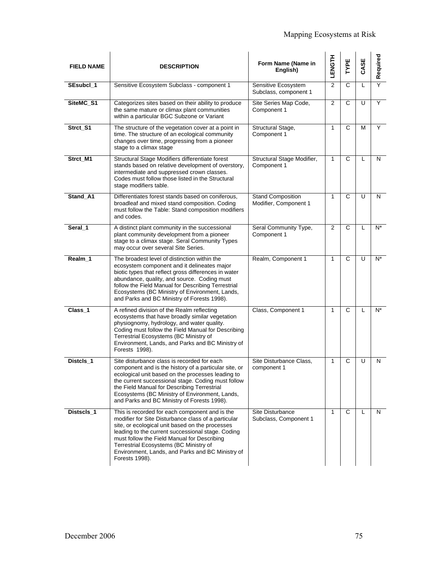| <b>FIELD NAME</b> | <b>DESCRIPTION</b>                                                                                                                                                                                                                                                                                                                                                           | Form Name (Name in<br>English)                    | <b>HISHI</b>   | TYPE           | CASE | Required |
|-------------------|------------------------------------------------------------------------------------------------------------------------------------------------------------------------------------------------------------------------------------------------------------------------------------------------------------------------------------------------------------------------------|---------------------------------------------------|----------------|----------------|------|----------|
| SEsubcl_1         | Sensitive Ecosystem Subclass - component 1                                                                                                                                                                                                                                                                                                                                   | Sensitive Ecosystem<br>Subclass, component 1      | $\overline{2}$ | C              | L    | Y        |
| SiteMC_S1         | Categorizes sites based on their ability to produce<br>the same mature or climax plant communities<br>within a particular BGC Subzone or Variant                                                                                                                                                                                                                             | Site Series Map Code,<br>Component 1              | $\overline{2}$ | C              | U    | Y        |
| Strct_S1          | The structure of the vegetation cover at a point in<br>time. The structure of an ecological community<br>changes over time, progressing from a pioneer<br>stage to a climax stage                                                                                                                                                                                            | Structural Stage,<br>Component 1                  | $\mathbf{1}$   | $\overline{C}$ | М    | Y        |
| Strct_M1          | Structural Stage Modifiers differentiate forest<br>stands based on relative development of overstory,<br>intermediate and suppressed crown classes.<br>Codes must follow those listed in the Structural<br>stage modifiers table.                                                                                                                                            | Structural Stage Modifier,<br>Component 1         | 1              | C              | L    | N        |
| Stand_A1          | Differentiates forest stands based on coniferous,<br>broadleaf and mixed stand composition. Coding<br>must follow the Table: Stand composition modifiers<br>and codes.                                                                                                                                                                                                       | <b>Stand Composition</b><br>Modifier, Component 1 | 1              | C              | U    | N        |
| Seral_1           | A distinct plant community in the successional<br>plant community development from a pioneer<br>stage to a climax stage. Seral Community Types<br>may occur over several Site Series.                                                                                                                                                                                        | Seral Community Type,<br>Component 1              | $\overline{2}$ | C              | L    | N*       |
| Realm 1           | The broadest level of distinction within the<br>ecosystem component and it delineates major<br>biotic types that reflect gross differences in water<br>abundance, quality, and source. Coding must<br>follow the Field Manual for Describing Terrestrial<br>Ecosystems (BC Ministry of Environment, Lands,<br>and Parks and BC Ministry of Forests 1998).                    | Realm, Component 1                                | 1              | C              | U    | N*       |
| Class 1           | A refined division of the Realm reflecting<br>ecosystems that have broadly similar vegetation<br>physiognomy, hydrology, and water quality.<br>Coding must follow the Field Manual for Describing<br>Terrestrial Ecosystems (BC Ministry of<br>Environment, Lands, and Parks and BC Ministry of<br>Forests 1998).                                                            | Class, Component 1                                | 1              | C              | L    | $N^*$    |
| Distcls 1         | Site disturbance class is recorded for each<br>component and is the history of a particular site, or<br>ecological unit based on the processes leading to<br>the current successional stage. Coding must follow<br>the Field Manual for Describing Terrestrial<br>Ecosystems (BC Ministry of Environment, Lands,<br>and Parks and BC Ministry of Forests 1998).              | Site Disturbance Class,<br>component 1            | 1              | C              | U    | N        |
| Distscls_1        | This is recorded for each component and is the<br>modifier for Site Disturbance class of a particular<br>site, or ecological unit based on the processes<br>leading to the current successional stage. Coding<br>must follow the Field Manual for Describing<br>Terrestrial Ecosystems (BC Ministry of<br>Environment, Lands, and Parks and BC Ministry of<br>Forests 1998). | Site Disturbance<br>Subclass, Component 1         | 1              | C              | L    | N        |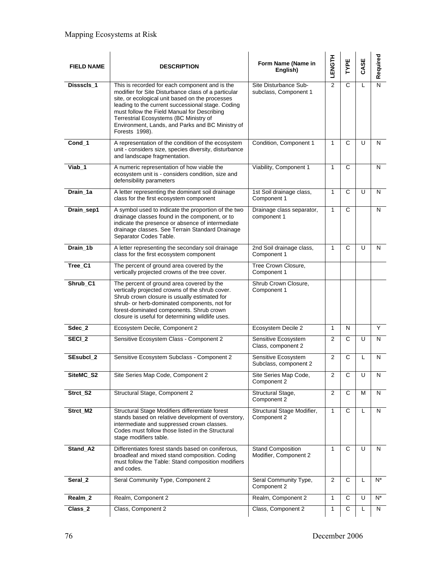| <b>FIELD NAME</b> | <b>DESCRIPTION</b>                                                                                                                                                                                                                                                                                                                                                           | Form Name (Name in<br>English)                    | TYPE           | CASE           | Required |       |
|-------------------|------------------------------------------------------------------------------------------------------------------------------------------------------------------------------------------------------------------------------------------------------------------------------------------------------------------------------------------------------------------------------|---------------------------------------------------|----------------|----------------|----------|-------|
| Dissscls_1        | This is recorded for each component and is the<br>modifier for Site Disturbance class of a particular<br>site, or ecological unit based on the processes<br>leading to the current successional stage. Coding<br>must follow the Field Manual for Describing<br>Terrestrial Ecosystems (BC Ministry of<br>Environment, Lands, and Parks and BC Ministry of<br>Forests 1998). | Site Disturbance Sub-<br>subclass, Component 1    | $\overline{2}$ | C              | L        | N     |
| Cond 1            | A representation of the condition of the ecosystem<br>unit - considers size, species diversity, disturbance<br>and landscape fragmentation.                                                                                                                                                                                                                                  | Condition, Component 1                            | $\mathbf{1}$   | C              | U        | N     |
| Viab_1            | A numeric representation of how viable the<br>ecosystem unit is - considers condition, size and<br>defensibility parameters                                                                                                                                                                                                                                                  | Viability, Component 1                            | 1              | C              |          | N     |
| Drain_1a          | A letter representing the dominant soil drainage<br>class for the first ecosystem component                                                                                                                                                                                                                                                                                  | 1st Soil drainage class,<br>Component 1           | $\mathbf{1}$   | C              | U        | N     |
| Drain_sep1        | A symbol used to indicate the proportion of the two<br>drainage classes found in the component, or to<br>indicate the presence or absence of intermediate<br>drainage classes. See Terrain Standard Drainage<br>Separator Codes Table.                                                                                                                                       | Drainage class separator,<br>component 1          | 1              | C              |          | N     |
| Drain_1b          | A letter representing the secondary soil drainage<br>class for the first ecosystem component                                                                                                                                                                                                                                                                                 | 2nd Soil drainage class,<br>Component 1           | 1              | C              | U        | N     |
| Tree_C1           | The percent of ground area covered by the<br>vertically projected crowns of the tree cover.                                                                                                                                                                                                                                                                                  | Tree Crown Closure,<br>Component 1                |                |                |          |       |
| Shrub_C1          | The percent of ground area covered by the<br>vertically projected crowns of the shrub cover.<br>Shrub crown closure is usually estimated for<br>shrub- or herb-dominated components, not for<br>forest-dominated components. Shrub crown<br>closure is useful for determining wildlife uses.                                                                                 | Shrub Crown Closure,<br>Component 1               |                |                |          |       |
| Sdec 2            | Ecosystem Decile, Component 2                                                                                                                                                                                                                                                                                                                                                | Ecosystem Decile 2                                | $\mathbf{1}$   | N              |          | Y     |
| SECI <sub>2</sub> | Sensitive Ecosystem Class - Component 2                                                                                                                                                                                                                                                                                                                                      | Sensitive Ecosystem<br>Class, component 2         | $\overline{2}$ | $\overline{c}$ | U        | N     |
| SEsubcl 2         | Sensitive Ecosystem Subclass - Component 2                                                                                                                                                                                                                                                                                                                                   | Sensitive Ecosystem<br>Subclass, component 2      | 2              | $\overline{C}$ | L        | N     |
| SiteMC_S2         | Site Series Map Code, Component 2                                                                                                                                                                                                                                                                                                                                            | Site Series Map Code,<br>Component 2              | 2              | С              | U        | N     |
| Strct_S2          | Structural Stage, Component 2                                                                                                                                                                                                                                                                                                                                                | Structural Stage,<br>Component 2                  | 2              | C              | м        | N     |
| Strct_M2          | Structural Stage Modifiers differentiate forest<br>stands based on relative development of overstory,<br>intermediate and suppressed crown classes.<br>Codes must follow those listed in the Structural<br>stage modifiers table.                                                                                                                                            | Structural Stage Modifier,<br>Component 2         | 1              | C              | L        | N     |
| Stand_A2          | Differentiates forest stands based on coniferous,<br>broadleaf and mixed stand composition. Coding<br>must follow the Table: Stand composition modifiers<br>and codes.                                                                                                                                                                                                       | <b>Stand Composition</b><br>Modifier, Component 2 | $\mathbf{1}$   | $\overline{c}$ | U        | N     |
| Seral_2           | Seral Community Type, Component 2                                                                                                                                                                                                                                                                                                                                            | Seral Community Type,<br>Component 2              | 2              | C              | L        | N*    |
| Realm_2           | Realm, Component 2                                                                                                                                                                                                                                                                                                                                                           | Realm, Component 2                                | 1              | C              | U        | $N^*$ |
| Class_2           | Class, Component 2                                                                                                                                                                                                                                                                                                                                                           | Class, Component 2                                | 1              | C              | L        | N     |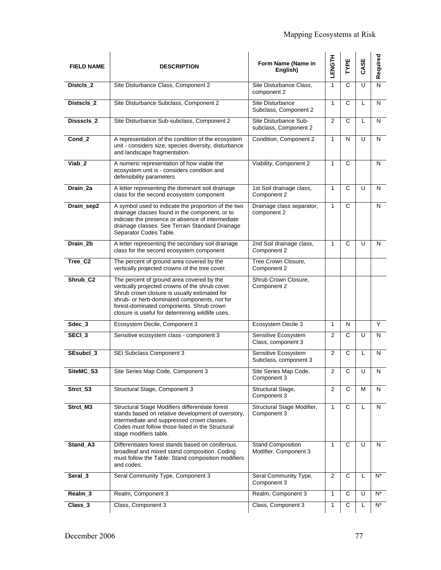| <b>FIELD NAME</b>    | <b>DESCRIPTION</b>                                                                                                                                                                                                                                                                           | Form Name (Name in<br>English)                    | <b>LENGTH</b> | TYPE           | CASE | Required                |
|----------------------|----------------------------------------------------------------------------------------------------------------------------------------------------------------------------------------------------------------------------------------------------------------------------------------------|---------------------------------------------------|---------------|----------------|------|-------------------------|
| Distcls <sub>2</sub> | Site Disturbance Class, Component 2                                                                                                                                                                                                                                                          | Site Disturbance Class,<br>component 2            | 1             | $\overline{C}$ | Ū    | $\overline{\mathsf{N}}$ |
| Distscls_2           | Site Disturbance Subclass, Component 2                                                                                                                                                                                                                                                       | Site Disturbance<br>Subclass, Component 2         | $\mathbf{1}$  | C              | L    | N                       |
| Dissscls_2           | Site Disturbance Sub-subclass, Component 2                                                                                                                                                                                                                                                   | Site Disturbance Sub-<br>subclass, Component 2    | 2             | $\overline{c}$ | L    | N                       |
| Cond <sub>2</sub>    | A representation of the condition of the ecosystem<br>unit - considers size, species diversity, disturbance<br>and landscape fragmentation.                                                                                                                                                  | Condition, Component 2                            | $\mathbf{1}$  | N              | U    | N                       |
| Viab_2               | A numeric representation of how viable the<br>ecosystem unit is - considers condition and<br>defensibility parameters                                                                                                                                                                        | Viability, Component 2                            | $\mathbf{1}$  | C              |      | N                       |
| Drain_2a             | A letter representing the dominant soil drainage<br>class for the second ecosystem component                                                                                                                                                                                                 | 1st Soil drainage class,<br>Component 2           | 1             | C              | U    | N                       |
| Drain_sep2           | A symbol used to indicate the proportion of the two<br>drainage classes found in the component, or to<br>indicate the presence or absence of intermediate<br>drainage classes. See Terrain Standard Drainage<br>Separator Codes Table.                                                       | Drainage class separator,<br>component 2          | C             |                | N    |                         |
| Drain_2b             | A letter representing the secondary soil drainage<br>class for the second ecosystem component                                                                                                                                                                                                | 2nd Soil drainage class,<br>Component 2           | $\mathbf{1}$  | C              | U    | N                       |
| Tree_C2              | The percent of ground area covered by the<br>vertically projected crowns of the tree cover.                                                                                                                                                                                                  | Tree Crown Closure,<br>Component 2                |               |                |      |                         |
| Shrub_C2             | The percent of ground area covered by the<br>vertically projected crowns of the shrub cover.<br>Shrub crown closure is usually estimated for<br>shrub- or herb-dominated components, not for<br>forest-dominated components. Shrub crown<br>closure is useful for determining wildlife uses. | Shrub Crown Closure,<br>Component 2               |               |                |      |                         |
| Sdec_3               | Ecosystem Decile, Component 3                                                                                                                                                                                                                                                                | Ecosystem Decile 3                                | $\mathbf{1}$  | N              |      | Y                       |
| SECI <sub>3</sub>    | Sensitive ecosystem class - component 3                                                                                                                                                                                                                                                      | Sensitive Ecosystem<br>Class, component 3         | 2             | C              | U    | N                       |
| SEsubcl 3            | SEI Subclass Component 3                                                                                                                                                                                                                                                                     | Sensitive Ecosystem<br>Subclass, component 3      | 2             | C              | L    | N                       |
| SiteMC_S3            | Site Series Map Code, Component 3                                                                                                                                                                                                                                                            | Site Series Map Code,<br>Component 3              | 2             | C              |      | N                       |
| Strct_S3             | Structural Stage, Component 3                                                                                                                                                                                                                                                                | Structural Stage,<br>Component 3                  | 2             | $\overline{c}$ | М    | N                       |
| Strct M3             | Structural Stage Modifiers differentiate forest<br>stands based on relative development of overstory,<br>intermediate and suppressed crown classes.<br>Codes must follow those listed in the Structural<br>stage modifiers table.                                                            | Structural Stage Modifier,<br>Component 3         | $\mathbf{1}$  | C              | L    | N.                      |
| Stand_A3             | Differentiates forest stands based on coniferous,<br>broadleaf and mixed stand composition. Coding<br>must follow the Table: Stand composition modifiers<br>and codes.                                                                                                                       | <b>Stand Composition</b><br>Modifier, Component 3 | $\mathbf{1}$  | $\mathsf{C}$   | U    | N                       |
| Seral_3              | Seral Community Type, Component 3                                                                                                                                                                                                                                                            | Seral Community Type,<br>Component 3              | 2             | C              | L    | $N^*$                   |
| Realm_3              | Realm, Component 3                                                                                                                                                                                                                                                                           | Realm, Component 3                                | 1             | C              | U    | $N^*$                   |
| Class_3              | Class, Component 3                                                                                                                                                                                                                                                                           | Class, Component 3                                | 1             | С              |      | $N^*$                   |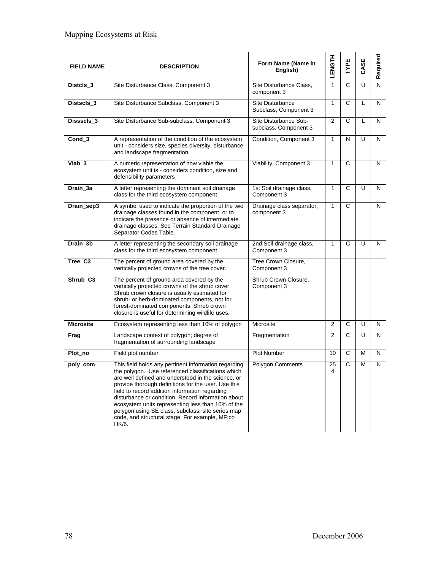| <b>FIELD NAME</b> | <b>DESCRIPTION</b>                                                                                                                                                                                                                                                                                                                                                                                                                                                                                  | Form Name (Name in<br>English)                 | <b>LENGTH</b>  | TYPE           | CASE | Required |
|-------------------|-----------------------------------------------------------------------------------------------------------------------------------------------------------------------------------------------------------------------------------------------------------------------------------------------------------------------------------------------------------------------------------------------------------------------------------------------------------------------------------------------------|------------------------------------------------|----------------|----------------|------|----------|
| Distcls 3         | Site Disturbance Class, Component 3                                                                                                                                                                                                                                                                                                                                                                                                                                                                 | Site Disturbance Class,<br>component 3         | 1              | $\overline{C}$ | U    | N        |
| Distscls_3        | Site Disturbance Subclass, Component 3                                                                                                                                                                                                                                                                                                                                                                                                                                                              | Site Disturbance<br>Subclass, Component 3      | 1              | $\mathsf{C}$   | L    | N        |
| Dissscls_3        | Site Disturbance Sub-subclass, Component 3                                                                                                                                                                                                                                                                                                                                                                                                                                                          | Site Disturbance Sub-<br>subclass, Component 3 | $\overline{2}$ | $\overline{c}$ | L    | N        |
| Cond 3            | A representation of the condition of the ecosystem<br>unit - considers size, species diversity, disturbance<br>and landscape fragmentation.                                                                                                                                                                                                                                                                                                                                                         | Condition, Component 3                         | 1              | N              | U    | N        |
| Viab <sub>3</sub> | A numeric representation of how viable the<br>ecosystem unit is - considers condition, size and<br>defensibility parameters                                                                                                                                                                                                                                                                                                                                                                         | Viability, Component 3                         | 1              | C              |      | N        |
| Drain_3a          | A letter representing the dominant soil drainage<br>class for the third ecosystem component                                                                                                                                                                                                                                                                                                                                                                                                         | 1st Soil drainage class,<br>Component 3        | $\mathbf{1}$   | C              | U    | N        |
| Drain_sep3        | A symbol used to indicate the proportion of the two<br>drainage classes found in the component, or to<br>indicate the presence or absence of intermediate<br>drainage classes. See Terrain Standard Drainage<br>Separator Codes Table.                                                                                                                                                                                                                                                              | Drainage class separator,<br>component 3       | 1              | C              |      | N        |
| Drain_3b          | A letter representing the secondary soil drainage<br>class for the third ecosystem component                                                                                                                                                                                                                                                                                                                                                                                                        | 2nd Soil drainage class,<br>Component 3        | 1              | C              | U    | N        |
| $Tree_C3$         | The percent of ground area covered by the<br>vertically projected crowns of the tree cover.                                                                                                                                                                                                                                                                                                                                                                                                         | Tree Crown Closure,<br>Component 3             |                |                |      |          |
| Shrub_C3          | The percent of ground area covered by the<br>vertically projected crowns of the shrub cover.<br>Shrub crown closure is usually estimated for<br>shrub- or herb-dominated components, not for<br>forest-dominated components. Shrub crown<br>closure is useful for determining wildlife uses.                                                                                                                                                                                                        | Shrub Crown Closure,<br>Component 3            |                |                |      |          |
| <b>Microsite</b>  | Ecosystem representing less than 10% of polygon                                                                                                                                                                                                                                                                                                                                                                                                                                                     | Microsite                                      | $\overline{2}$ | $\overline{C}$ | U    | N        |
| Frag              | Landscape context of polygon; degree of<br>fragmentation of surrounding landscape                                                                                                                                                                                                                                                                                                                                                                                                                   | Fragmentation                                  | 2              | C              | U    | N        |
| Plot_no           | Field plot number                                                                                                                                                                                                                                                                                                                                                                                                                                                                                   | <b>Plot Number</b>                             | 10             | C              | М    | N        |
| poly_com          | This field holds any pertinent information regarding<br>the polygon. Use referenced classifications which<br>are well defined and understood in the science, or<br>provide thorough definitions for the user. Use this<br>field to record addition information regarding<br>disturbance or condition. Record information about<br>ecosystem units representing less than 10% of the<br>polygon using SE class, subclass, site series map<br>code, and structural stage. For example, MF:co<br>HK/6. | Polygon Comments                               | 25             | С              | м    | N        |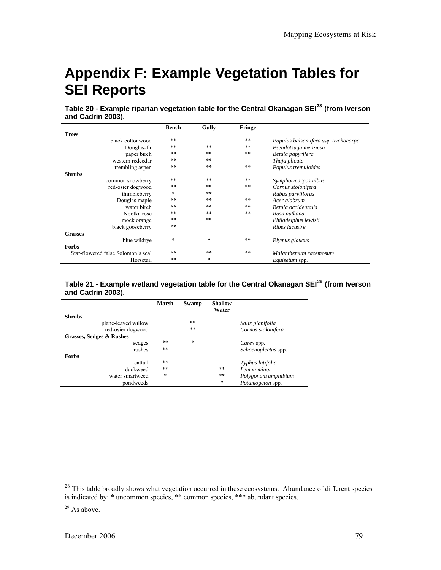## <span id="page-88-0"></span>**Appendix F: Example Vegetation Tables for SEI Reports**

**Table 20 - Example riparian vegetation table for the Central Okanagan SEI[28](#page-88-0) (from Iverson and Cadrin 2003).** 

|                                    | Bench | Gully | Fringe |                                      |
|------------------------------------|-------|-------|--------|--------------------------------------|
| <b>Trees</b>                       |       |       |        |                                      |
| black cottonwood                   | $**$  |       | $***$  | Populus balsamifera ssp. trichocarpa |
| Douglas-fir                        | **    | **    | **     | Pseudotsuga menziesii                |
| paper birch                        | $**$  | $**$  | $***$  | Betula papyrifera                    |
| western redcedar                   | $**$  | $***$ |        | Thuja plicata                        |
| trembling aspen                    | $***$ | $***$ | **     | Populus tremuloides                  |
| <b>Shrubs</b>                      |       |       |        |                                      |
| common snowberry                   | $**$  | $***$ | $***$  | Symphoricarpos albus                 |
| red-osier dogwood                  | **    | $***$ | $***$  | Cornus stolonifera                   |
| thimbleberry                       | *     | $***$ |        | Rubus parviflorus                    |
| Douglas maple                      | **    | $***$ | **     | Acer glabrum                         |
| water birch                        | $**$  | $***$ | $***$  | Betula occidentalis                  |
| Nootka rose                        | $**$  | $***$ | $***$  | Rosa nutkana                         |
| mock orange                        | $**$  | **    |        | Philadelphus lewisii                 |
| black gooseberry                   | **    |       |        | Ribes lacustre                       |
| <b>Grasses</b>                     |       |       |        |                                      |
| blue wildrye                       | *     | *     | $***$  | Elymus glaucus                       |
| <b>Forbs</b>                       |       |       |        |                                      |
| Star-flowered false Solomon's seal | $**$  | **    | $**$   | Maianthemum racemosum                |
| Horsetail                          | **    | *     |        | Equisetum spp.                       |

#### **Table 21 - Example wetland vegetation table for the Central Okanagan SEI[29](#page-88-0) (from Iverson and Cadrin 2003).**

|                          | Marsh | Swamp  | <b>Shallow</b><br>Water |                     |
|--------------------------|-------|--------|-------------------------|---------------------|
|                          |       |        |                         |                     |
| <b>Shrubs</b>            |       |        |                         |                     |
| plane-leaved willow      |       | **     |                         | Salix planifolia    |
| red-osier dogwood        |       | **     |                         | Cornus stolonifera  |
| Grasses, Sedges & Rushes |       |        |                         |                     |
| sedges                   | **    | $\ast$ |                         | Carex spp.          |
| rushes                   | **    |        |                         | Schoenoplectus spp. |
| <b>Forbs</b>             |       |        |                         |                     |
| cattail                  | **    |        |                         | Typhus latifolia    |
| duckweed                 | **    |        | **                      | Lemna minor         |
| water smartweed          | *     |        | **                      | Polygonum amphibium |
| pondweeds                |       |        | *                       | Potamogeton spp.    |

l

<sup>&</sup>lt;sup>28</sup> This table broadly shows what vegetation occurred in these ecosystems. Abundance of different species is indicated by: \* uncommon species, \*\* common species, \*\*\* abundant species.

 $29$  As above.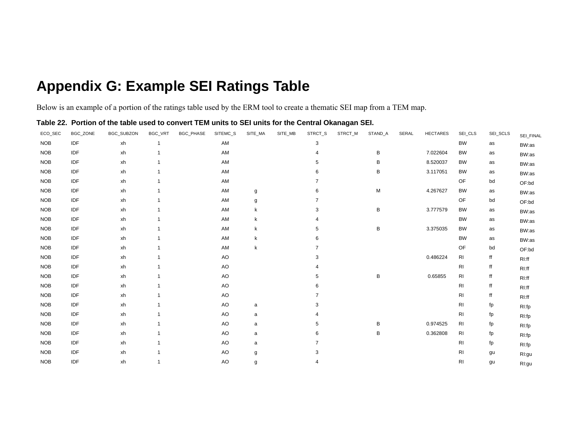# 80 **Appendix G: Example SEI Ratings Table**

Below is an example of a portion of the ratings table used by the ERM tool to create a thematic SEI map from a TEM map.

### **Table 22. Portion of the table used to convert TEM units to SEI units for the Central Okanagan SEI.**

| ECO_SEC    | BGC_ZONE   | BGC_SUBZON | BGC_VRT | BGC_PHASE | SITEMC_S | SITE_MA | SITE_MB | STRCT_S        | STRCT_M | STAND_A | <b>SERAL</b> | <b>HECTARES</b> | SEI_CLS        | SEI_SCLS | SEI_FINAL |
|------------|------------|------------|---------|-----------|----------|---------|---------|----------------|---------|---------|--------------|-----------------|----------------|----------|-----------|
| <b>NOB</b> | IDF        | xh         | 1       |           | AM       |         |         | 3              |         |         |              |                 | <b>BW</b>      | as       | BW:as     |
| <b>NOB</b> | IDF        | xh         |         |           | AM       |         |         |                |         | В       |              | 7.022604        | <b>BW</b>      | as       | BW:as     |
| <b>NOB</b> | IDF        | xh         |         |           | AM       |         |         | 5              |         | B       |              | 8.520037        | <b>BW</b>      | as       | BW:as     |
| <b>NOB</b> | IDF        | xh         |         |           | AM       |         |         | 6              |         | В       |              | 3.117051        | BW             | as       | BW:as     |
| <b>NOB</b> | IDF        | xh         |         |           | AM       |         |         |                |         |         |              |                 | OF             | bd       | OF:bd     |
| <b>NOB</b> | IDF        | xh         |         |           | AM       | g       |         | 6              |         | M       |              | 4.267627        | <b>BW</b>      | as       | BW:as     |
| <b>NOB</b> | IDF        | xh         |         |           | AM       | g       |         | 7              |         |         |              |                 | OF             | bd       | OF:bd     |
| <b>NOB</b> | IDF        | xh         |         |           | AM       | k       |         | 3              |         | В       |              | 3.777579        | BW             | as       | BW:as     |
| <b>NOB</b> | IDF        | xh         |         |           | AM       | k       |         | 4              |         |         |              |                 | <b>BW</b>      | as       | BW:as     |
| <b>NOB</b> | IDF        | xh         |         |           | AM       | k       |         | 5              |         | В       |              | 3.375035        | <b>BW</b>      | as       | BW:as     |
| <b>NOB</b> | IDF        | xh         |         |           | AM       | k       |         | 6              |         |         |              |                 | <b>BW</b>      | as       | BW:as     |
| <b>NOB</b> | IDF        | xh         |         |           | AM       | k       |         | $\overline{7}$ |         |         |              |                 | OF             | bd       | OF:bd     |
| <b>NOB</b> | IDF        | xh         |         |           | AO       |         |         | 3              |         |         |              | 0.486224        | R <sub>1</sub> | ff       | RI:ff     |
| <b>NOB</b> | IDF        | xh         |         |           | AO       |         |         |                |         |         |              |                 | R <sub>l</sub> | ff       | RI:ff     |
| <b>NOB</b> | IDF        | xh         |         |           | AO       |         |         | 5              |         | В       |              | 0.65855         | R <sub>l</sub> | ff       | RI:ff     |
| <b>NOB</b> | IDF        | xh         |         |           | AO       |         |         |                |         |         |              |                 | R <sub>l</sub> | ff       | RI:ff     |
| <b>NOB</b> | IDF        | xh         |         |           | AO       |         |         |                |         |         |              |                 | R <sub>l</sub> | ff       | RI:ff     |
| <b>NOB</b> | IDF        | xh         |         |           | AO       | a       |         | 3              |         |         |              |                 | <b>RI</b>      | fp       | RI:fp     |
| <b>NOB</b> | IDF        | xh         |         |           | AO       | a       |         |                |         |         |              |                 | <b>RI</b>      | fp       | RI:fp     |
| <b>NOB</b> | IDF        | xh         |         |           | AO       | a       |         | 5              |         | В       |              | 0.974525        | <b>RI</b>      | fp       | RI:fp     |
| <b>NOB</b> | IDF        | xh         |         |           | AO       | a       |         | 6              |         | В       |              | 0.362808        | <b>RI</b>      | fp       | RI:fp     |
| <b>NOB</b> | IDF        | xh         |         |           | AO       | a       |         | 7              |         |         |              |                 | R <sub>l</sub> | fp       | RI:fp     |
| <b>NOB</b> | IDF        | xh         |         |           | AO       | g       |         | 3              |         |         |              |                 | <b>RI</b>      | gu       | RI:gu     |
| <b>NOB</b> | <b>IDF</b> | xh         |         |           | AO       | g       |         | 4              |         |         |              |                 | R <sub>1</sub> | gu       | RI:gu     |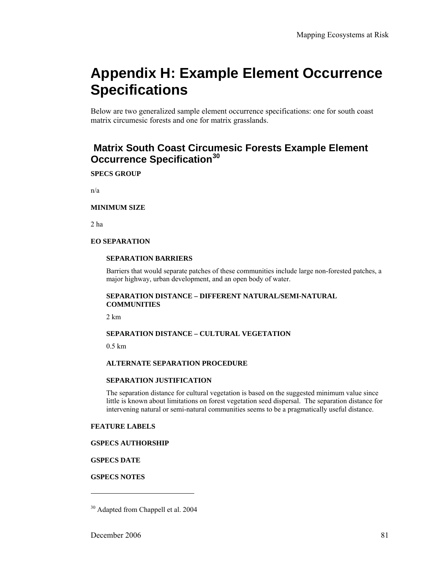## <span id="page-90-0"></span>**Appendix H: Example Element Occurrence Specifications**

Below are two generalized sample element occurrence specifications: one for south coast matrix circumesic forests and one for matrix grasslands.

## **Matrix South Coast Circumesic Forests Example Element Occurrence Specification[30](#page-90-0)**

**SPECS GROUP** 

n/a

#### **MINIMUM SIZE**

2 ha

#### **EO SEPARATION**

#### **SEPARATION BARRIERS**

Barriers that would separate patches of these communities include large non-forested patches, a major highway, urban development, and an open body of water.

#### **SEPARATION DISTANCE – DIFFERENT NATURAL/SEMI-NATURAL COMMUNITIES**

2 km

#### **SEPARATION DISTANCE – CULTURAL VEGETATION**

0.5 km

#### **ALTERNATE SEPARATION PROCEDURE**

#### **SEPARATION JUSTIFICATION**

The separation distance for cultural vegetation is based on the suggested minimum value since little is known about limitations on forest vegetation seed dispersal. The separation distance for intervening natural or semi-natural communities seems to be a pragmatically useful distance.

#### **FEATURE LABELS**

**GSPECS AUTHORSHIP** 

**GSPECS DATE** 

**GSPECS NOTES** 

l

<sup>&</sup>lt;sup>30</sup> Adapted from Chappell et al. 2004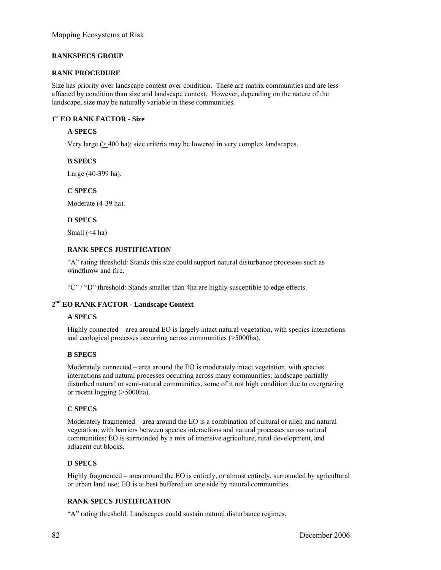#### **RANKSPECS GROUP**

#### **RANK PROCEDURE**

Size has priority over landscape context over condition. These are matrix communities and are less affected by condition than size and landscape context. However, depending on the nature of the landscape, size may be naturally variable in these communities.

#### **1st EO RANK FACTOR - Size**

#### **A SPECS**

Very large (> 400 ha); size criteria may be lowered in very complex landscapes.

#### **B SPECS**

Large (40-399 ha).

#### **C SPECS**

Moderate (4-39 ha).

#### **D SPECS**

Small (<4 ha)

#### **RANK SPECS JUSTIFICATION**

"A" rating threshold: Stands this size could support natural disturbance processes such as windthrow and fire.

"C" / "D" threshold: Stands smaller than 4ha are highly susceptible to edge effects.

#### **2nd EO RANK FACTOR - Landscape Context**

#### **A SPECS**

Highly connected – area around EO is largely intact natural vegetation, with species interactions and ecological processes occurring across communities (>5000ha).

#### **B SPECS**

Moderately connected – area around the EO is moderately intact vegetation, with species interactions and natural processes occurring across many communities; landscape partially disturbed natural or semi-natural communities, some of it not high condition due to overgrazing or recent logging (>5000ha).

#### **C SPECS**

Moderately fragmented – area around the EO is a combination of cultural or alien and natural vegetation, with barriers between species interactions and natural processes across natural communities; EO is surrounded by a mix of intensive agriculture, rural development, and adjacent cut blocks.

#### **D SPECS**

Highly fragmented – area around the EO is entirely, or almost entirely, surrounded by agricultural or urban land use; EO is at best buffered on one side by natural communities.

#### **RANK SPECS JUSTIFICATION**

"A" rating threshold: Landscapes could sustain natural disturbance regimes.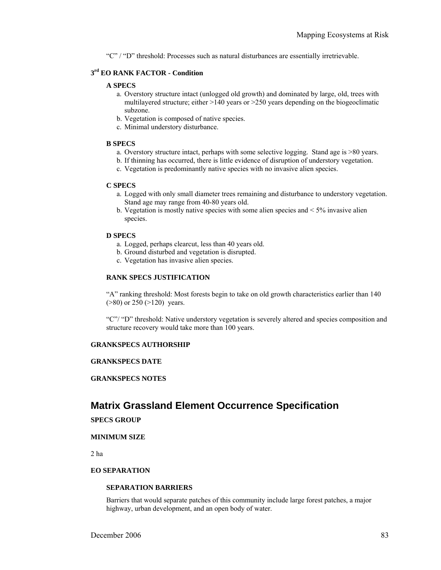"C" / "D" threshold: Processes such as natural disturbances are essentially irretrievable.

#### **3rd EO RANK FACTOR - Condition**

#### **A SPECS**

- a. Overstory structure intact (unlogged old growth) and dominated by large, old, trees with multilayered structure; either  $>140$  years or  $>250$  years depending on the biogeoclimatic subzone.
- b. Vegetation is composed of native species.
- c. Minimal understory disturbance.

#### **B SPECS**

- a. Overstory structure intact, perhaps with some selective logging. Stand age is >80 years.
- b. If thinning has occurred, there is little evidence of disruption of understory vegetation.
- c. Vegetation is predominantly native species with no invasive alien species.

#### **C SPECS**

- a. Logged with only small diameter trees remaining and disturbance to understory vegetation. Stand age may range from 40-80 years old.
- b. Vegetation is mostly native species with some alien species and < 5% invasive alien species.

#### **D SPECS**

- a. Logged, perhaps clearcut, less than 40 years old.
- b. Ground disturbed and vegetation is disrupted.
- c. Vegetation has invasive alien species.

#### **RANK SPECS JUSTIFICATION**

"A" ranking threshold: Most forests begin to take on old growth characteristics earlier than 140 (>80) or 250 (>120) years.

"C"/ "D" threshold: Native understory vegetation is severely altered and species composition and structure recovery would take more than 100 years.

#### **GRANKSPECS AUTHORSHIP**

#### **GRANKSPECS DATE**

#### **GRANKSPECS NOTES**

### **Matrix Grassland Element Occurrence Specification SPECS GROUP**

#### **MINIMUM SIZE**

2 ha

#### **EO SEPARATION**

#### **SEPARATION BARRIERS**

Barriers that would separate patches of this community include large forest patches, a major highway, urban development, and an open body of water.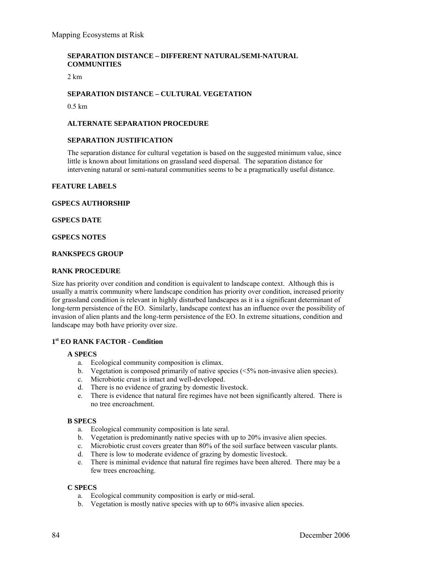#### **SEPARATION DISTANCE – DIFFERENT NATURAL/SEMI-NATURAL COMMUNITIES**

2 km

#### **SEPARATION DISTANCE – CULTURAL VEGETATION**

0.5 km

#### **ALTERNATE SEPARATION PROCEDURE**

#### **SEPARATION JUSTIFICATION**

The separation distance for cultural vegetation is based on the suggested minimum value, since little is known about limitations on grassland seed dispersal. The separation distance for intervening natural or semi-natural communities seems to be a pragmatically useful distance.

#### **FEATURE LABELS**

#### **GSPECS AUTHORSHIP**

#### **GSPECS DATE**

#### **GSPECS NOTES**

#### **RANKSPECS GROUP**

#### **RANK PROCEDURE**

Size has priority over condition and condition is equivalent to landscape context. Although this is usually a matrix community where landscape condition has priority over condition, increased priority for grassland condition is relevant in highly disturbed landscapes as it is a significant determinant of long-term persistence of the EO. Similarly, landscape context has an influence over the possibility of invasion of alien plants and the long-term persistence of the EO. In extreme situations, condition and landscape may both have priority over size.

#### **1st EO RANK FACTOR - Condition**

#### **A SPECS**

- a. Ecological community composition is climax.
- b. Vegetation is composed primarily of native species (<5% non-invasive alien species).
- c. Microbiotic crust is intact and well-developed.
- d. There is no evidence of grazing by domestic livestock.
- e. There is evidence that natural fire regimes have not been significantly altered. There is no tree encroachment.

#### **B SPECS**

- a. Ecological community composition is late seral.
- b. Vegetation is predominantly native species with up to 20% invasive alien species.
- c. Microbiotic crust covers greater than 80% of the soil surface between vascular plants.
- d. There is low to moderate evidence of grazing by domestic livestock.
- e. There is minimal evidence that natural fire regimes have been altered. There may be a few trees encroaching.

#### **C SPECS**

- a. Ecological community composition is early or mid-seral.
- b. Vegetation is mostly native species with up to 60% invasive alien species.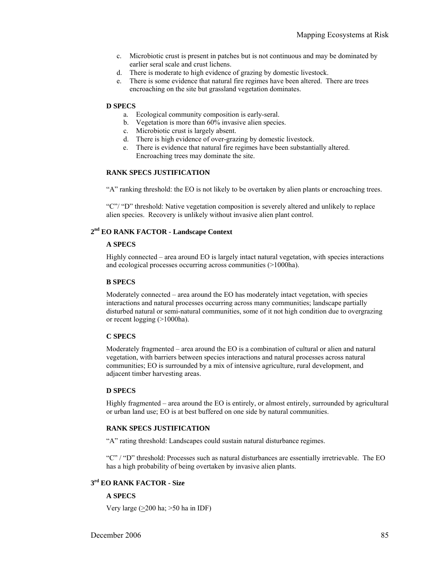- c. Microbiotic crust is present in patches but is not continuous and may be dominated by earlier seral scale and crust lichens.
- d. There is moderate to high evidence of grazing by domestic livestock.
- e. There is some evidence that natural fire regimes have been altered. There are trees encroaching on the site but grassland vegetation dominates.

#### **D SPECS**

- a. Ecological community composition is early-seral.
- b. Vegetation is more than 60% invasive alien species.
- c. Microbiotic crust is largely absent.
- d. There is high evidence of over-grazing by domestic livestock.
- e. There is evidence that natural fire regimes have been substantially altered. Encroaching trees may dominate the site.

#### **RANK SPECS JUSTIFICATION**

"A" ranking threshold: the EO is not likely to be overtaken by alien plants or encroaching trees.

"C"/ "D" threshold: Native vegetation composition is severely altered and unlikely to replace alien species. Recovery is unlikely without invasive alien plant control.

#### **2nd EO RANK FACTOR - Landscape Context**

#### **A SPECS**

Highly connected – area around EO is largely intact natural vegetation, with species interactions and ecological processes occurring across communities (>1000ha).

#### **B SPECS**

Moderately connected – area around the EO has moderately intact vegetation, with species interactions and natural processes occurring across many communities; landscape partially disturbed natural or semi-natural communities, some of it not high condition due to overgrazing or recent logging (>1000ha).

#### **C SPECS**

Moderately fragmented – area around the EO is a combination of cultural or alien and natural vegetation, with barriers between species interactions and natural processes across natural communities; EO is surrounded by a mix of intensive agriculture, rural development, and adjacent timber harvesting areas.

#### **D SPECS**

Highly fragmented – area around the EO is entirely, or almost entirely, surrounded by agricultural or urban land use; EO is at best buffered on one side by natural communities.

#### **RANK SPECS JUSTIFICATION**

"A" rating threshold: Landscapes could sustain natural disturbance regimes.

"C" / "D" threshold: Processes such as natural disturbances are essentially irretrievable. The EO has a high probability of being overtaken by invasive alien plants.

#### **3rd EO RANK FACTOR - Size**

#### **A SPECS**

Very large  $(≥200 \text{ ha}; >50 \text{ ha in IDF})$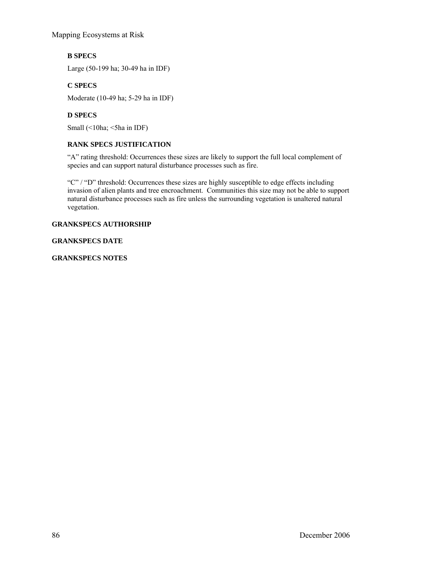### **B SPECS**

Large (50-199 ha; 30-49 ha in IDF)

#### **C SPECS**

Moderate (10-49 ha; 5-29 ha in IDF)

### **D SPECS**

Small (<10ha; <5ha in IDF)

#### **RANK SPECS JUSTIFICATION**

"A" rating threshold: Occurrences these sizes are likely to support the full local complement of species and can support natural disturbance processes such as fire.

"C" / "D" threshold: Occurrences these sizes are highly susceptible to edge effects including invasion of alien plants and tree encroachment. Communities this size may not be able to support natural disturbance processes such as fire unless the surrounding vegetation is unaltered natural vegetation.

#### **GRANKSPECS AUTHORSHIP**

#### **GRANKSPECS DATE**

**GRANKSPECS NOTES**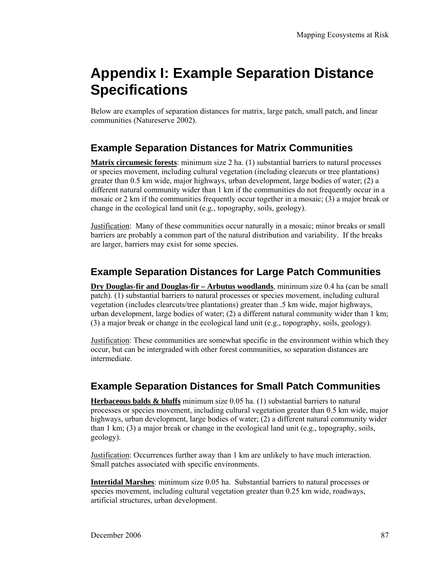## **Appendix I: Example Separation Distance Specifications**

Below are examples of separation distances for matrix, large patch, small patch, and linear communities (Natureserve 2002).

## **Example Separation Distances for Matrix Communities**

**Matrix circumesic forests**: minimum size 2 ha. (1) substantial barriers to natural processes or species movement, including cultural vegetation (including clearcuts or tree plantations) greater than 0.5 km wide, major highways, urban development, large bodies of water; (2) a different natural community wider than 1 km if the communities do not frequently occur in a mosaic or 2 km if the communities frequently occur together in a mosaic; (3) a major break or change in the ecological land unit (e.g., topography, soils, geology).

Justification: Many of these communities occur naturally in a mosaic; minor breaks or small barriers are probably a common part of the natural distribution and variability. If the breaks are larger, barriers may exist for some species.

## **Example Separation Distances for Large Patch Communities**

**Dry Douglas-fir and Douglas-fir – Arbutus woodlands**, minimum size 0.4 ha (can be small patch). (1) substantial barriers to natural processes or species movement, including cultural vegetation (includes clearcuts/tree plantations) greater than .5 km wide, major highways, urban development, large bodies of water; (2) a different natural community wider than 1 km; (3) a major break or change in the ecological land unit (e.g., topography, soils, geology).

Justification: These communities are somewhat specific in the environment within which they occur, but can be intergraded with other forest communities, so separation distances are intermediate.

## **Example Separation Distances for Small Patch Communities**

**Herbaceous balds & bluffs** minimum size 0.05 ha. (1) substantial barriers to natural processes or species movement, including cultural vegetation greater than 0.5 km wide, major highways, urban development, large bodies of water; (2) a different natural community wider than 1 km; (3) a major break or change in the ecological land unit (e.g., topography, soils, geology).

Justification: Occurrences further away than 1 km are unlikely to have much interaction. Small patches associated with specific environments.

**Intertidal Marshes**: minimum size 0.05 ha. Substantial barriers to natural processes or species movement, including cultural vegetation greater than 0.25 km wide, roadways, artificial structures, urban development.